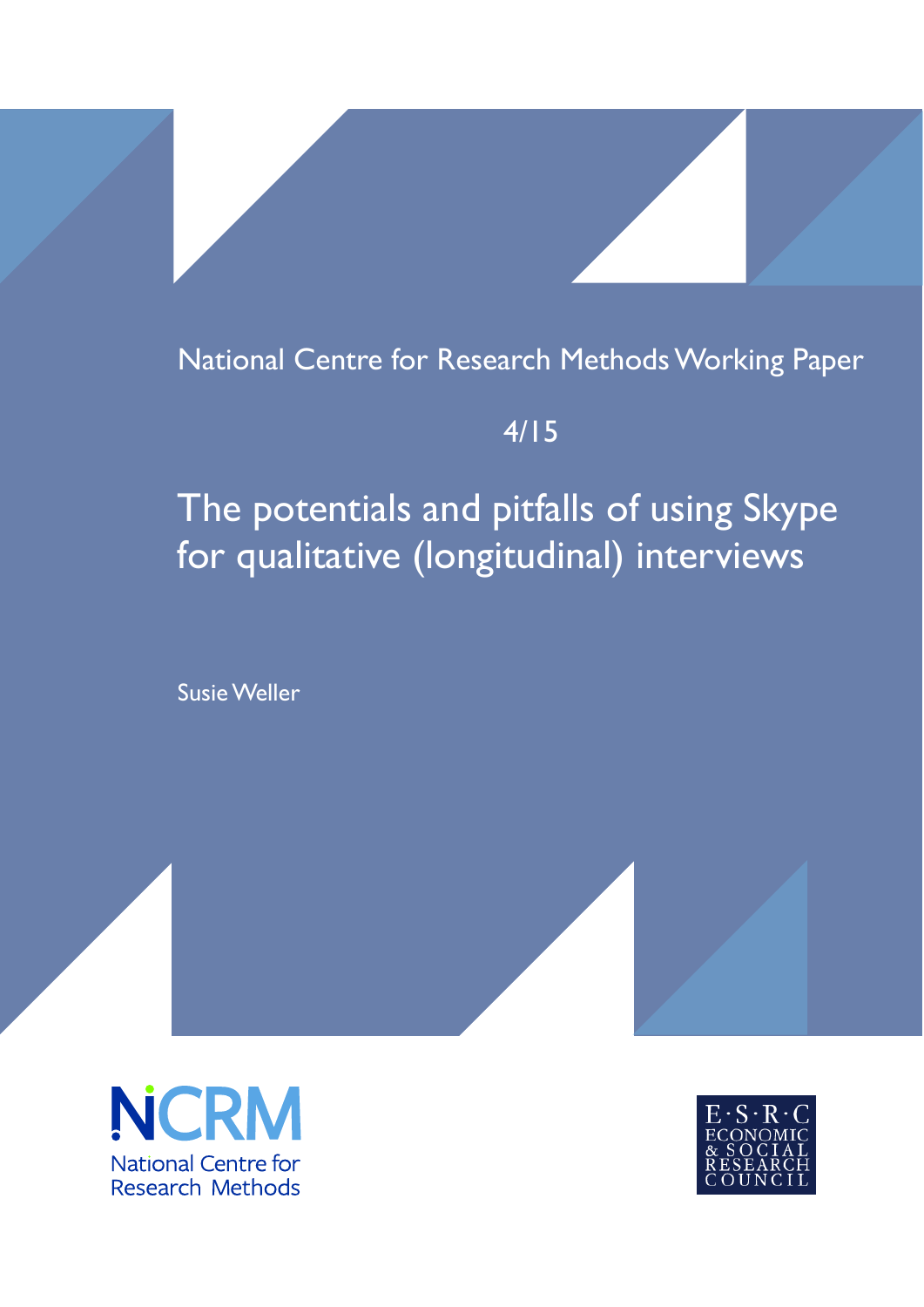# National Centre for Research Methods Working Paper

# 4/15

# The potentials and pitfalls of using Skype for qualitative (longitudinal) interviews

Susie Weller



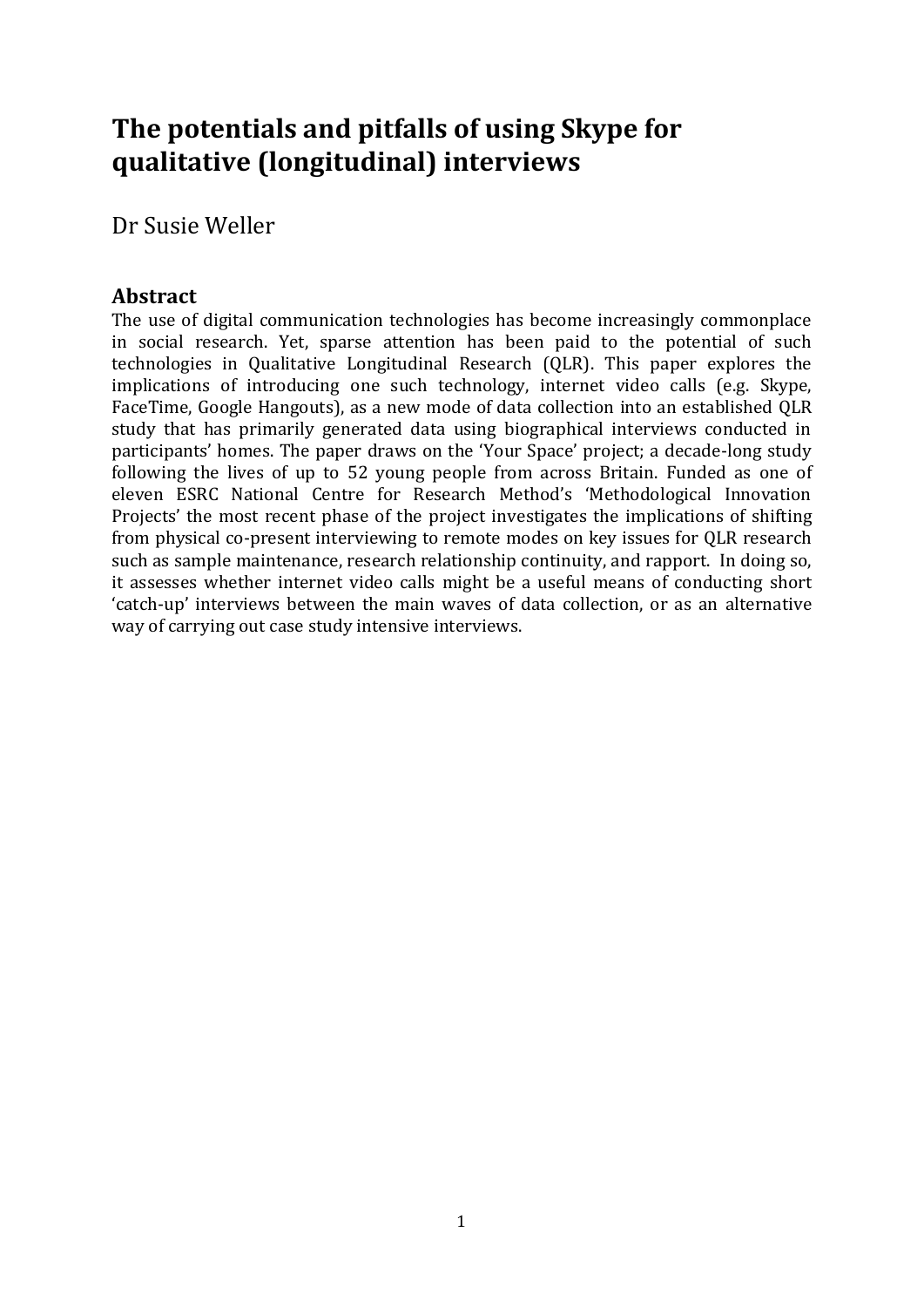# **The potentials and pitfalls of using Skype for qualitative (longitudinal) interviews**

Dr Susie Weller

# **Abstract**

The use of digital communication technologies has become increasingly commonplace in social research. Yet, sparse attention has been paid to the potential of such technologies in Qualitative Longitudinal Research (QLR). This paper explores the implications of introducing one such technology, internet video calls (e.g. Skype, FaceTime, Google Hangouts), as a new mode of data collection into an established QLR study that has primarily generated data using biographical interviews conducted in participants' homes. The paper draws on the 'Your Space' project; a decade-long study following the lives of up to 52 young people from across Britain. Funded as one of eleven ESRC National Centre for Research Method's 'Methodological Innovation Projects' the most recent phase of the project investigates the implications of shifting from physical co-present interviewing to remote modes on key issues for QLR research such as sample maintenance, research relationship continuity, and rapport. In doing so, it assesses whether internet video calls might be a useful means of conducting short 'catch-up' interviews between the main waves of data collection, or as an alternative way of carrying out case study intensive interviews.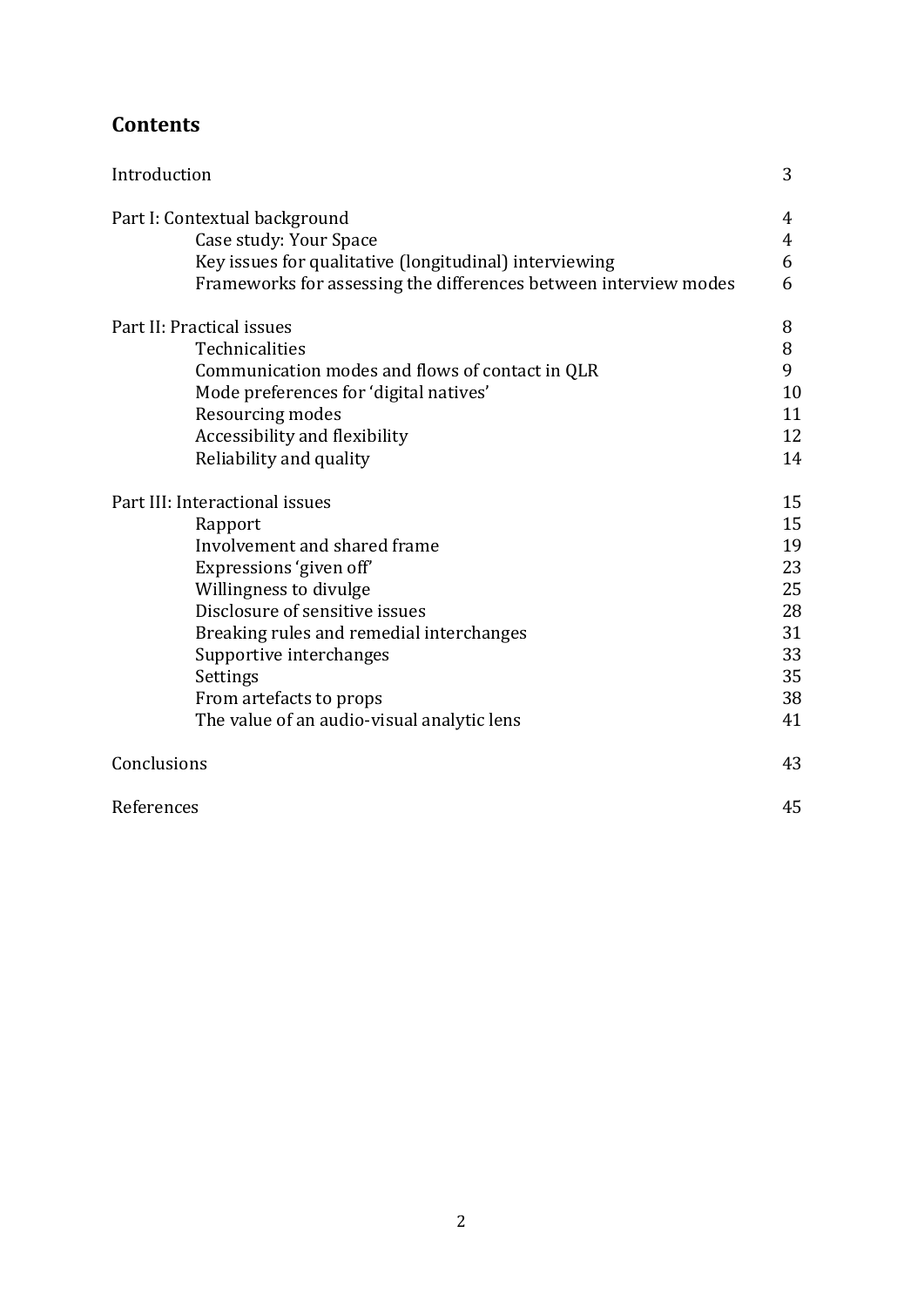# **Contents**

| Introduction                                                     | 3                   |
|------------------------------------------------------------------|---------------------|
| Part I: Contextual background                                    | 4                   |
| Case study: Your Space                                           | $\overline{4}$<br>6 |
| Key issues for qualitative (longitudinal) interviewing           | 6                   |
| Frameworks for assessing the differences between interview modes |                     |
| Part II: Practical issues                                        | 8                   |
| Technicalities                                                   | 8                   |
| Communication modes and flows of contact in QLR                  | 9                   |
| Mode preferences for 'digital natives'                           | 10                  |
| Resourcing modes                                                 | 11                  |
| Accessibility and flexibility                                    | 12                  |
| Reliability and quality                                          | 14                  |
| Part III: Interactional issues                                   | 15                  |
| Rapport                                                          | 15                  |
| Involvement and shared frame                                     | 19                  |
| Expressions 'given off'                                          | 23                  |
| Willingness to divulge                                           | 25                  |
| Disclosure of sensitive issues                                   | 28                  |
| Breaking rules and remedial interchanges                         | 31                  |
| Supportive interchanges                                          | 33                  |
| Settings                                                         | 35                  |
| From artefacts to props                                          | 38                  |
| The value of an audio-visual analytic lens                       | 41                  |
| Conclusions                                                      | 43                  |
| References                                                       | 45                  |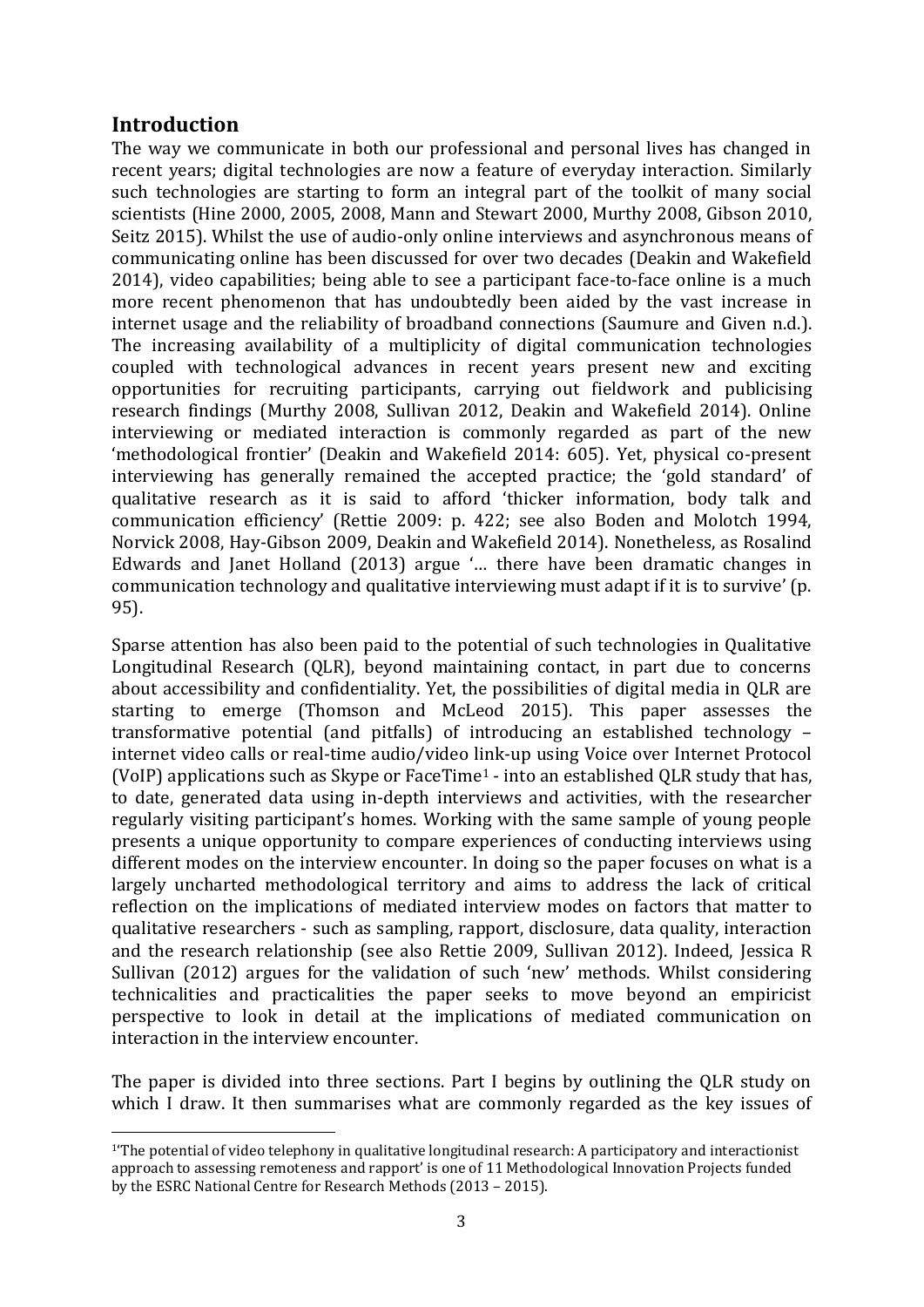# **Introduction**

**.** 

The way we communicate in both our professional and personal lives has changed in recent years; digital technologies are now a feature of everyday interaction. Similarly such technologies are starting to form an integral part of the toolkit of many social scientists (Hine 2000, 2005, 2008, Mann and Stewart 2000, Murthy 2008, Gibson 2010, Seitz 2015). Whilst the use of audio-only online interviews and asynchronous means of communicating online has been discussed for over two decades (Deakin and Wakefield 2014), video capabilities; being able to see a participant face-to-face online is a much more recent phenomenon that has undoubtedly been aided by the vast increase in internet usage and the reliability of broadband connections (Saumure and Given n.d.). The increasing availability of a multiplicity of digital communication technologies coupled with technological advances in recent years present new and exciting opportunities for recruiting participants, carrying out fieldwork and publicising research findings (Murthy 2008, Sullivan 2012, Deakin and Wakefield 2014). Online interviewing or mediated interaction is commonly regarded as part of the new 'methodological frontier' (Deakin and Wakefield 2014: 605). Yet, physical co-present interviewing has generally remained the accepted practice; the 'gold standard' of qualitative research as it is said to afford 'thicker information, body talk and communication efficiency' (Rettie 2009: p. 422; see also Boden and Molotch 1994, Norvick 2008, Hay-Gibson 2009, Deakin and Wakefield 2014). Nonetheless, as Rosalind Edwards and Janet Holland (2013) argue '… there have been dramatic changes in communication technology and qualitative interviewing must adapt if it is to survive' (p. 95).

Sparse attention has also been paid to the potential of such technologies in Qualitative Longitudinal Research (QLR), beyond maintaining contact, in part due to concerns about accessibility and confidentiality. Yet, the possibilities of digital media in QLR are starting to emerge (Thomson and McLeod 2015). This paper assesses the transformative potential (and pitfalls) of introducing an established technology – internet video calls or real-time audio/video link-up using Voice over Internet Protocol (VoIP) applications such as Skype or FaceTime<sup>1</sup> - into an established QLR study that has, to date, generated data using in-depth interviews and activities, with the researcher regularly visiting participant's homes. Working with the same sample of young people presents a unique opportunity to compare experiences of conducting interviews using different modes on the interview encounter. In doing so the paper focuses on what is a largely uncharted methodological territory and aims to address the lack of critical reflection on the implications of mediated interview modes on factors that matter to qualitative researchers - such as sampling, rapport, disclosure, data quality, interaction and the research relationship (see also Rettie 2009, Sullivan 2012). Indeed, Jessica R Sullivan (2012) argues for the validation of such 'new' methods. Whilst considering technicalities and practicalities the paper seeks to move beyond an empiricist perspective to look in detail at the implications of mediated communication on interaction in the interview encounter.

The paper is divided into three sections. Part I begins by outlining the QLR study on which I draw. It then summarises what are commonly regarded as the key issues of

<sup>1</sup>'The potential of video telephony in qualitative longitudinal research: A participatory and interactionist approach to assessing remoteness and rapport' is one of 11 Methodological Innovation Projects funded by the ESRC National Centre for Research Methods (2013 – 2015).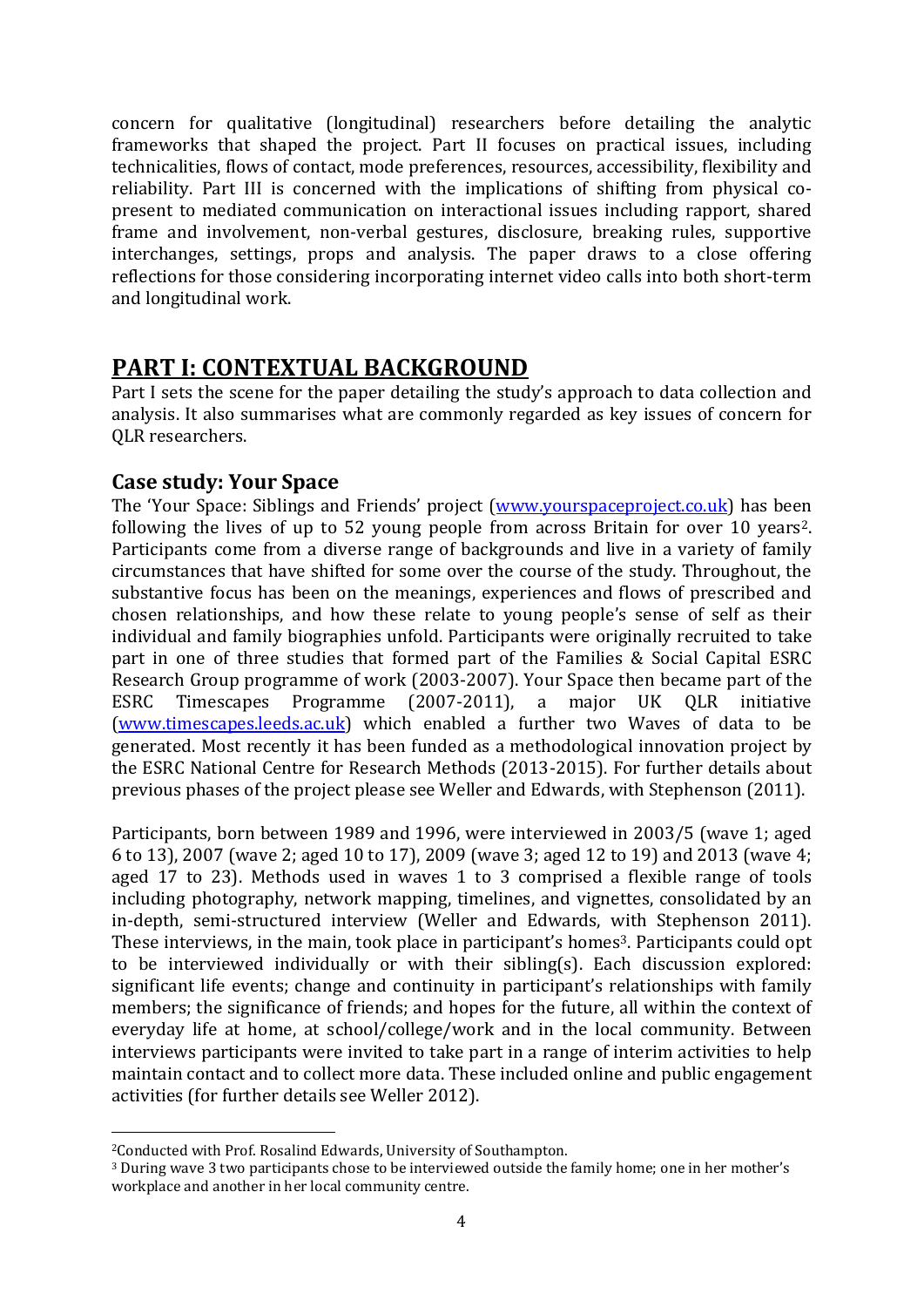concern for qualitative (longitudinal) researchers before detailing the analytic frameworks that shaped the project. Part II focuses on practical issues, including technicalities, flows of contact, mode preferences, resources, accessibility, flexibility and reliability. Part III is concerned with the implications of shifting from physical copresent to mediated communication on interactional issues including rapport, shared frame and involvement, non-verbal gestures, disclosure, breaking rules, supportive interchanges, settings, props and analysis. The paper draws to a close offering reflections for those considering incorporating internet video calls into both short-term and longitudinal work.

# **PART I: CONTEXTUAL BACKGROUND**

Part I sets the scene for the paper detailing the study's approach to data collection and analysis. It also summarises what are commonly regarded as key issues of concern for QLR researchers.

# **Case study: Your Space**

The 'Your Space: Siblings and Friends' project ([www.yourspaceproject.co.uk\)](http://www.yourspaceproject.co.uk/) has been following the lives of up to 52 young people from across Britain for over 10 years2. Participants come from a diverse range of backgrounds and live in a variety of family circumstances that have shifted for some over the course of the study. Throughout, the substantive focus has been on the meanings, experiences and flows of prescribed and chosen relationships, and how these relate to young people's sense of self as their individual and family biographies unfold. Participants were originally recruited to take part in one of three studies that formed part of the Families & Social Capital ESRC Research Group programme of work (2003-2007). Your Space then became part of the ESRC Timescapes Programme (2007-2011), a major UK QLR initiative [\(www.timescapes.leeds.ac.uk\)](http://www.timescapes.leeds.ac.uk/) which enabled a further two Waves of data to be generated. Most recently it has been funded as a methodological innovation project by the ESRC National Centre for Research Methods (2013-2015). For further details about previous phases of the project please see Weller and Edwards, with Stephenson (2011).

Participants, born between 1989 and 1996, were interviewed in 2003/5 (wave 1; aged 6 to 13), 2007 (wave 2; aged 10 to 17), 2009 (wave 3; aged 12 to 19) and 2013 (wave 4; aged 17 to 23). Methods used in waves 1 to 3 comprised a flexible range of tools including photography, network mapping, timelines, and vignettes, consolidated by an in-depth, semi-structured interview (Weller and Edwards, with Stephenson 2011). These interviews, in the main, took place in participant's homes<sup>3</sup>. Participants could opt to be interviewed individually or with their sibling(s). Each discussion explored: significant life events; change and continuity in participant's relationships with family members; the significance of friends; and hopes for the future, all within the context of everyday life at home, at school/college/work and in the local community. Between interviews participants were invited to take part in a range of interim activities to help maintain contact and to collect more data. These included online and public engagement activities (for further details see Weller 2012).

**.** 

<sup>2</sup>Conducted with Prof. Rosalind Edwards, University of Southampton.

<sup>3</sup> During wave 3 two participants chose to be interviewed outside the family home; one in her mother's workplace and another in her local community centre.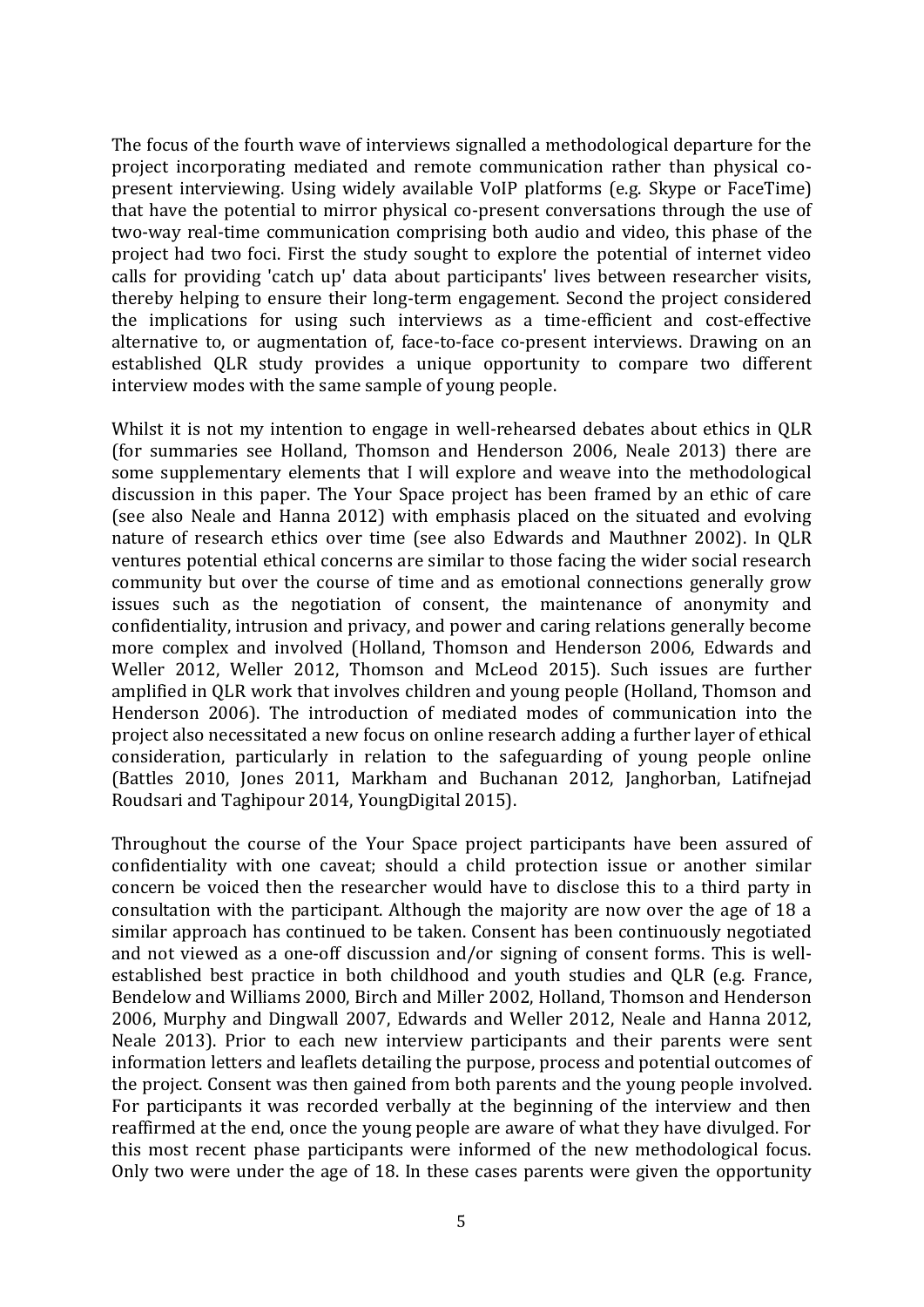The focus of the fourth wave of interviews signalled a methodological departure for the project incorporating mediated and remote communication rather than physical copresent interviewing. Using widely available VoIP platforms (e.g. Skype or FaceTime) that have the potential to mirror physical co-present conversations through the use of two-way real-time communication comprising both audio and video, this phase of the project had two foci. First the study sought to explore the potential of internet video calls for providing 'catch up' data about participants' lives between researcher visits, thereby helping to ensure their long-term engagement. Second the project considered the implications for using such interviews as a time-efficient and cost-effective alternative to, or augmentation of, face-to-face co-present interviews. Drawing on an established QLR study provides a unique opportunity to compare two different interview modes with the same sample of young people.

Whilst it is not my intention to engage in well-rehearsed debates about ethics in QLR (for summaries see Holland, Thomson and Henderson 2006, Neale 2013) there are some supplementary elements that I will explore and weave into the methodological discussion in this paper. The Your Space project has been framed by an ethic of care (see also Neale and Hanna 2012) with emphasis placed on the situated and evolving nature of research ethics over time (see also Edwards and Mauthner 2002). In QLR ventures potential ethical concerns are similar to those facing the wider social research community but over the course of time and as emotional connections generally grow issues such as the negotiation of consent, the maintenance of anonymity and confidentiality, intrusion and privacy, and power and caring relations generally become more complex and involved (Holland, Thomson and Henderson 2006, Edwards and Weller 2012, Weller 2012, Thomson and McLeod 2015). Such issues are further amplified in QLR work that involves children and young people (Holland, Thomson and Henderson 2006). The introduction of mediated modes of communication into the project also necessitated a new focus on online research adding a further layer of ethical consideration, particularly in relation to the safeguarding of young people online (Battles 2010, Jones 2011, Markham and Buchanan 2012, Janghorban, Latifnejad Roudsari and Taghipour 2014, YoungDigital 2015).

Throughout the course of the Your Space project participants have been assured of confidentiality with one caveat; should a child protection issue or another similar concern be voiced then the researcher would have to disclose this to a third party in consultation with the participant. Although the majority are now over the age of 18 a similar approach has continued to be taken. Consent has been continuously negotiated and not viewed as a one-off discussion and/or signing of consent forms. This is wellestablished best practice in both childhood and youth studies and QLR (e.g. France, Bendelow and Williams 2000, Birch and Miller 2002, Holland, Thomson and Henderson 2006, Murphy and Dingwall 2007, Edwards and Weller 2012, Neale and Hanna 2012, Neale 2013). Prior to each new interview participants and their parents were sent information letters and leaflets detailing the purpose, process and potential outcomes of the project. Consent was then gained from both parents and the young people involved. For participants it was recorded verbally at the beginning of the interview and then reaffirmed at the end, once the young people are aware of what they have divulged. For this most recent phase participants were informed of the new methodological focus. Only two were under the age of 18. In these cases parents were given the opportunity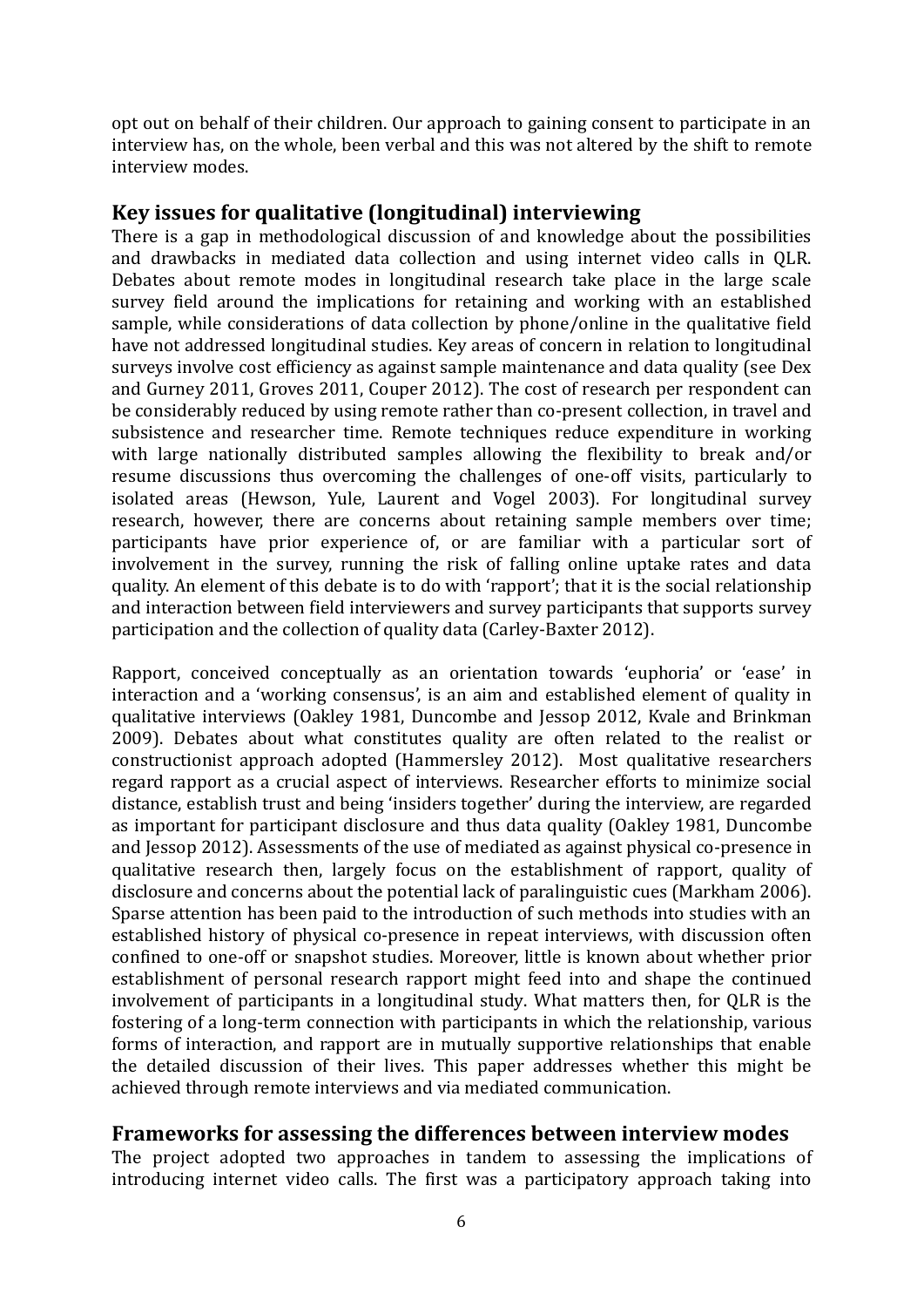opt out on behalf of their children. Our approach to gaining consent to participate in an interview has, on the whole, been verbal and this was not altered by the shift to remote interview modes.

#### **Key issues for qualitative (longitudinal) interviewing**

There is a gap in methodological discussion of and knowledge about the possibilities and drawbacks in mediated data collection and using internet video calls in QLR. Debates about remote modes in longitudinal research take place in the large scale survey field around the implications for retaining and working with an established sample, while considerations of data collection by phone/online in the qualitative field have not addressed longitudinal studies. Key areas of concern in relation to longitudinal surveys involve cost efficiency as against sample maintenance and data quality (see Dex and Gurney 2011, Groves 2011, Couper 2012). The cost of research per respondent can be considerably reduced by using remote rather than co-present collection, in travel and subsistence and researcher time. Remote techniques reduce expenditure in working with large nationally distributed samples allowing the flexibility to break and/or resume discussions thus overcoming the challenges of one-off visits, particularly to isolated areas (Hewson, Yule, Laurent and Vogel 2003). For longitudinal survey research, however, there are concerns about retaining sample members over time; participants have prior experience of, or are familiar with a particular sort of involvement in the survey, running the risk of falling online uptake rates and data quality. An element of this debate is to do with 'rapport'; that it is the social relationship and interaction between field interviewers and survey participants that supports survey participation and the collection of quality data (Carley-Baxter 2012).

Rapport, conceived conceptually as an orientation towards 'euphoria' or 'ease' in interaction and a 'working consensus', is an aim and established element of quality in qualitative interviews (Oakley 1981, Duncombe and Jessop 2012, Kvale and Brinkman 2009). Debates about what constitutes quality are often related to the realist or constructionist approach adopted (Hammersley 2012). Most qualitative researchers regard rapport as a crucial aspect of interviews. Researcher efforts to minimize social distance, establish trust and being 'insiders together' during the interview, are regarded as important for participant disclosure and thus data quality (Oakley 1981, Duncombe and Jessop 2012). Assessments of the use of mediated as against physical co-presence in qualitative research then, largely focus on the establishment of rapport, quality of disclosure and concerns about the potential lack of paralinguistic cues (Markham 2006). Sparse attention has been paid to the introduction of such methods into studies with an established history of physical co-presence in repeat interviews, with discussion often confined to one-off or snapshot studies. Moreover, little is known about whether prior establishment of personal research rapport might feed into and shape the continued involvement of participants in a longitudinal study. What matters then, for QLR is the fostering of a long-term connection with participants in which the relationship, various forms of interaction, and rapport are in mutually supportive relationships that enable the detailed discussion of their lives. This paper addresses whether this might be achieved through remote interviews and via mediated communication.

## **Frameworks for assessing the differences between interview modes**

The project adopted two approaches in tandem to assessing the implications of introducing internet video calls. The first was a participatory approach taking into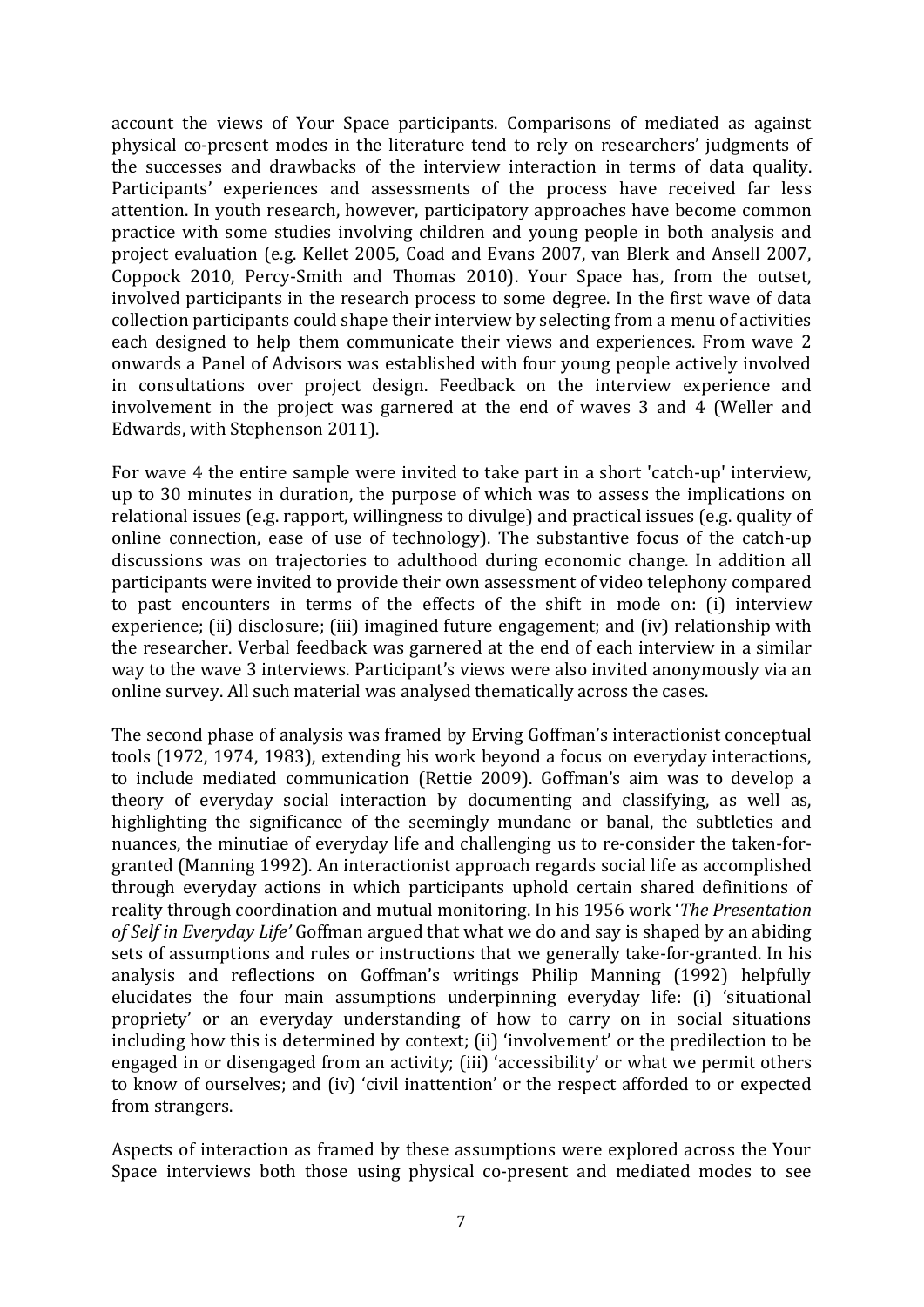account the views of Your Space participants. Comparisons of mediated as against physical co-present modes in the literature tend to rely on researchers' judgments of the successes and drawbacks of the interview interaction in terms of data quality. Participants' experiences and assessments of the process have received far less attention. In youth research, however, participatory approaches have become common practice with some studies involving children and young people in both analysis and project evaluation (e.g. Kellet 2005, Coad and Evans 2007, van Blerk and Ansell 2007, Coppock 2010, Percy-Smith and Thomas 2010). Your Space has, from the outset, involved participants in the research process to some degree. In the first wave of data collection participants could shape their interview by selecting from a menu of activities each designed to help them communicate their views and experiences. From wave 2 onwards a Panel of Advisors was established with four young people actively involved in consultations over project design. Feedback on the interview experience and involvement in the project was garnered at the end of waves 3 and 4 (Weller and Edwards, with Stephenson 2011).

For wave 4 the entire sample were invited to take part in a short 'catch-up' interview, up to 30 minutes in duration, the purpose of which was to assess the implications on relational issues (e.g. rapport, willingness to divulge) and practical issues (e.g. quality of online connection, ease of use of technology). The substantive focus of the catch-up discussions was on trajectories to adulthood during economic change. In addition all participants were invited to provide their own assessment of video telephony compared to past encounters in terms of the effects of the shift in mode on: (i) interview experience; (ii) disclosure; (iii) imagined future engagement; and (iv) relationship with the researcher. Verbal feedback was garnered at the end of each interview in a similar way to the wave 3 interviews. Participant's views were also invited anonymously via an online survey. All such material was analysed thematically across the cases.

The second phase of analysis was framed by Erving Goffman's interactionist conceptual tools (1972, 1974, 1983), extending his work beyond a focus on everyday interactions, to include mediated communication (Rettie 2009). Goffman's aim was to develop a theory of everyday social interaction by documenting and classifying, as well as, highlighting the significance of the seemingly mundane or banal, the subtleties and nuances, the minutiae of everyday life and challenging us to re-consider the taken-forgranted (Manning 1992). An interactionist approach regards social life as accomplished through everyday actions in which participants uphold certain shared definitions of reality through coordination and mutual monitoring. In his 1956 work '*The Presentation of Self in Everyday Life'* Goffman argued that what we do and say is shaped by an abiding sets of assumptions and rules or instructions that we generally take-for-granted. In his analysis and reflections on Goffman's writings Philip Manning (1992) helpfully elucidates the four main assumptions underpinning everyday life: (i) 'situational propriety' or an everyday understanding of how to carry on in social situations including how this is determined by context; (ii) 'involvement' or the predilection to be engaged in or disengaged from an activity; (iii) 'accessibility' or what we permit others to know of ourselves; and (iv) 'civil inattention' or the respect afforded to or expected from strangers.

Aspects of interaction as framed by these assumptions were explored across the Your Space interviews both those using physical co-present and mediated modes to see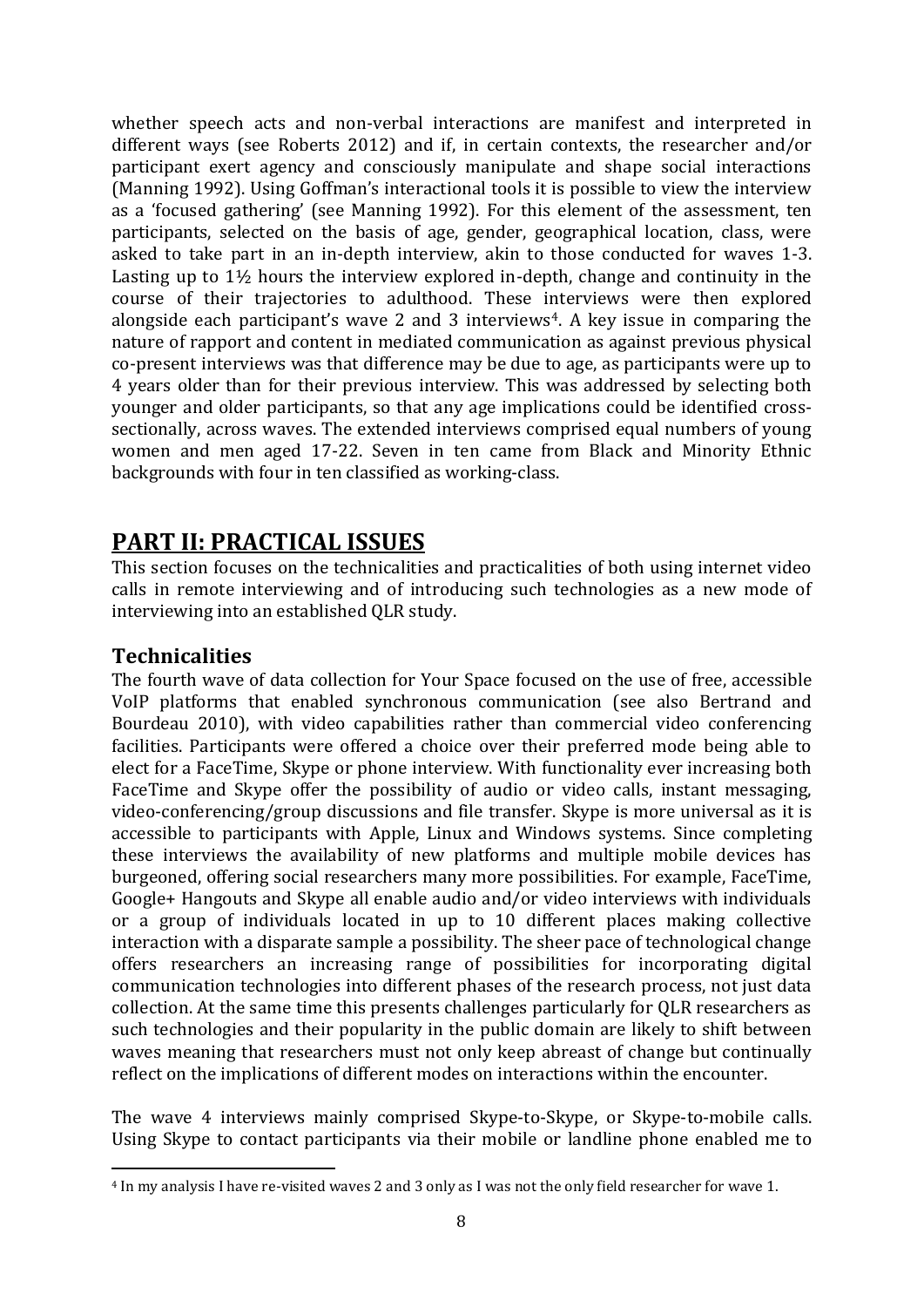whether speech acts and non-verbal interactions are manifest and interpreted in different ways (see Roberts 2012) and if, in certain contexts, the researcher and/or participant exert agency and consciously manipulate and shape social interactions (Manning 1992). Using Goffman's interactional tools it is possible to view the interview as a 'focused gathering' (see Manning 1992). For this element of the assessment, ten participants, selected on the basis of age, gender, geographical location, class, were asked to take part in an in-depth interview, akin to those conducted for waves 1-3. Lasting up to 1½ hours the interview explored in-depth, change and continuity in the course of their trajectories to adulthood. These interviews were then explored alongside each participant's wave 2 and 3 interviews<sup>4</sup>. A key issue in comparing the nature of rapport and content in mediated communication as against previous physical co-present interviews was that difference may be due to age, as participants were up to 4 years older than for their previous interview. This was addressed by selecting both younger and older participants, so that any age implications could be identified crosssectionally, across waves. The extended interviews comprised equal numbers of young women and men aged 17-22. Seven in ten came from Black and Minority Ethnic backgrounds with four in ten classified as working-class.

# **PART II: PRACTICAL ISSUES**

This section focuses on the technicalities and practicalities of both using internet video calls in remote interviewing and of introducing such technologies as a new mode of interviewing into an established QLR study.

# **Technicalities**

**.** 

The fourth wave of data collection for Your Space focused on the use of free, accessible VoIP platforms that enabled synchronous communication (see also Bertrand and Bourdeau 2010), with video capabilities rather than commercial video conferencing facilities. Participants were offered a choice over their preferred mode being able to elect for a FaceTime, Skype or phone interview. With functionality ever increasing both FaceTime and Skype offer the possibility of audio or video calls, instant messaging, video-conferencing/group discussions and file transfer. Skype is more universal as it is accessible to participants with Apple, Linux and Windows systems. Since completing these interviews the availability of new platforms and multiple mobile devices has burgeoned, offering social researchers many more possibilities. For example, FaceTime, Google+ Hangouts and Skype all enable audio and/or video interviews with individuals or a group of individuals located in up to 10 different places making collective interaction with a disparate sample a possibility. The sheer pace of technological change offers researchers an increasing range of possibilities for incorporating digital communication technologies into different phases of the research process, not just data collection. At the same time this presents challenges particularly for QLR researchers as such technologies and their popularity in the public domain are likely to shift between waves meaning that researchers must not only keep abreast of change but continually reflect on the implications of different modes on interactions within the encounter.

The wave 4 interviews mainly comprised Skype-to-Skype, or Skype-to-mobile calls. Using Skype to contact participants via their mobile or landline phone enabled me to

<sup>4</sup> In my analysis I have re-visited waves 2 and 3 only as I was not the only field researcher for wave 1.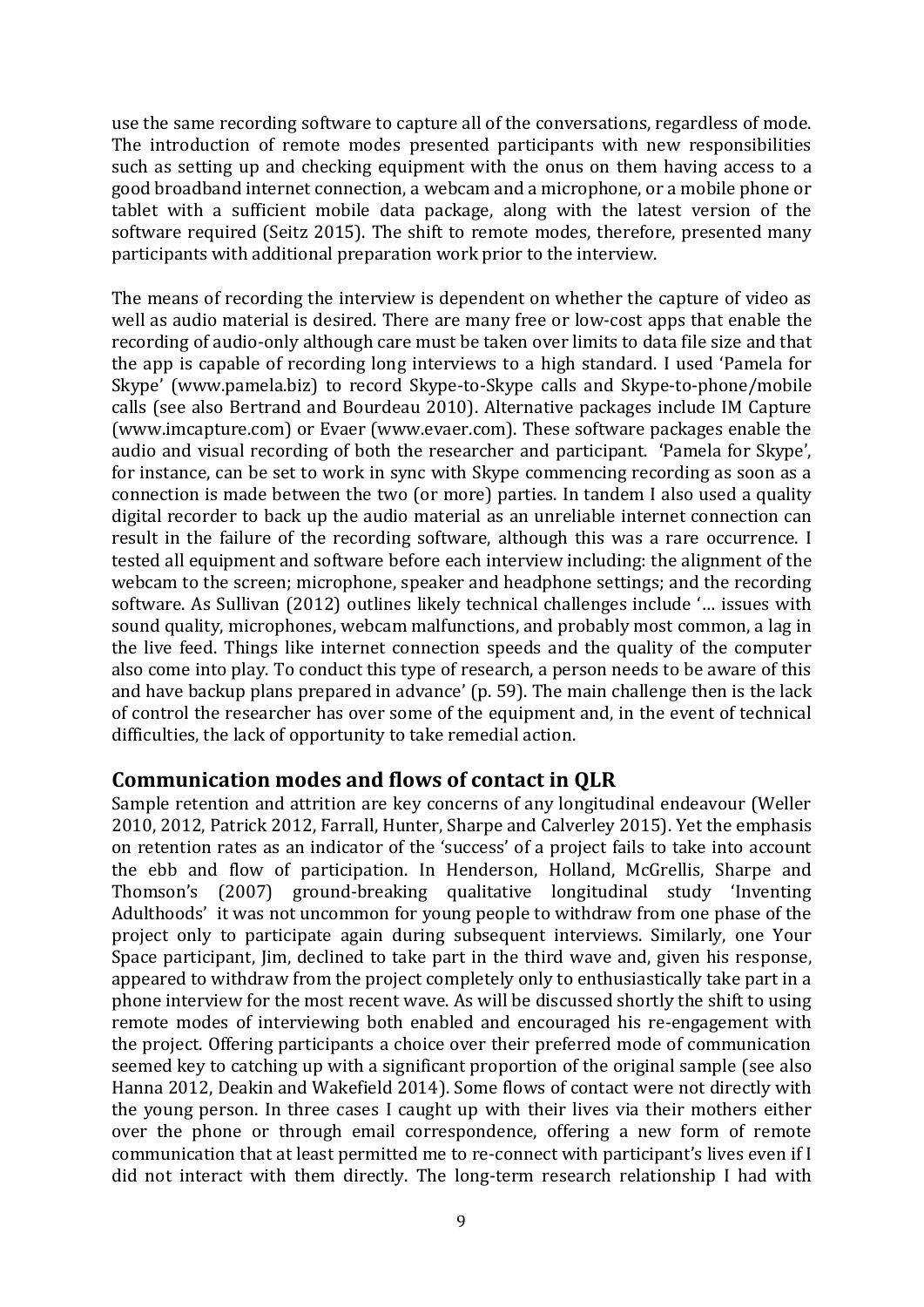use the same recording software to capture all of the conversations, regardless of mode. The introduction of remote modes presented participants with new responsibilities such as setting up and checking equipment with the onus on them having access to a good broadband internet connection, a webcam and a microphone, or a mobile phone or tablet with a sufficient mobile data package, along with the latest version of the software required (Seitz 2015). The shift to remote modes, therefore, presented many participants with additional preparation work prior to the interview.

The means of recording the interview is dependent on whether the capture of video as well as audio material is desired. There are many free or low-cost apps that enable the recording of audio-only although care must be taken over limits to data file size and that the app is capable of recording long interviews to a high standard. I used 'Pamela for Skype' (www.pamela.biz) to record Skype-to-Skype calls and Skype-to-phone/mobile calls (see also Bertrand and Bourdeau 2010). Alternative packages include IM Capture (www.imcapture.com) or Evaer (www.evaer.com). These software packages enable the audio and visual recording of both the researcher and participant. 'Pamela for Skype', for instance, can be set to work in sync with Skype commencing recording as soon as a connection is made between the two (or more) parties. In tandem I also used a quality digital recorder to back up the audio material as an unreliable internet connection can result in the failure of the recording software, although this was a rare occurrence. I tested all equipment and software before each interview including: the alignment of the webcam to the screen; microphone, speaker and headphone settings; and the recording software. As Sullivan (2012) outlines likely technical challenges include '… issues with sound quality, microphones, webcam malfunctions, and probably most common, a lag in the live feed. Things like internet connection speeds and the quality of the computer also come into play. To conduct this type of research, a person needs to be aware of this and have backup plans prepared in advance' (p. 59). The main challenge then is the lack of control the researcher has over some of the equipment and, in the event of technical difficulties, the lack of opportunity to take remedial action.

## **Communication modes and flows of contact in QLR**

Sample retention and attrition are key concerns of any longitudinal endeavour (Weller 2010, 2012, Patrick 2012, Farrall, Hunter, Sharpe and Calverley 2015). Yet the emphasis on retention rates as an indicator of the 'success' of a project fails to take into account the ebb and flow of participation. In Henderson, Holland, McGrellis, Sharpe and Thomson's (2007) ground-breaking qualitative longitudinal study 'Inventing Adulthoods' it was not uncommon for young people to withdraw from one phase of the project only to participate again during subsequent interviews. Similarly, one Your Space participant, Jim, declined to take part in the third wave and, given his response, appeared to withdraw from the project completely only to enthusiastically take part in a phone interview for the most recent wave. As will be discussed shortly the shift to using remote modes of interviewing both enabled and encouraged his re-engagement with the project. Offering participants a choice over their preferred mode of communication seemed key to catching up with a significant proportion of the original sample (see also Hanna 2012, Deakin and Wakefield 2014). Some flows of contact were not directly with the young person. In three cases I caught up with their lives via their mothers either over the phone or through email correspondence, offering a new form of remote communication that at least permitted me to re-connect with participant's lives even if I did not interact with them directly. The long-term research relationship I had with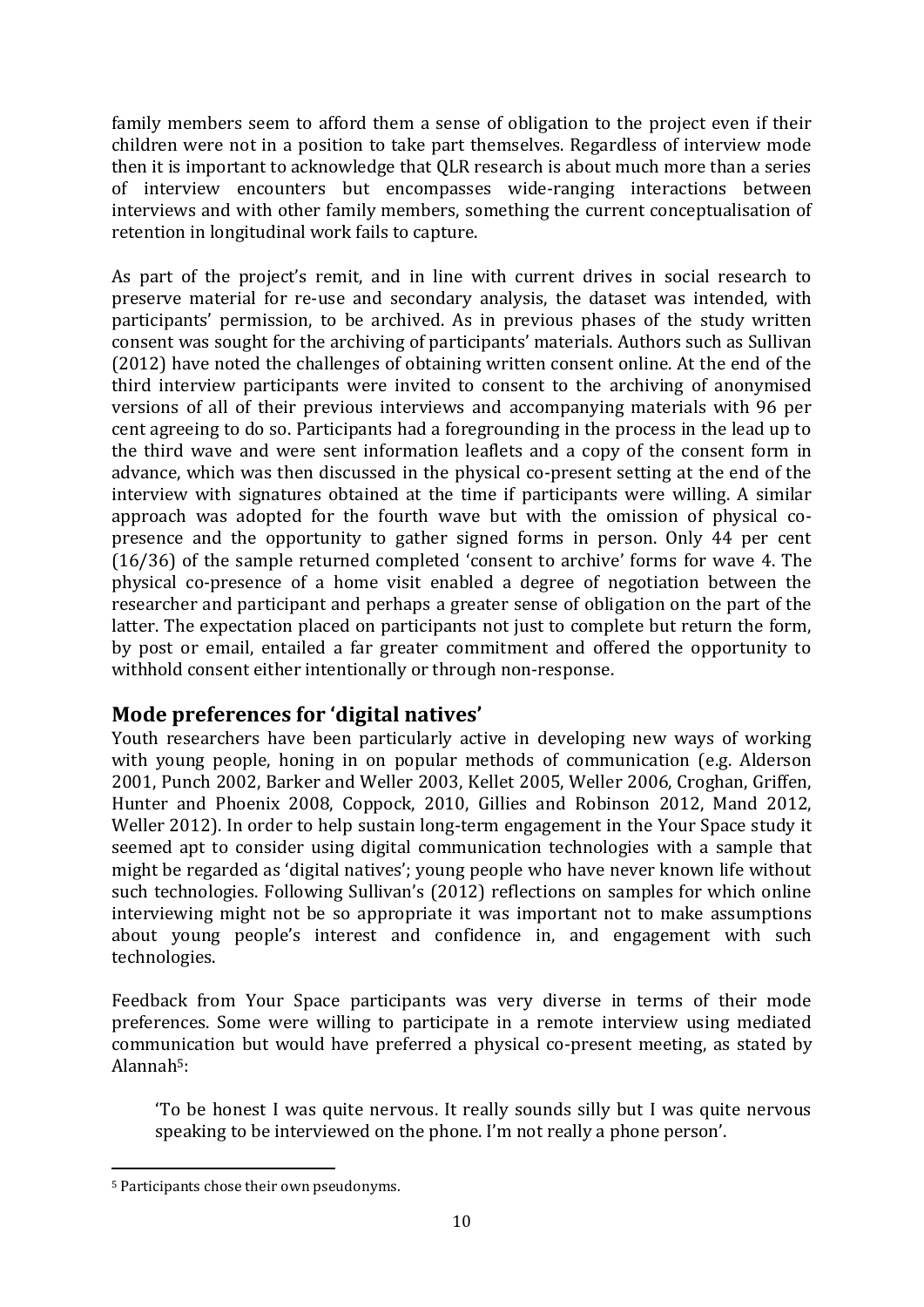family members seem to afford them a sense of obligation to the project even if their children were not in a position to take part themselves. Regardless of interview mode then it is important to acknowledge that QLR research is about much more than a series of interview encounters but encompasses wide-ranging interactions between interviews and with other family members, something the current conceptualisation of retention in longitudinal work fails to capture.

As part of the project's remit, and in line with current drives in social research to preserve material for re-use and secondary analysis, the dataset was intended, with participants' permission, to be archived. As in previous phases of the study written consent was sought for the archiving of participants' materials. Authors such as Sullivan (2012) have noted the challenges of obtaining written consent online. At the end of the third interview participants were invited to consent to the archiving of anonymised versions of all of their previous interviews and accompanying materials with 96 per cent agreeing to do so. Participants had a foregrounding in the process in the lead up to the third wave and were sent information leaflets and a copy of the consent form in advance, which was then discussed in the physical co-present setting at the end of the interview with signatures obtained at the time if participants were willing. A similar approach was adopted for the fourth wave but with the omission of physical copresence and the opportunity to gather signed forms in person. Only 44 per cent (16/36) of the sample returned completed 'consent to archive' forms for wave 4. The physical co-presence of a home visit enabled a degree of negotiation between the researcher and participant and perhaps a greater sense of obligation on the part of the latter. The expectation placed on participants not just to complete but return the form, by post or email, entailed a far greater commitment and offered the opportunity to withhold consent either intentionally or through non-response.

# **Mode preferences for 'digital natives'**

Youth researchers have been particularly active in developing new ways of working with young people, honing in on popular methods of communication (e.g. Alderson 2001, Punch 2002, Barker and Weller 2003, Kellet 2005, Weller 2006, Croghan, Griffen, Hunter and Phoenix 2008, Coppock, 2010, Gillies and Robinson 2012, Mand 2012, Weller 2012). In order to help sustain long-term engagement in the Your Space study it seemed apt to consider using digital communication technologies with a sample that might be regarded as 'digital natives'; young people who have never known life without such technologies. Following Sullivan's (2012) reflections on samples for which online interviewing might not be so appropriate it was important not to make assumptions about young people's interest and confidence in, and engagement with such technologies.

Feedback from Your Space participants was very diverse in terms of their mode preferences. Some were willing to participate in a remote interview using mediated communication but would have preferred a physical co-present meeting, as stated by Alannah5:

'To be honest I was quite nervous. It really sounds silly but I was quite nervous speaking to be interviewed on the phone. I'm not really a phone person'.

**<sup>.</sup>** <sup>5</sup> Participants chose their own pseudonyms.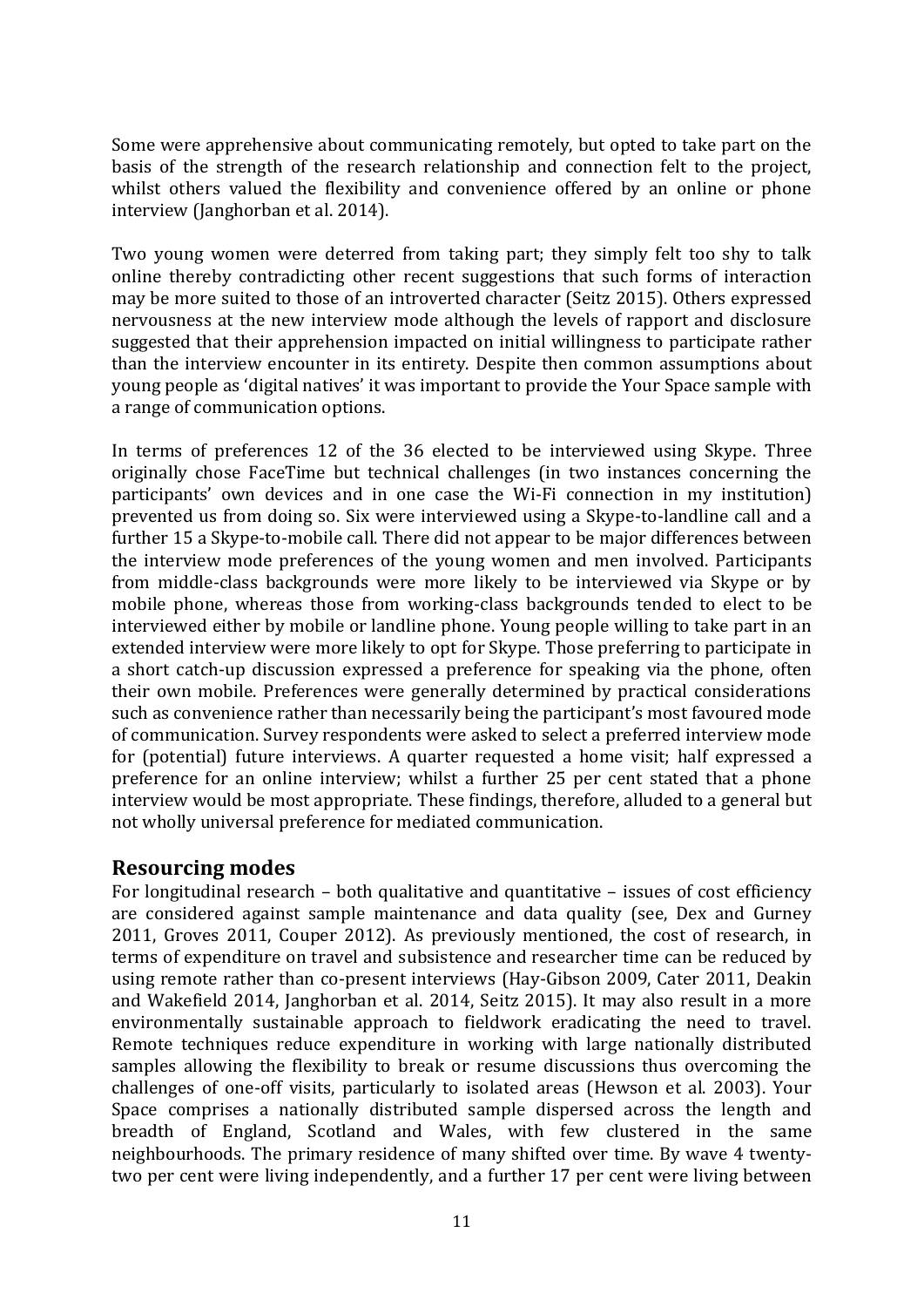Some were apprehensive about communicating remotely, but opted to take part on the basis of the strength of the research relationship and connection felt to the project, whilst others valued the flexibility and convenience offered by an online or phone interview (Janghorban et al. 2014).

Two young women were deterred from taking part; they simply felt too shy to talk online thereby contradicting other recent suggestions that such forms of interaction may be more suited to those of an introverted character (Seitz 2015). Others expressed nervousness at the new interview mode although the levels of rapport and disclosure suggested that their apprehension impacted on initial willingness to participate rather than the interview encounter in its entirety. Despite then common assumptions about young people as 'digital natives' it was important to provide the Your Space sample with a range of communication options.

In terms of preferences 12 of the 36 elected to be interviewed using Skype. Three originally chose FaceTime but technical challenges (in two instances concerning the participants' own devices and in one case the Wi-Fi connection in my institution) prevented us from doing so. Six were interviewed using a Skype-to-landline call and a further 15 a Skype-to-mobile call. There did not appear to be major differences between the interview mode preferences of the young women and men involved. Participants from middle-class backgrounds were more likely to be interviewed via Skype or by mobile phone, whereas those from working-class backgrounds tended to elect to be interviewed either by mobile or landline phone. Young people willing to take part in an extended interview were more likely to opt for Skype. Those preferring to participate in a short catch-up discussion expressed a preference for speaking via the phone, often their own mobile. Preferences were generally determined by practical considerations such as convenience rather than necessarily being the participant's most favoured mode of communication. Survey respondents were asked to select a preferred interview mode for (potential) future interviews. A quarter requested a home visit; half expressed a preference for an online interview; whilst a further 25 per cent stated that a phone interview would be most appropriate. These findings, therefore, alluded to a general but not wholly universal preference for mediated communication.

## **Resourcing modes**

For longitudinal research – both qualitative and quantitative – issues of cost efficiency are considered against sample maintenance and data quality (see, Dex and Gurney 2011, Groves 2011, Couper 2012). As previously mentioned, the cost of research, in terms of expenditure on travel and subsistence and researcher time can be reduced by using remote rather than co-present interviews (Hay-Gibson 2009, Cater 2011, Deakin and Wakefield 2014, Janghorban et al. 2014, Seitz 2015). It may also result in a more environmentally sustainable approach to fieldwork eradicating the need to travel. Remote techniques reduce expenditure in working with large nationally distributed samples allowing the flexibility to break or resume discussions thus overcoming the challenges of one-off visits, particularly to isolated areas (Hewson et al. 2003). Your Space comprises a nationally distributed sample dispersed across the length and breadth of England, Scotland and Wales, with few clustered in the same neighbourhoods. The primary residence of many shifted over time. By wave 4 twentytwo per cent were living independently, and a further 17 per cent were living between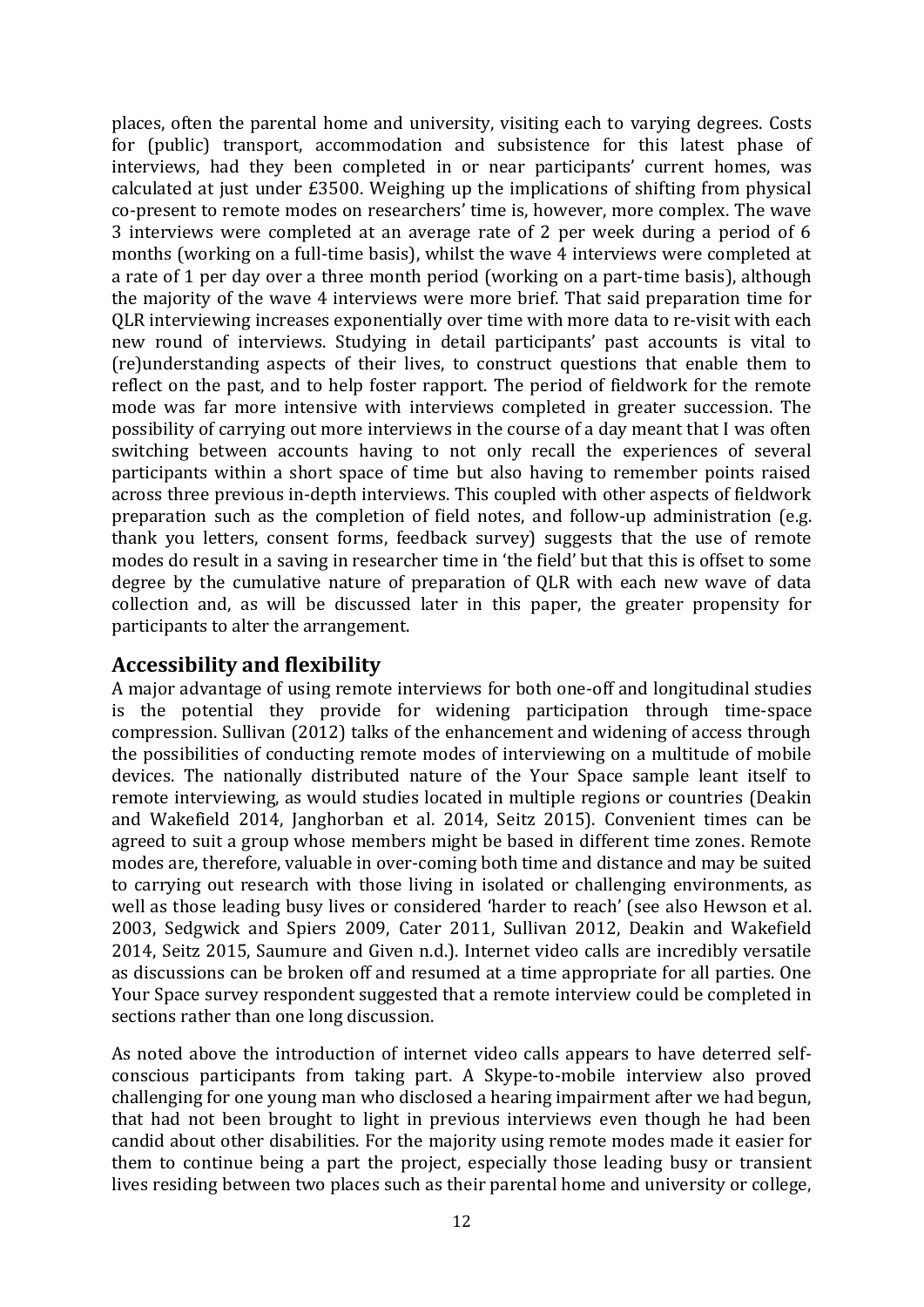places, often the parental home and university, visiting each to varying degrees. Costs for (public) transport, accommodation and subsistence for this latest phase of interviews, had they been completed in or near participants' current homes, was calculated at just under £3500. Weighing up the implications of shifting from physical co-present to remote modes on researchers' time is, however, more complex. The wave 3 interviews were completed at an average rate of 2 per week during a period of 6 months (working on a full-time basis), whilst the wave 4 interviews were completed at a rate of 1 per day over a three month period (working on a part-time basis), although the majority of the wave 4 interviews were more brief. That said preparation time for QLR interviewing increases exponentially over time with more data to re-visit with each new round of interviews. Studying in detail participants' past accounts is vital to (re)understanding aspects of their lives, to construct questions that enable them to reflect on the past, and to help foster rapport. The period of fieldwork for the remote mode was far more intensive with interviews completed in greater succession. The possibility of carrying out more interviews in the course of a day meant that I was often switching between accounts having to not only recall the experiences of several participants within a short space of time but also having to remember points raised across three previous in-depth interviews. This coupled with other aspects of fieldwork preparation such as the completion of field notes, and follow-up administration (e.g. thank you letters, consent forms, feedback survey) suggests that the use of remote modes do result in a saving in researcher time in 'the field' but that this is offset to some degree by the cumulative nature of preparation of QLR with each new wave of data collection and, as will be discussed later in this paper, the greater propensity for participants to alter the arrangement.

# **Accessibility and flexibility**

A major advantage of using remote interviews for both one-off and longitudinal studies is the potential they provide for widening participation through time-space compression. Sullivan (2012) talks of the enhancement and widening of access through the possibilities of conducting remote modes of interviewing on a multitude of mobile devices. The nationally distributed nature of the Your Space sample leant itself to remote interviewing, as would studies located in multiple regions or countries (Deakin and Wakefield 2014, Janghorban et al. 2014, Seitz 2015). Convenient times can be agreed to suit a group whose members might be based in different time zones. Remote modes are, therefore, valuable in over-coming both time and distance and may be suited to carrying out research with those living in isolated or challenging environments, as well as those leading busy lives or considered 'harder to reach' (see also Hewson et al. 2003, Sedgwick and Spiers 2009, Cater 2011, Sullivan 2012, Deakin and Wakefield 2014, Seitz 2015, Saumure and Given n.d.). Internet video calls are incredibly versatile as discussions can be broken off and resumed at a time appropriate for all parties. One Your Space survey respondent suggested that a remote interview could be completed in sections rather than one long discussion.

As noted above the introduction of internet video calls appears to have deterred selfconscious participants from taking part. A Skype-to-mobile interview also proved challenging for one young man who disclosed a hearing impairment after we had begun, that had not been brought to light in previous interviews even though he had been candid about other disabilities. For the majority using remote modes made it easier for them to continue being a part the project, especially those leading busy or transient lives residing between two places such as their parental home and university or college,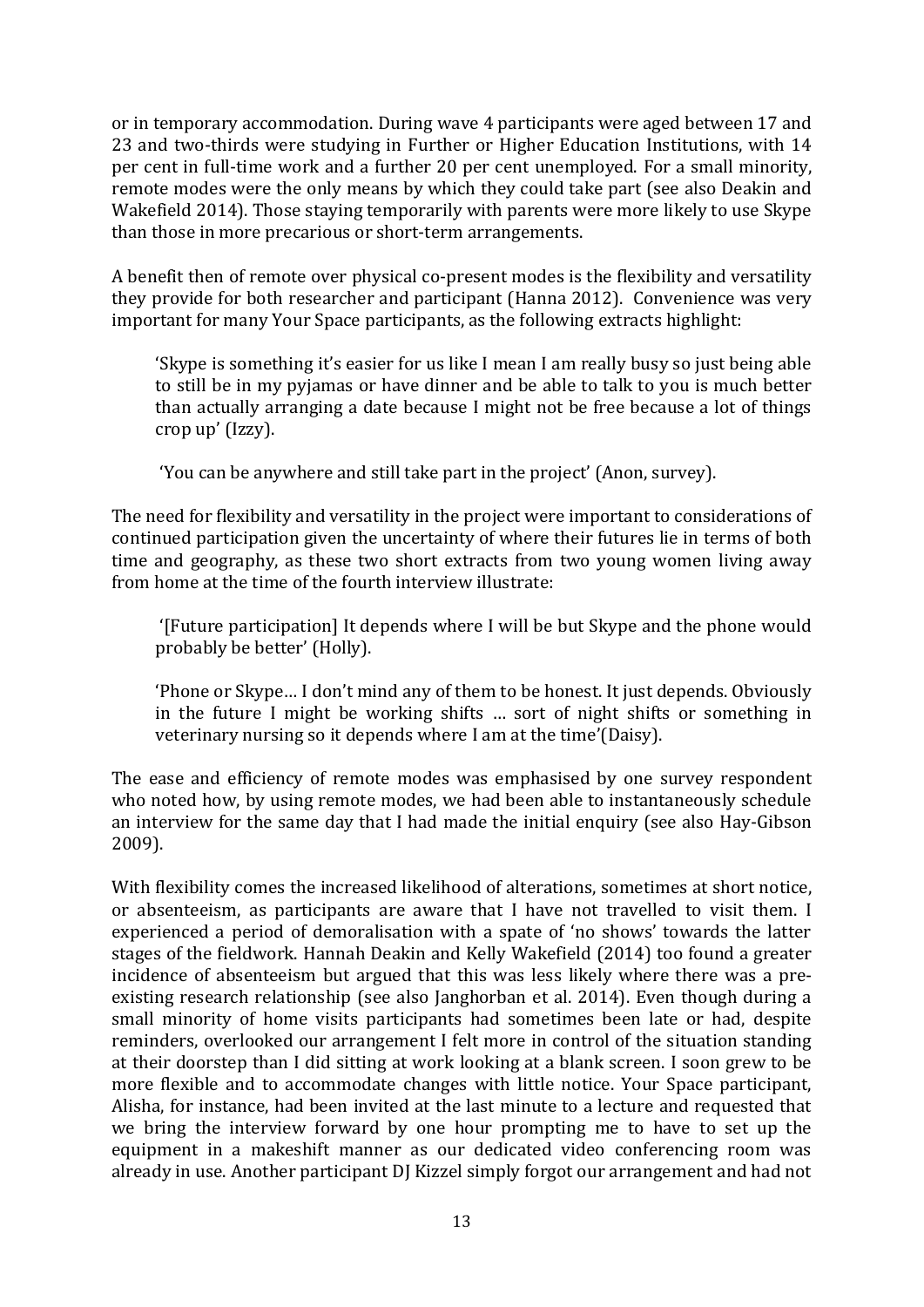or in temporary accommodation. During wave 4 participants were aged between 17 and 23 and two-thirds were studying in Further or Higher Education Institutions, with 14 per cent in full-time work and a further 20 per cent unemployed. For a small minority, remote modes were the only means by which they could take part (see also Deakin and Wakefield 2014). Those staying temporarily with parents were more likely to use Skype than those in more precarious or short-term arrangements.

A benefit then of remote over physical co-present modes is the flexibility and versatility they provide for both researcher and participant (Hanna 2012). Convenience was very important for many Your Space participants, as the following extracts highlight:

'Skype is something it's easier for us like I mean I am really busy so just being able to still be in my pyjamas or have dinner and be able to talk to you is much better than actually arranging a date because I might not be free because a lot of things crop up' (Izzy).

'You can be anywhere and still take part in the project' (Anon, survey).

The need for flexibility and versatility in the project were important to considerations of continued participation given the uncertainty of where their futures lie in terms of both time and geography, as these two short extracts from two young women living away from home at the time of the fourth interview illustrate:

'[Future participation] It depends where I will be but Skype and the phone would probably be better' (Holly).

'Phone or Skype… I don't mind any of them to be honest. It just depends. Obviously in the future I might be working shifts … sort of night shifts or something in veterinary nursing so it depends where I am at the time'(Daisy).

The ease and efficiency of remote modes was emphasised by one survey respondent who noted how, by using remote modes, we had been able to instantaneously schedule an interview for the same day that I had made the initial enquiry (see also Hay-Gibson 2009).

With flexibility comes the increased likelihood of alterations, sometimes at short notice, or absenteeism, as participants are aware that I have not travelled to visit them. I experienced a period of demoralisation with a spate of 'no shows' towards the latter stages of the fieldwork. Hannah Deakin and Kelly Wakefield (2014) too found a greater incidence of absenteeism but argued that this was less likely where there was a preexisting research relationship (see also Janghorban et al. 2014). Even though during a small minority of home visits participants had sometimes been late or had, despite reminders, overlooked our arrangement I felt more in control of the situation standing at their doorstep than I did sitting at work looking at a blank screen. I soon grew to be more flexible and to accommodate changes with little notice. Your Space participant, Alisha, for instance, had been invited at the last minute to a lecture and requested that we bring the interview forward by one hour prompting me to have to set up the equipment in a makeshift manner as our dedicated video conferencing room was already in use. Another participant DJ Kizzel simply forgot our arrangement and had not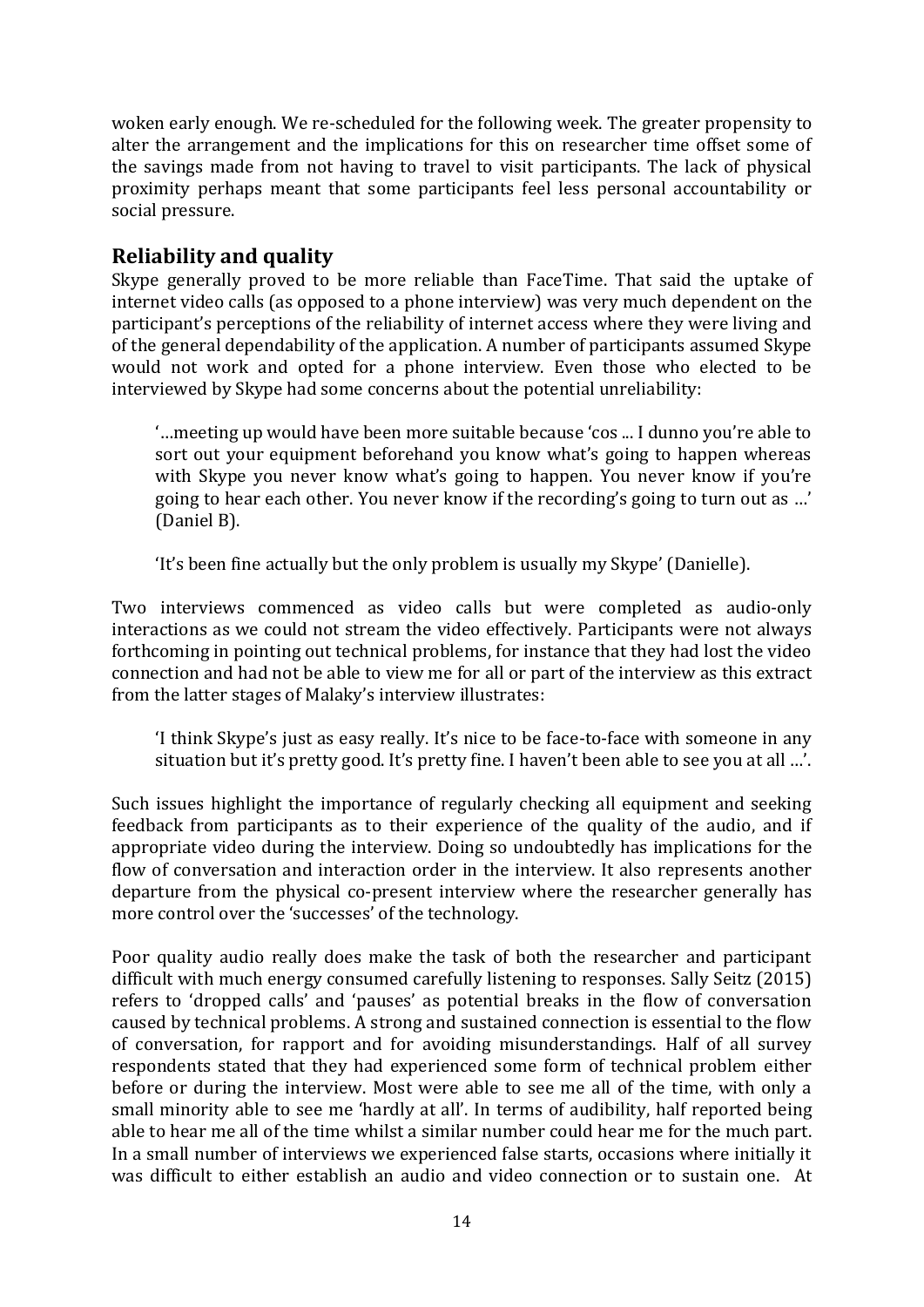woken early enough. We re-scheduled for the following week. The greater propensity to alter the arrangement and the implications for this on researcher time offset some of the savings made from not having to travel to visit participants. The lack of physical proximity perhaps meant that some participants feel less personal accountability or social pressure.

# **Reliability and quality**

Skype generally proved to be more reliable than FaceTime. That said the uptake of internet video calls (as opposed to a phone interview) was very much dependent on the participant's perceptions of the reliability of internet access where they were living and of the general dependability of the application. A number of participants assumed Skype would not work and opted for a phone interview. Even those who elected to be interviewed by Skype had some concerns about the potential unreliability:

'…meeting up would have been more suitable because 'cos ... I dunno you're able to sort out your equipment beforehand you know what's going to happen whereas with Skype you never know what's going to happen. You never know if you're going to hear each other. You never know if the recording's going to turn out as …' (Daniel B).

'It's been fine actually but the only problem is usually my Skype' (Danielle).

Two interviews commenced as video calls but were completed as audio-only interactions as we could not stream the video effectively. Participants were not always forthcoming in pointing out technical problems, for instance that they had lost the video connection and had not be able to view me for all or part of the interview as this extract from the latter stages of Malaky's interview illustrates:

'I think Skype's just as easy really. It's nice to be face-to-face with someone in any situation but it's pretty good. It's pretty fine. I haven't been able to see you at all …'.

Such issues highlight the importance of regularly checking all equipment and seeking feedback from participants as to their experience of the quality of the audio, and if appropriate video during the interview. Doing so undoubtedly has implications for the flow of conversation and interaction order in the interview. It also represents another departure from the physical co-present interview where the researcher generally has more control over the 'successes' of the technology.

Poor quality audio really does make the task of both the researcher and participant difficult with much energy consumed carefully listening to responses. Sally Seitz (2015) refers to 'dropped calls' and 'pauses' as potential breaks in the flow of conversation caused by technical problems. A strong and sustained connection is essential to the flow of conversation, for rapport and for avoiding misunderstandings. Half of all survey respondents stated that they had experienced some form of technical problem either before or during the interview. Most were able to see me all of the time, with only a small minority able to see me 'hardly at all'. In terms of audibility, half reported being able to hear me all of the time whilst a similar number could hear me for the much part. In a small number of interviews we experienced false starts, occasions where initially it was difficult to either establish an audio and video connection or to sustain one. At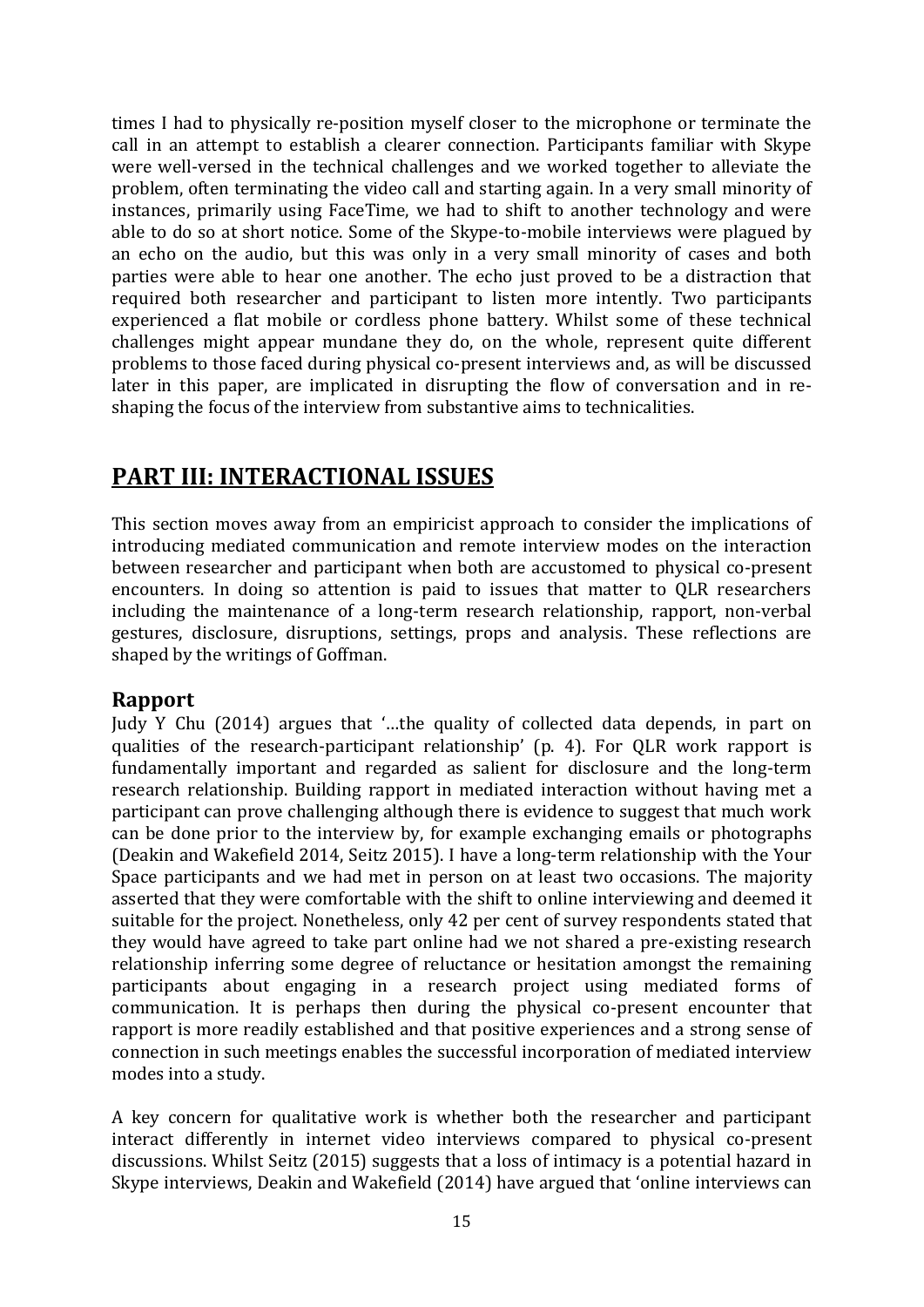times I had to physically re-position myself closer to the microphone or terminate the call in an attempt to establish a clearer connection. Participants familiar with Skype were well-versed in the technical challenges and we worked together to alleviate the problem, often terminating the video call and starting again. In a very small minority of instances, primarily using FaceTime, we had to shift to another technology and were able to do so at short notice. Some of the Skype-to-mobile interviews were plagued by an echo on the audio, but this was only in a very small minority of cases and both parties were able to hear one another. The echo just proved to be a distraction that required both researcher and participant to listen more intently. Two participants experienced a flat mobile or cordless phone battery. Whilst some of these technical challenges might appear mundane they do, on the whole, represent quite different problems to those faced during physical co-present interviews and, as will be discussed later in this paper, are implicated in disrupting the flow of conversation and in reshaping the focus of the interview from substantive aims to technicalities.

# **PART III: INTERACTIONAL ISSUES**

This section moves away from an empiricist approach to consider the implications of introducing mediated communication and remote interview modes on the interaction between researcher and participant when both are accustomed to physical co-present encounters. In doing so attention is paid to issues that matter to QLR researchers including the maintenance of a long-term research relationship, rapport, non-verbal gestures, disclosure, disruptions, settings, props and analysis. These reflections are shaped by the writings of Goffman.

# **Rapport**

Judy Y Chu (2014) argues that '…the quality of collected data depends, in part on qualities of the research-participant relationship' (p. 4). For QLR work rapport is fundamentally important and regarded as salient for disclosure and the long-term research relationship. Building rapport in mediated interaction without having met a participant can prove challenging although there is evidence to suggest that much work can be done prior to the interview by, for example exchanging emails or photographs (Deakin and Wakefield 2014, Seitz 2015). I have a long-term relationship with the Your Space participants and we had met in person on at least two occasions. The majority asserted that they were comfortable with the shift to online interviewing and deemed it suitable for the project. Nonetheless, only 42 per cent of survey respondents stated that they would have agreed to take part online had we not shared a pre-existing research relationship inferring some degree of reluctance or hesitation amongst the remaining participants about engaging in a research project using mediated forms of communication. It is perhaps then during the physical co-present encounter that rapport is more readily established and that positive experiences and a strong sense of connection in such meetings enables the successful incorporation of mediated interview modes into a study.

A key concern for qualitative work is whether both the researcher and participant interact differently in internet video interviews compared to physical co-present discussions. Whilst Seitz (2015) suggests that a loss of intimacy is a potential hazard in Skype interviews, Deakin and Wakefield (2014) have argued that 'online interviews can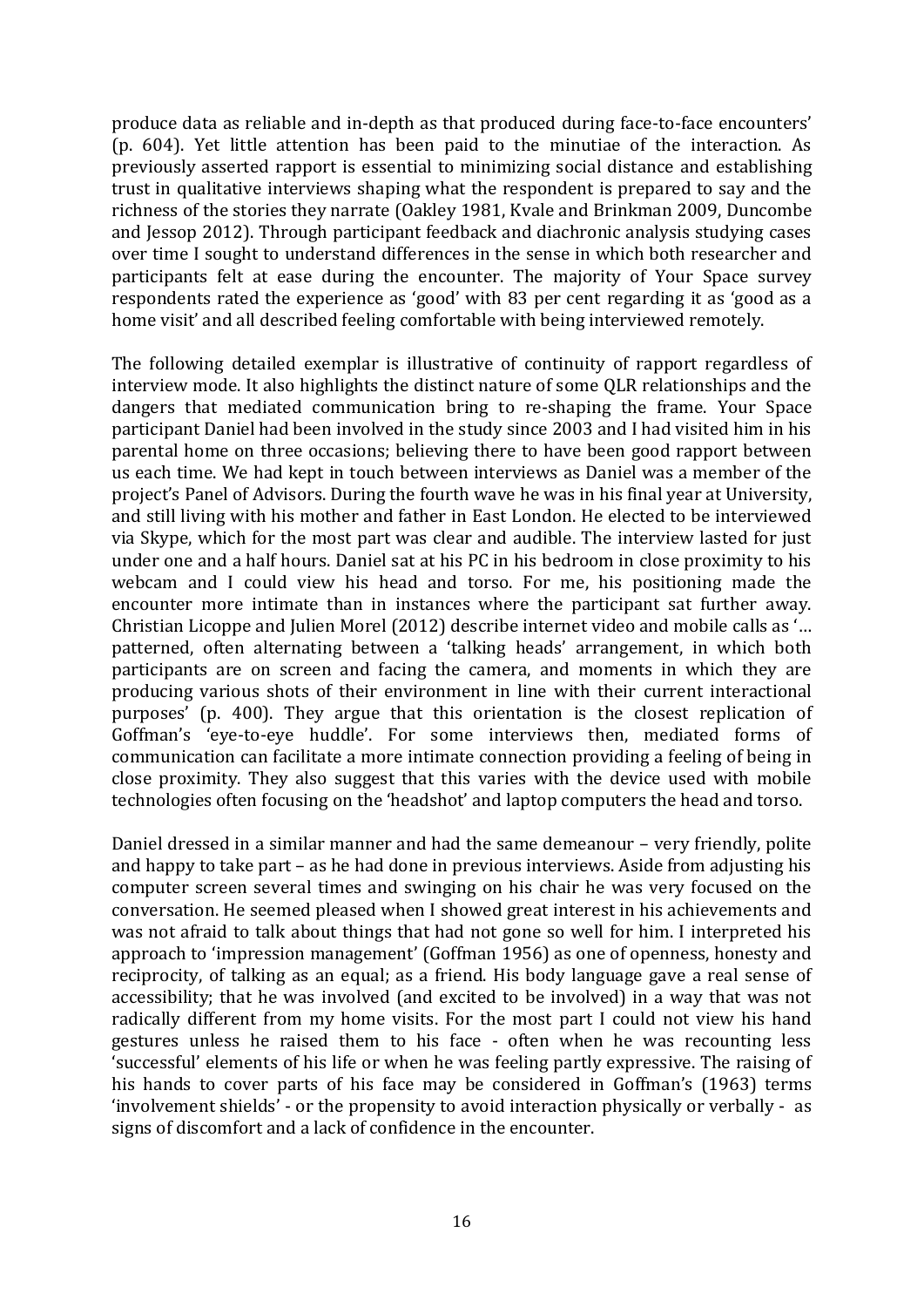produce data as reliable and in-depth as that produced during face-to-face encounters' (p. 604). Yet little attention has been paid to the minutiae of the interaction. As previously asserted rapport is essential to minimizing social distance and establishing trust in qualitative interviews shaping what the respondent is prepared to say and the richness of the stories they narrate (Oakley 1981, Kvale and Brinkman 2009, Duncombe and Jessop 2012). Through participant feedback and diachronic analysis studying cases over time I sought to understand differences in the sense in which both researcher and participants felt at ease during the encounter. The majority of Your Space survey respondents rated the experience as 'good' with 83 per cent regarding it as 'good as a home visit' and all described feeling comfortable with being interviewed remotely.

The following detailed exemplar is illustrative of continuity of rapport regardless of interview mode. It also highlights the distinct nature of some QLR relationships and the dangers that mediated communication bring to re-shaping the frame. Your Space participant Daniel had been involved in the study since 2003 and I had visited him in his parental home on three occasions; believing there to have been good rapport between us each time. We had kept in touch between interviews as Daniel was a member of the project's Panel of Advisors. During the fourth wave he was in his final year at University, and still living with his mother and father in East London. He elected to be interviewed via Skype, which for the most part was clear and audible. The interview lasted for just under one and a half hours. Daniel sat at his PC in his bedroom in close proximity to his webcam and I could view his head and torso. For me, his positioning made the encounter more intimate than in instances where the participant sat further away. Christian Licoppe and Julien Morel (2012) describe internet video and mobile calls as '… patterned, often alternating between a 'talking heads' arrangement, in which both participants are on screen and facing the camera, and moments in which they are producing various shots of their environment in line with their current interactional purposes' (p. 400). They argue that this orientation is the closest replication of Goffman's 'eye-to-eye huddle'. For some interviews then, mediated forms of communication can facilitate a more intimate connection providing a feeling of being in close proximity. They also suggest that this varies with the device used with mobile technologies often focusing on the 'headshot' and laptop computers the head and torso.

Daniel dressed in a similar manner and had the same demeanour – very friendly, polite and happy to take part – as he had done in previous interviews. Aside from adjusting his computer screen several times and swinging on his chair he was very focused on the conversation. He seemed pleased when I showed great interest in his achievements and was not afraid to talk about things that had not gone so well for him. I interpreted his approach to 'impression management' (Goffman 1956) as one of openness, honesty and reciprocity, of talking as an equal; as a friend. His body language gave a real sense of accessibility; that he was involved (and excited to be involved) in a way that was not radically different from my home visits. For the most part I could not view his hand gestures unless he raised them to his face - often when he was recounting less 'successful' elements of his life or when he was feeling partly expressive. The raising of his hands to cover parts of his face may be considered in Goffman's (1963) terms 'involvement shields' - or the propensity to avoid interaction physically or verbally - as signs of discomfort and a lack of confidence in the encounter.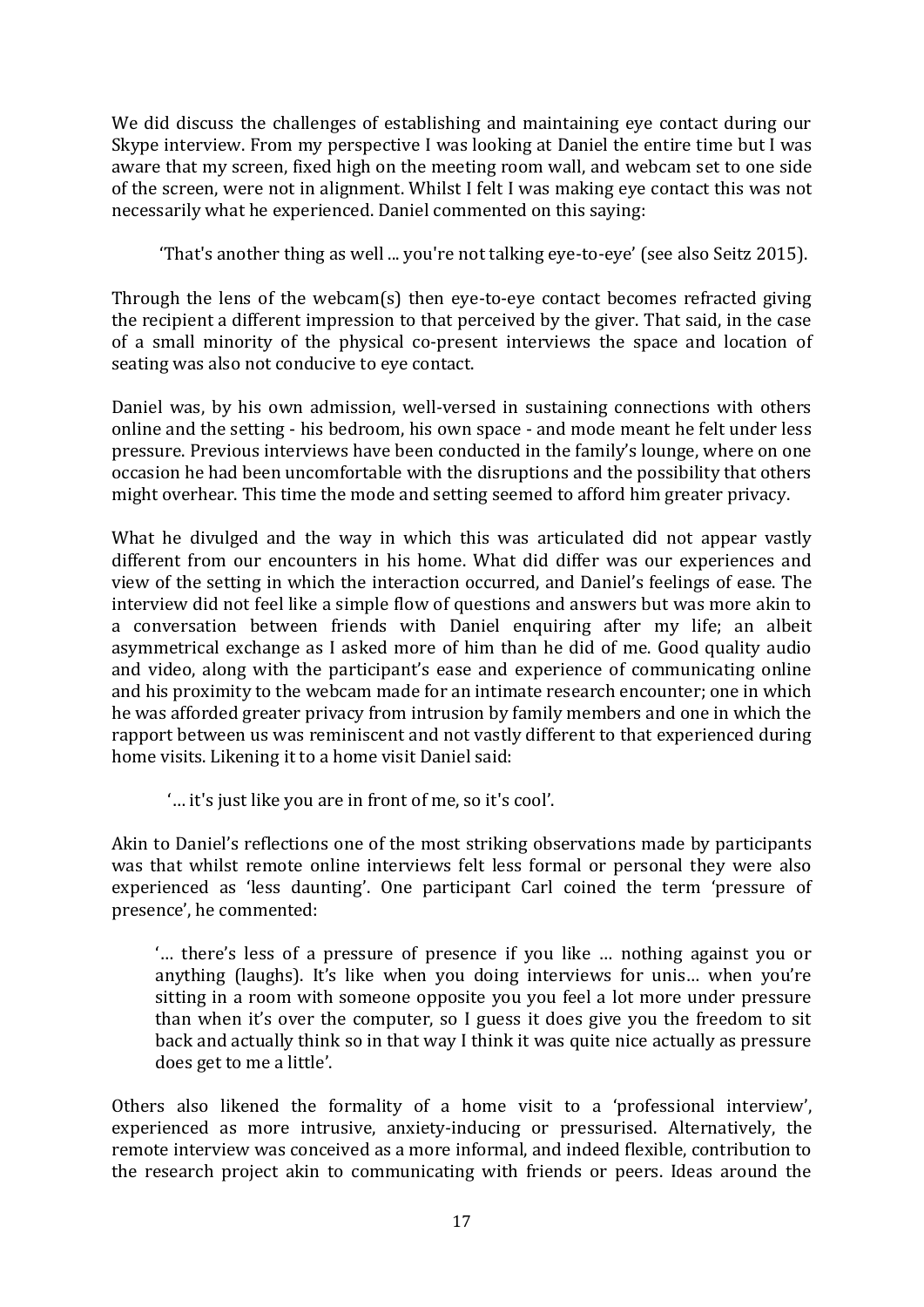We did discuss the challenges of establishing and maintaining eye contact during our Skype interview. From my perspective I was looking at Daniel the entire time but I was aware that my screen, fixed high on the meeting room wall, and webcam set to one side of the screen, were not in alignment. Whilst I felt I was making eye contact this was not necessarily what he experienced. Daniel commented on this saying:

'That's another thing as well ... you're not talking eye-to-eye' (see also Seitz 2015).

Through the lens of the webcam(s) then eye-to-eye contact becomes refracted giving the recipient a different impression to that perceived by the giver. That said, in the case of a small minority of the physical co-present interviews the space and location of seating was also not conducive to eye contact.

Daniel was, by his own admission, well-versed in sustaining connections with others online and the setting - his bedroom, his own space - and mode meant he felt under less pressure. Previous interviews have been conducted in the family's lounge, where on one occasion he had been uncomfortable with the disruptions and the possibility that others might overhear. This time the mode and setting seemed to afford him greater privacy.

What he divulged and the way in which this was articulated did not appear vastly different from our encounters in his home. What did differ was our experiences and view of the setting in which the interaction occurred, and Daniel's feelings of ease. The interview did not feel like a simple flow of questions and answers but was more akin to a conversation between friends with Daniel enquiring after my life; an albeit asymmetrical exchange as I asked more of him than he did of me. Good quality audio and video, along with the participant's ease and experience of communicating online and his proximity to the webcam made for an intimate research encounter; one in which he was afforded greater privacy from intrusion by family members and one in which the rapport between us was reminiscent and not vastly different to that experienced during home visits. Likening it to a home visit Daniel said:

'… it's just like you are in front of me, so it's cool'.

Akin to Daniel's reflections one of the most striking observations made by participants was that whilst remote online interviews felt less formal or personal they were also experienced as 'less daunting'. One participant Carl coined the term 'pressure of presence', he commented:

'… there's less of a pressure of presence if you like … nothing against you or anything (laughs). It's like when you doing interviews for unis… when you're sitting in a room with someone opposite you you feel a lot more under pressure than when it's over the computer, so I guess it does give you the freedom to sit back and actually think so in that way I think it was quite nice actually as pressure does get to me a little'.

Others also likened the formality of a home visit to a 'professional interview', experienced as more intrusive, anxiety-inducing or pressurised. Alternatively, the remote interview was conceived as a more informal, and indeed flexible, contribution to the research project akin to communicating with friends or peers. Ideas around the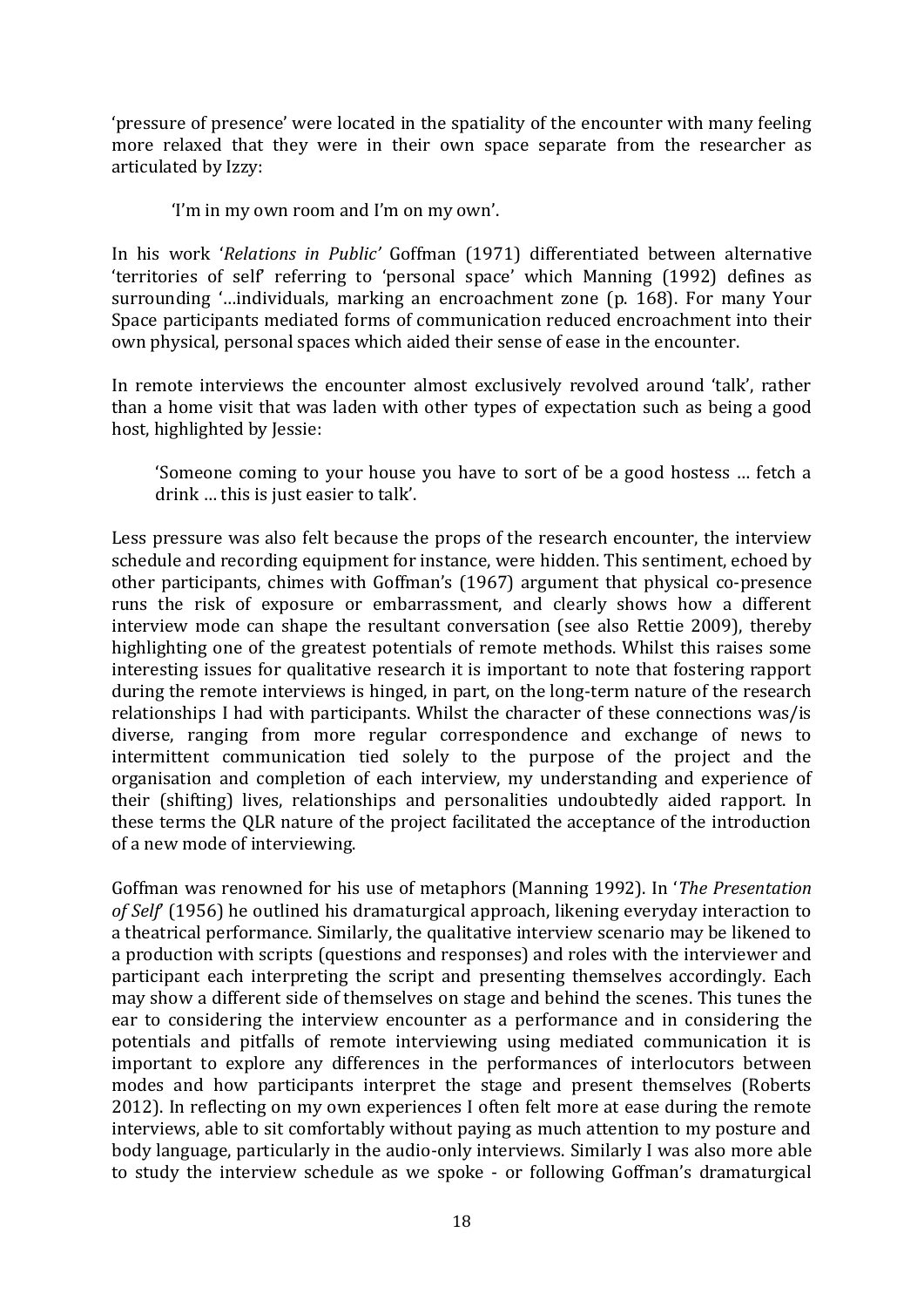'pressure of presence' were located in the spatiality of the encounter with many feeling more relaxed that they were in their own space separate from the researcher as articulated by Izzy:

'I'm in my own room and I'm on my own'.

In his work '*Relations in Public'* Goffman (1971) differentiated between alternative 'territories of self' referring to 'personal space' which Manning (1992) defines as surrounding '…individuals, marking an encroachment zone (p. 168). For many Your Space participants mediated forms of communication reduced encroachment into their own physical, personal spaces which aided their sense of ease in the encounter.

In remote interviews the encounter almost exclusively revolved around 'talk', rather than a home visit that was laden with other types of expectation such as being a good host, highlighted by Jessie:

'Someone coming to your house you have to sort of be a good hostess … fetch a drink … this is just easier to talk'.

Less pressure was also felt because the props of the research encounter, the interview schedule and recording equipment for instance, were hidden. This sentiment, echoed by other participants, chimes with Goffman's (1967) argument that physical co-presence runs the risk of exposure or embarrassment, and clearly shows how a different interview mode can shape the resultant conversation (see also Rettie 2009), thereby highlighting one of the greatest potentials of remote methods. Whilst this raises some interesting issues for qualitative research it is important to note that fostering rapport during the remote interviews is hinged, in part, on the long-term nature of the research relationships I had with participants. Whilst the character of these connections was/is diverse, ranging from more regular correspondence and exchange of news to intermittent communication tied solely to the purpose of the project and the organisation and completion of each interview, my understanding and experience of their (shifting) lives, relationships and personalities undoubtedly aided rapport. In these terms the QLR nature of the project facilitated the acceptance of the introduction of a new mode of interviewing.

Goffman was renowned for his use of metaphors (Manning 1992). In '*The Presentation of Self*' (1956) he outlined his dramaturgical approach, likening everyday interaction to a theatrical performance. Similarly, the qualitative interview scenario may be likened to a production with scripts (questions and responses) and roles with the interviewer and participant each interpreting the script and presenting themselves accordingly. Each may show a different side of themselves on stage and behind the scenes. This tunes the ear to considering the interview encounter as a performance and in considering the potentials and pitfalls of remote interviewing using mediated communication it is important to explore any differences in the performances of interlocutors between modes and how participants interpret the stage and present themselves (Roberts 2012). In reflecting on my own experiences I often felt more at ease during the remote interviews, able to sit comfortably without paying as much attention to my posture and body language, particularly in the audio-only interviews. Similarly I was also more able to study the interview schedule as we spoke - or following Goffman's dramaturgical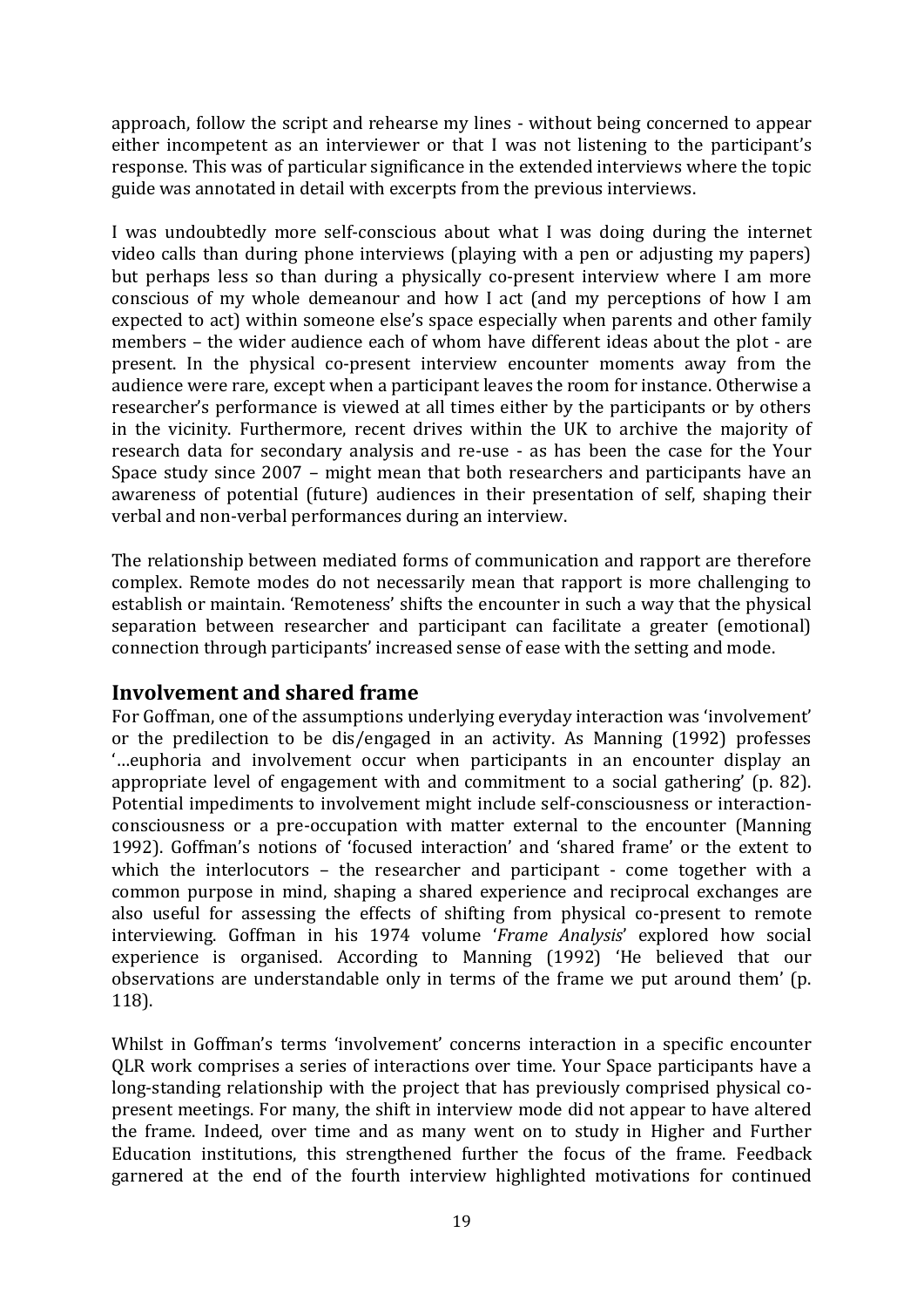approach, follow the script and rehearse my lines - without being concerned to appear either incompetent as an interviewer or that I was not listening to the participant's response. This was of particular significance in the extended interviews where the topic guide was annotated in detail with excerpts from the previous interviews.

I was undoubtedly more self-conscious about what I was doing during the internet video calls than during phone interviews (playing with a pen or adjusting my papers) but perhaps less so than during a physically co-present interview where I am more conscious of my whole demeanour and how I act (and my perceptions of how I am expected to act) within someone else's space especially when parents and other family members – the wider audience each of whom have different ideas about the plot - are present. In the physical co-present interview encounter moments away from the audience were rare, except when a participant leaves the room for instance. Otherwise a researcher's performance is viewed at all times either by the participants or by others in the vicinity. Furthermore, recent drives within the UK to archive the majority of research data for secondary analysis and re-use - as has been the case for the Your Space study since 2007 – might mean that both researchers and participants have an awareness of potential (future) audiences in their presentation of self, shaping their verbal and non-verbal performances during an interview.

The relationship between mediated forms of communication and rapport are therefore complex. Remote modes do not necessarily mean that rapport is more challenging to establish or maintain. 'Remoteness' shifts the encounter in such a way that the physical separation between researcher and participant can facilitate a greater (emotional) connection through participants' increased sense of ease with the setting and mode.

## **Involvement and shared frame**

For Goffman, one of the assumptions underlying everyday interaction was 'involvement' or the predilection to be dis/engaged in an activity. As Manning (1992) professes '…euphoria and involvement occur when participants in an encounter display an appropriate level of engagement with and commitment to a social gathering' (p. 82). Potential impediments to involvement might include self-consciousness or interactionconsciousness or a pre-occupation with matter external to the encounter (Manning 1992). Goffman's notions of 'focused interaction' and 'shared frame' or the extent to which the interlocutors – the researcher and participant - come together with a common purpose in mind, shaping a shared experience and reciprocal exchanges are also useful for assessing the effects of shifting from physical co-present to remote interviewing. Goffman in his 1974 volume '*Frame Analysis*' explored how social experience is organised. According to Manning (1992) 'He believed that our observations are understandable only in terms of the frame we put around them' (p. 118).

Whilst in Goffman's terms 'involvement' concerns interaction in a specific encounter QLR work comprises a series of interactions over time. Your Space participants have a long-standing relationship with the project that has previously comprised physical copresent meetings. For many, the shift in interview mode did not appear to have altered the frame. Indeed, over time and as many went on to study in Higher and Further Education institutions, this strengthened further the focus of the frame. Feedback garnered at the end of the fourth interview highlighted motivations for continued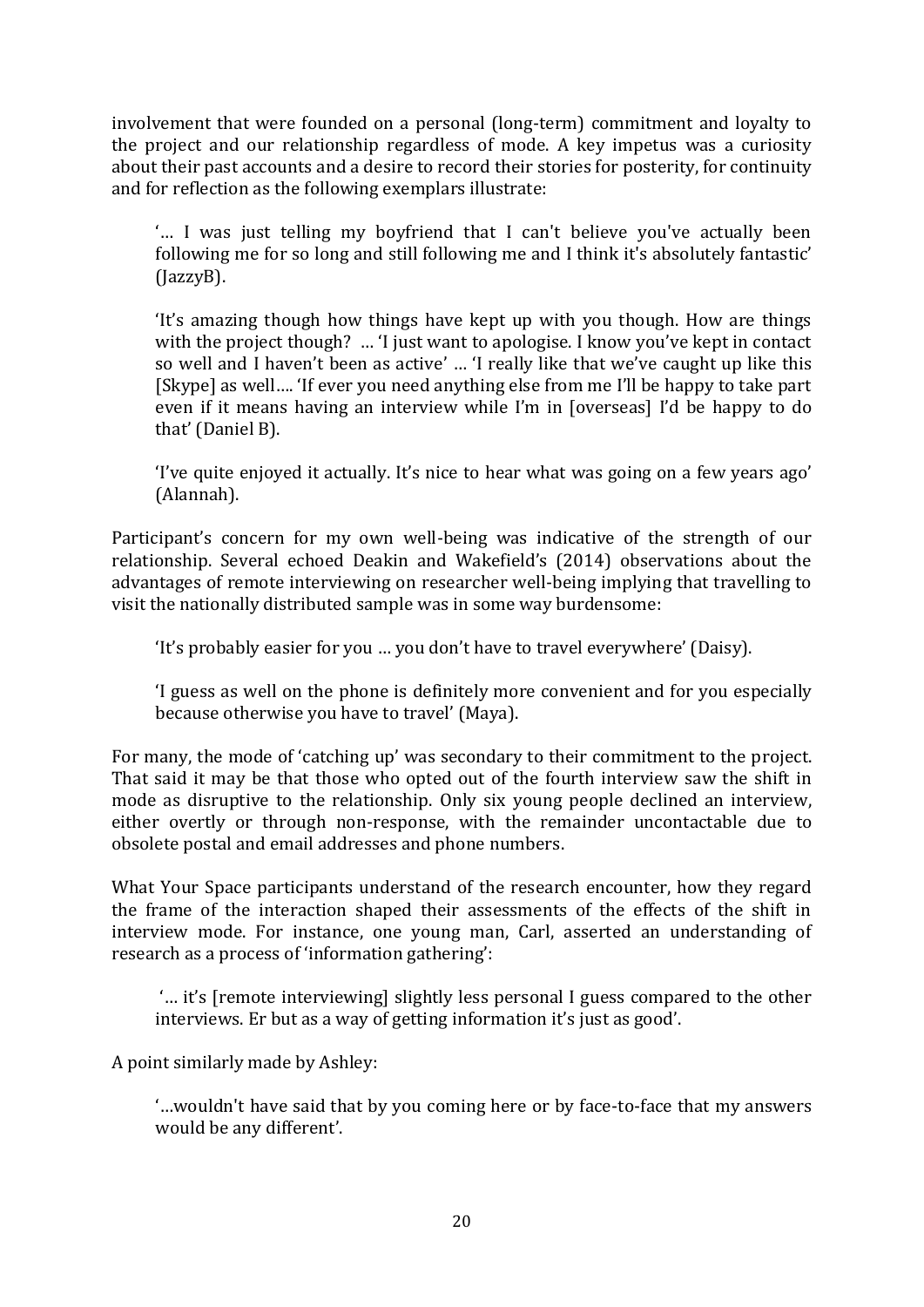involvement that were founded on a personal (long-term) commitment and loyalty to the project and our relationship regardless of mode. A key impetus was a curiosity about their past accounts and a desire to record their stories for posterity, for continuity and for reflection as the following exemplars illustrate:

'… I was just telling my boyfriend that I can't believe you've actually been following me for so long and still following me and I think it's absolutely fantastic' (JazzyB).

'It's amazing though how things have kept up with you though. How are things with the project though? ... 'I just want to apologise. I know you've kept in contact so well and I haven't been as active' … 'I really like that we've caught up like this [Skype] as well…. 'If ever you need anything else from me I'll be happy to take part even if it means having an interview while I'm in [overseas] I'd be happy to do that' (Daniel B).

'I've quite enjoyed it actually. It's nice to hear what was going on a few years ago' (Alannah).

Participant's concern for my own well-being was indicative of the strength of our relationship. Several echoed Deakin and Wakefield's (2014) observations about the advantages of remote interviewing on researcher well-being implying that travelling to visit the nationally distributed sample was in some way burdensome:

'It's probably easier for you … you don't have to travel everywhere' (Daisy).

'I guess as well on the phone is definitely more convenient and for you especially because otherwise you have to travel' (Maya).

For many, the mode of 'catching up' was secondary to their commitment to the project. That said it may be that those who opted out of the fourth interview saw the shift in mode as disruptive to the relationship. Only six young people declined an interview, either overtly or through non-response, with the remainder uncontactable due to obsolete postal and email addresses and phone numbers.

What Your Space participants understand of the research encounter, how they regard the frame of the interaction shaped their assessments of the effects of the shift in interview mode. For instance, one young man, Carl, asserted an understanding of research as a process of 'information gathering':

'… it's [remote interviewing] slightly less personal I guess compared to the other interviews. Er but as a way of getting information it's just as good'.

A point similarly made by Ashley:

'…wouldn't have said that by you coming here or by face-to-face that my answers would be any different'.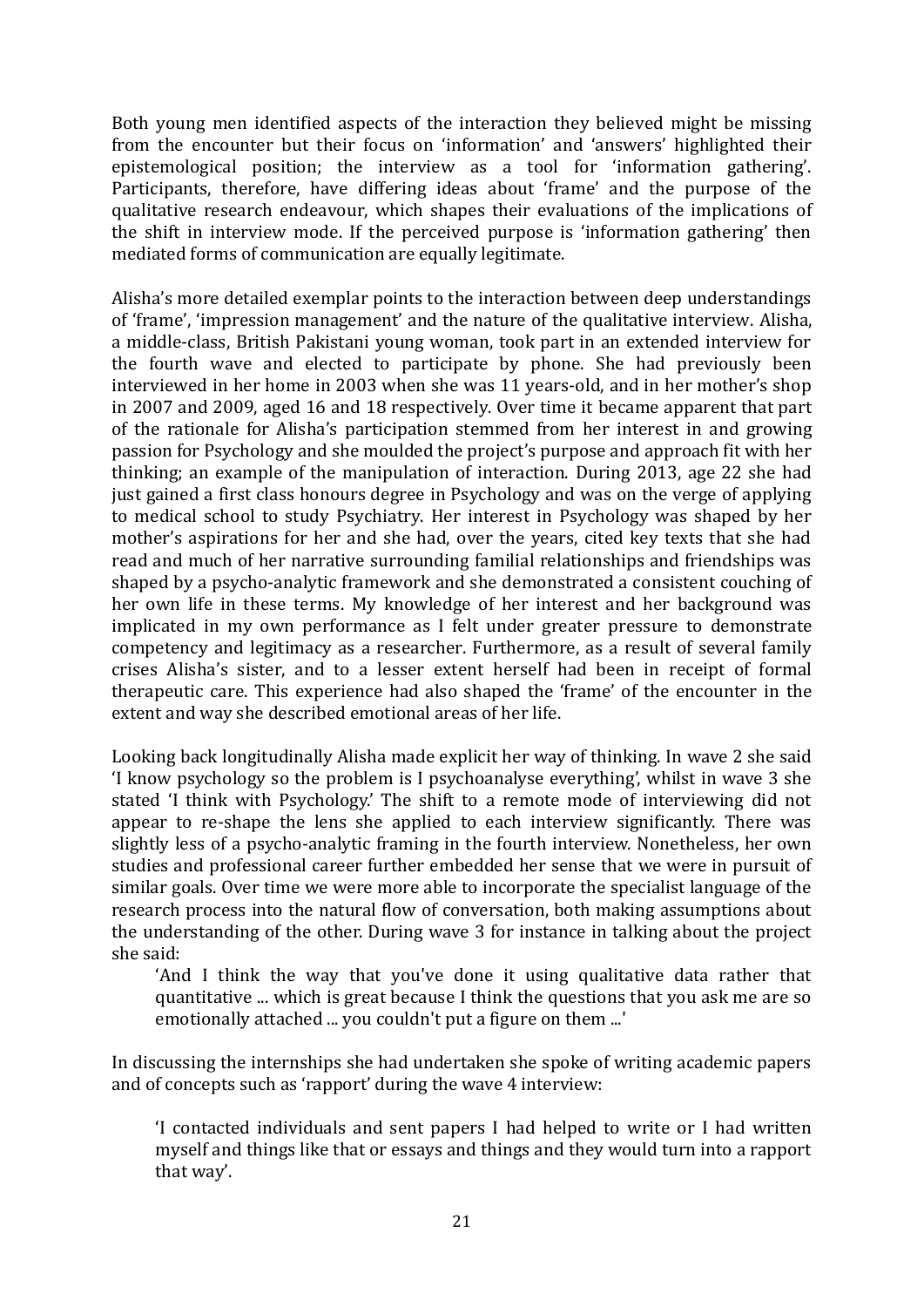Both young men identified aspects of the interaction they believed might be missing from the encounter but their focus on 'information' and 'answers' highlighted their epistemological position; the interview as a tool for 'information gathering'. Participants, therefore, have differing ideas about 'frame' and the purpose of the qualitative research endeavour, which shapes their evaluations of the implications of the shift in interview mode. If the perceived purpose is 'information gathering' then mediated forms of communication are equally legitimate.

Alisha's more detailed exemplar points to the interaction between deep understandings of 'frame', 'impression management' and the nature of the qualitative interview. Alisha, a middle-class, British Pakistani young woman, took part in an extended interview for the fourth wave and elected to participate by phone. She had previously been interviewed in her home in 2003 when she was 11 years-old, and in her mother's shop in 2007 and 2009, aged 16 and 18 respectively. Over time it became apparent that part of the rationale for Alisha's participation stemmed from her interest in and growing passion for Psychology and she moulded the project's purpose and approach fit with her thinking; an example of the manipulation of interaction. During 2013, age 22 she had just gained a first class honours degree in Psychology and was on the verge of applying to medical school to study Psychiatry. Her interest in Psychology was shaped by her mother's aspirations for her and she had, over the years, cited key texts that she had read and much of her narrative surrounding familial relationships and friendships was shaped by a psycho-analytic framework and she demonstrated a consistent couching of her own life in these terms. My knowledge of her interest and her background was implicated in my own performance as I felt under greater pressure to demonstrate competency and legitimacy as a researcher. Furthermore, as a result of several family crises Alisha's sister, and to a lesser extent herself had been in receipt of formal therapeutic care. This experience had also shaped the 'frame' of the encounter in the extent and way she described emotional areas of her life.

Looking back longitudinally Alisha made explicit her way of thinking. In wave 2 she said 'I know psychology so the problem is I psychoanalyse everything', whilst in wave 3 she stated 'I think with Psychology.' The shift to a remote mode of interviewing did not appear to re-shape the lens she applied to each interview significantly. There was slightly less of a psycho-analytic framing in the fourth interview. Nonetheless, her own studies and professional career further embedded her sense that we were in pursuit of similar goals. Over time we were more able to incorporate the specialist language of the research process into the natural flow of conversation, both making assumptions about the understanding of the other. During wave 3 for instance in talking about the project she said:

'And I think the way that you've done it using qualitative data rather that quantitative ... which is great because I think the questions that you ask me are so emotionally attached ... you couldn't put a figure on them ...'

In discussing the internships she had undertaken she spoke of writing academic papers and of concepts such as 'rapport' during the wave 4 interview:

'I contacted individuals and sent papers I had helped to write or I had written myself and things like that or essays and things and they would turn into a rapport that way'.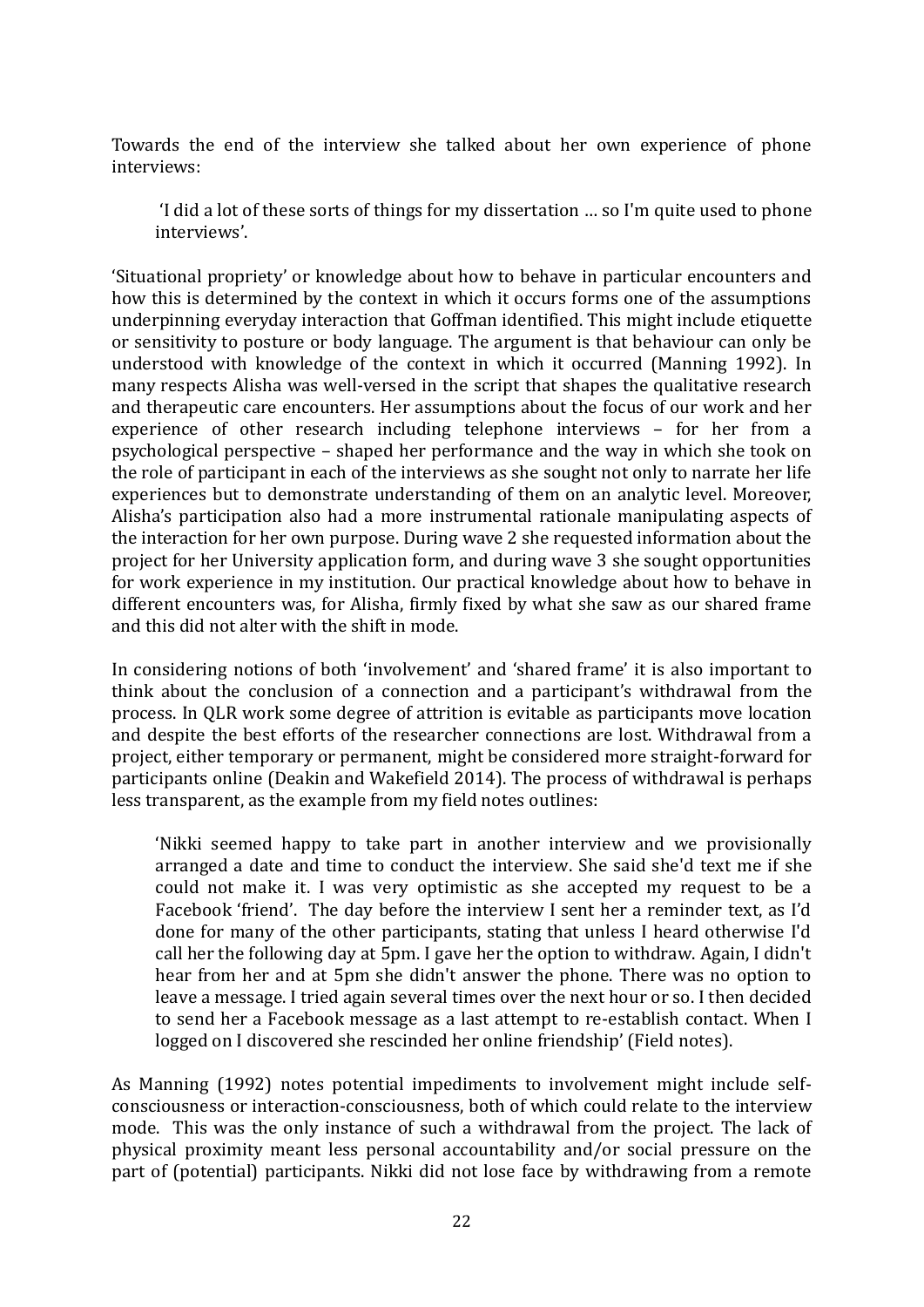Towards the end of the interview she talked about her own experience of phone interviews:

'I did a lot of these sorts of things for my dissertation … so I'm quite used to phone interviews'.

'Situational propriety' or knowledge about how to behave in particular encounters and how this is determined by the context in which it occurs forms one of the assumptions underpinning everyday interaction that Goffman identified. This might include etiquette or sensitivity to posture or body language. The argument is that behaviour can only be understood with knowledge of the context in which it occurred (Manning 1992). In many respects Alisha was well-versed in the script that shapes the qualitative research and therapeutic care encounters. Her assumptions about the focus of our work and her experience of other research including telephone interviews – for her from a psychological perspective – shaped her performance and the way in which she took on the role of participant in each of the interviews as she sought not only to narrate her life experiences but to demonstrate understanding of them on an analytic level. Moreover, Alisha's participation also had a more instrumental rationale manipulating aspects of the interaction for her own purpose. During wave 2 she requested information about the project for her University application form, and during wave 3 she sought opportunities for work experience in my institution. Our practical knowledge about how to behave in different encounters was, for Alisha, firmly fixed by what she saw as our shared frame and this did not alter with the shift in mode.

In considering notions of both 'involvement' and 'shared frame' it is also important to think about the conclusion of a connection and a participant's withdrawal from the process. In QLR work some degree of attrition is evitable as participants move location and despite the best efforts of the researcher connections are lost. Withdrawal from a project, either temporary or permanent, might be considered more straight-forward for participants online (Deakin and Wakefield 2014). The process of withdrawal is perhaps less transparent, as the example from my field notes outlines:

'Nikki seemed happy to take part in another interview and we provisionally arranged a date and time to conduct the interview. She said she'd text me if she could not make it. I was very optimistic as she accepted my request to be a Facebook 'friend'. The day before the interview I sent her a reminder text, as I'd done for many of the other participants, stating that unless I heard otherwise I'd call her the following day at 5pm. I gave her the option to withdraw. Again, I didn't hear from her and at 5pm she didn't answer the phone. There was no option to leave a message. I tried again several times over the next hour or so. I then decided to send her a Facebook message as a last attempt to re-establish contact. When I logged on I discovered she rescinded her online friendship' (Field notes).

As Manning (1992) notes potential impediments to involvement might include selfconsciousness or interaction-consciousness, both of which could relate to the interview mode. This was the only instance of such a withdrawal from the project. The lack of physical proximity meant less personal accountability and/or social pressure on the part of (potential) participants. Nikki did not lose face by withdrawing from a remote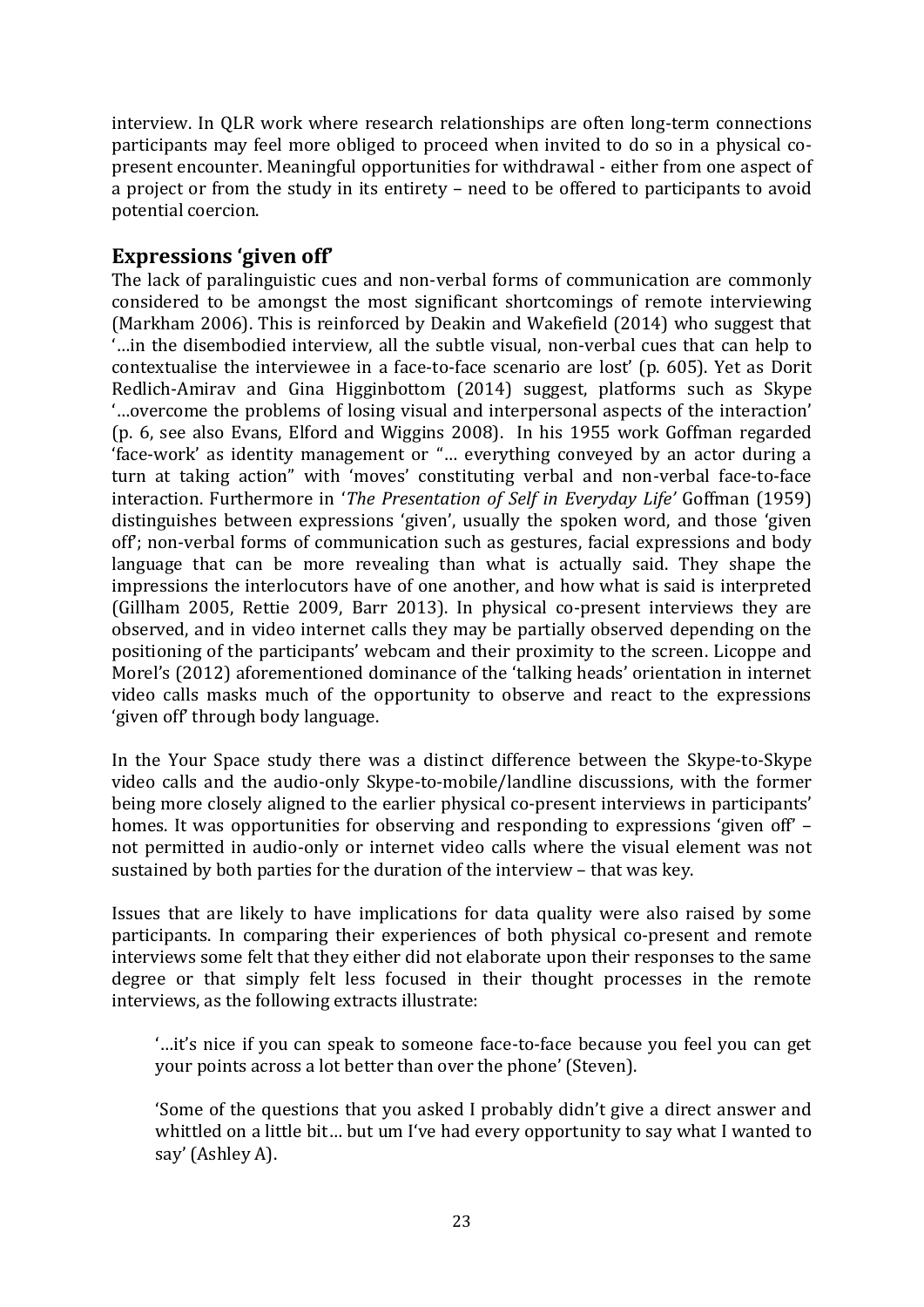interview. In QLR work where research relationships are often long-term connections participants may feel more obliged to proceed when invited to do so in a physical copresent encounter. Meaningful opportunities for withdrawal - either from one aspect of a project or from the study in its entirety – need to be offered to participants to avoid potential coercion.

# **Expressions 'given off'**

The lack of paralinguistic cues and non-verbal forms of communication are commonly considered to be amongst the most significant shortcomings of remote interviewing (Markham 2006). This is reinforced by Deakin and Wakefield (2014) who suggest that '…in the disembodied interview, all the subtle visual, non-verbal cues that can help to contextualise the interviewee in a face-to-face scenario are lost' (p. 605). Yet as Dorit Redlich-Amirav and Gina Higginbottom (2014) suggest, platforms such as Skype '…overcome the problems of losing visual and interpersonal aspects of the interaction' (p. 6, see also Evans, Elford and Wiggins 2008). In his 1955 work Goffman regarded 'face-work' as identity management or "… everything conveyed by an actor during a turn at taking action" with 'moves' constituting verbal and non-verbal face-to-face interaction. Furthermore in '*The Presentation of Self in Everyday Life'* Goffman (1959) distinguishes between expressions 'given', usually the spoken word, and those 'given off'; non-verbal forms of communication such as gestures, facial expressions and body language that can be more revealing than what is actually said. They shape the impressions the interlocutors have of one another, and how what is said is interpreted (Gillham 2005, Rettie 2009, Barr 2013). In physical co-present interviews they are observed, and in video internet calls they may be partially observed depending on the positioning of the participants' webcam and their proximity to the screen. Licoppe and Morel's (2012) aforementioned dominance of the 'talking heads' orientation in internet video calls masks much of the opportunity to observe and react to the expressions 'given off' through body language.

In the Your Space study there was a distinct difference between the Skype-to-Skype video calls and the audio-only Skype-to-mobile/landline discussions, with the former being more closely aligned to the earlier physical co-present interviews in participants' homes. It was opportunities for observing and responding to expressions 'given off' – not permitted in audio-only or internet video calls where the visual element was not sustained by both parties for the duration of the interview – that was key.

Issues that are likely to have implications for data quality were also raised by some participants. In comparing their experiences of both physical co-present and remote interviews some felt that they either did not elaborate upon their responses to the same degree or that simply felt less focused in their thought processes in the remote interviews, as the following extracts illustrate:

'…it's nice if you can speak to someone face-to-face because you feel you can get your points across a lot better than over the phone' (Steven).

'Some of the questions that you asked I probably didn't give a direct answer and whittled on a little bit… but um I've had every opportunity to say what I wanted to say' (Ashley A).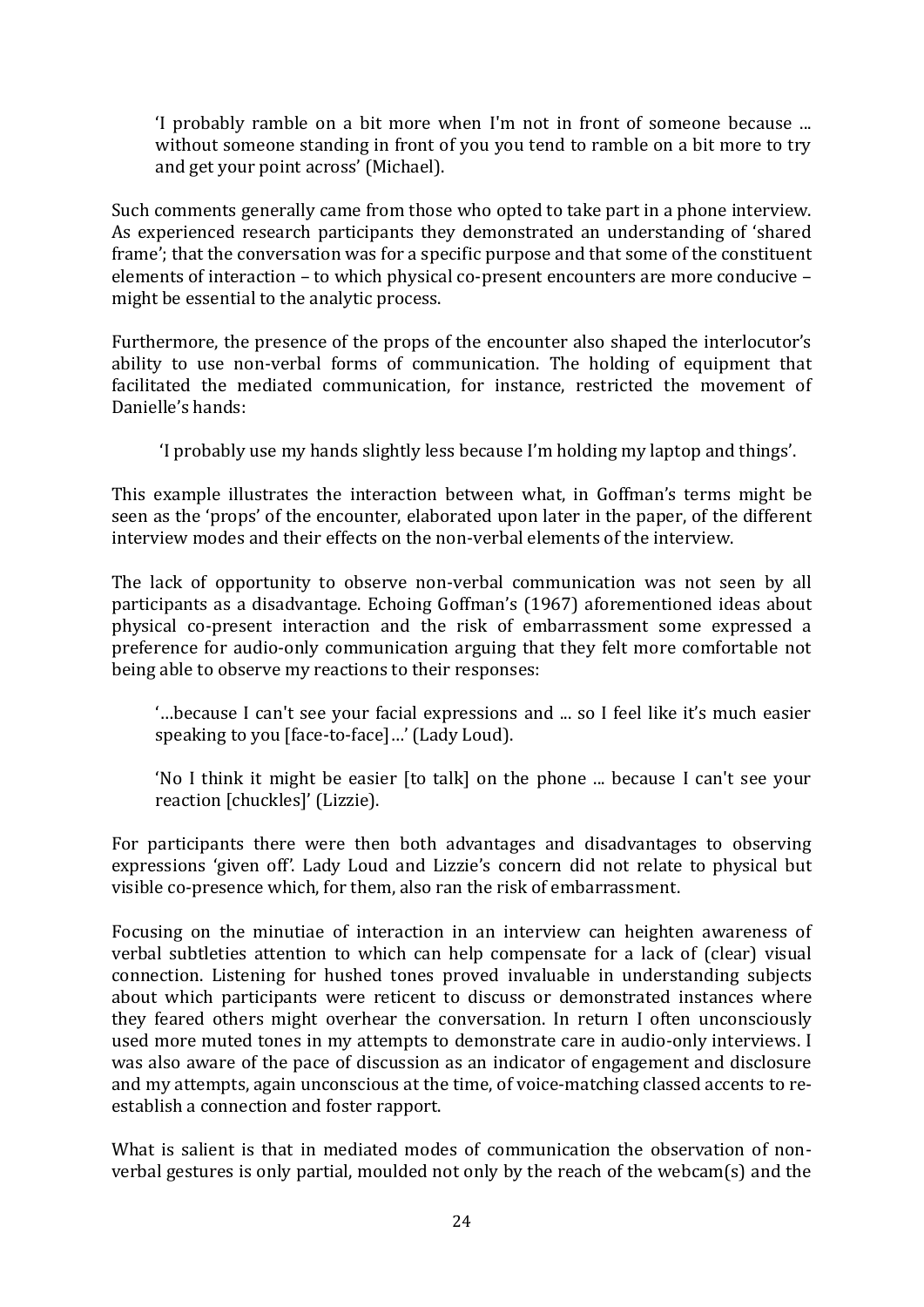'I probably ramble on a bit more when I'm not in front of someone because ... without someone standing in front of you you tend to ramble on a bit more to try and get your point across' (Michael).

Such comments generally came from those who opted to take part in a phone interview. As experienced research participants they demonstrated an understanding of 'shared frame'; that the conversation was for a specific purpose and that some of the constituent elements of interaction – to which physical co-present encounters are more conducive – might be essential to the analytic process.

Furthermore, the presence of the props of the encounter also shaped the interlocutor's ability to use non-verbal forms of communication. The holding of equipment that facilitated the mediated communication, for instance, restricted the movement of Danielle's hands:

'I probably use my hands slightly less because I'm holding my laptop and things'.

This example illustrates the interaction between what, in Goffman's terms might be seen as the 'props' of the encounter, elaborated upon later in the paper, of the different interview modes and their effects on the non-verbal elements of the interview.

The lack of opportunity to observe non-verbal communication was not seen by all participants as a disadvantage. Echoing Goffman's (1967) aforementioned ideas about physical co-present interaction and the risk of embarrassment some expressed a preference for audio-only communication arguing that they felt more comfortable not being able to observe my reactions to their responses:

'…because I can't see your facial expressions and ... so I feel like it's much easier speaking to you [face-to-face]…' (Lady Loud).

'No I think it might be easier [to talk] on the phone ... because I can't see your reaction [chuckles]' (Lizzie).

For participants there were then both advantages and disadvantages to observing expressions 'given off'. Lady Loud and Lizzie's concern did not relate to physical but visible co-presence which, for them, also ran the risk of embarrassment.

Focusing on the minutiae of interaction in an interview can heighten awareness of verbal subtleties attention to which can help compensate for a lack of (clear) visual connection. Listening for hushed tones proved invaluable in understanding subjects about which participants were reticent to discuss or demonstrated instances where they feared others might overhear the conversation. In return I often unconsciously used more muted tones in my attempts to demonstrate care in audio-only interviews. I was also aware of the pace of discussion as an indicator of engagement and disclosure and my attempts, again unconscious at the time, of voice-matching classed accents to reestablish a connection and foster rapport.

What is salient is that in mediated modes of communication the observation of nonverbal gestures is only partial, moulded not only by the reach of the webcam(s) and the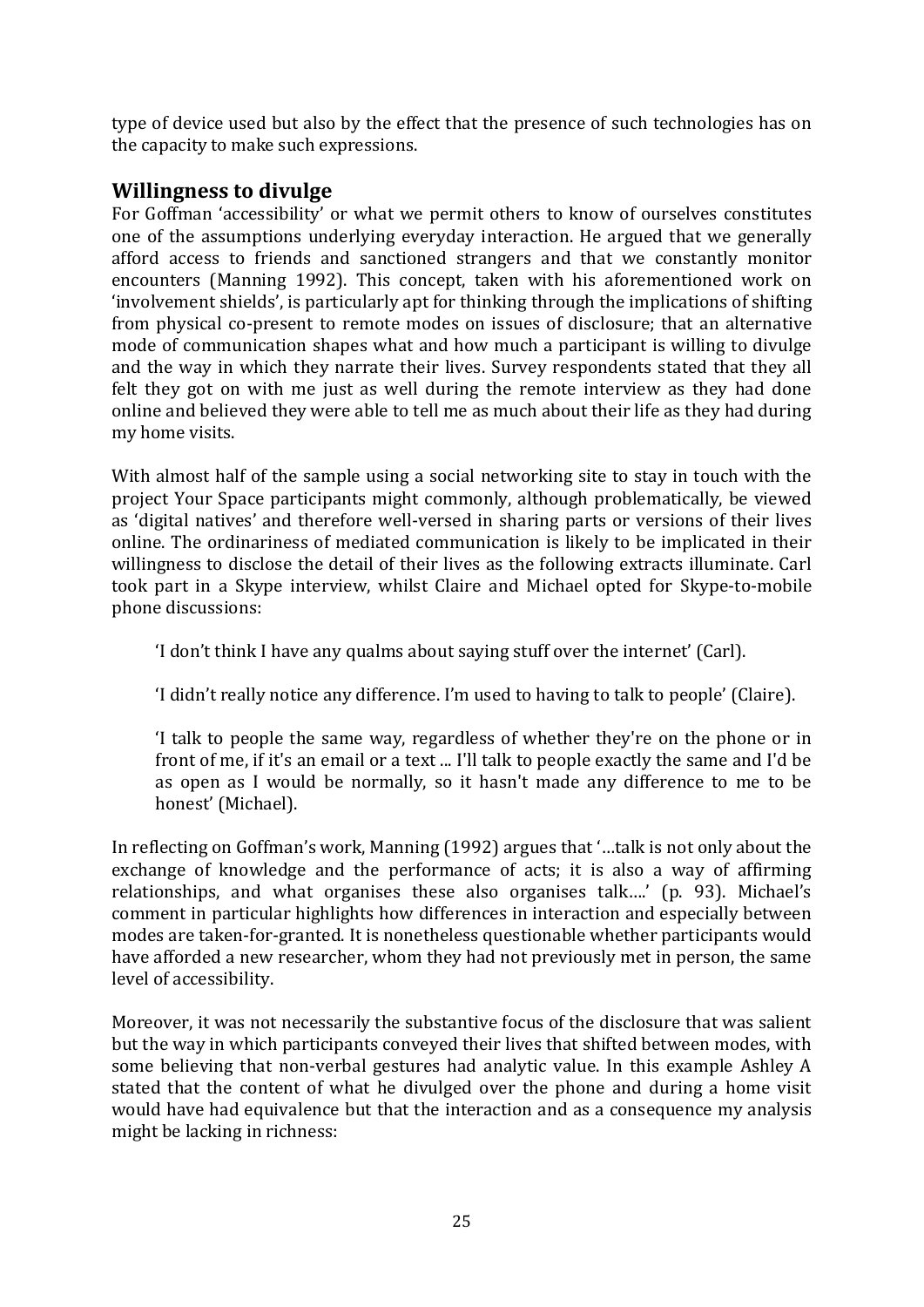type of device used but also by the effect that the presence of such technologies has on the capacity to make such expressions.

# **Willingness to divulge**

For Goffman 'accessibility' or what we permit others to know of ourselves constitutes one of the assumptions underlying everyday interaction. He argued that we generally afford access to friends and sanctioned strangers and that we constantly monitor encounters (Manning 1992). This concept, taken with his aforementioned work on 'involvement shields', is particularly apt for thinking through the implications of shifting from physical co-present to remote modes on issues of disclosure; that an alternative mode of communication shapes what and how much a participant is willing to divulge and the way in which they narrate their lives. Survey respondents stated that they all felt they got on with me just as well during the remote interview as they had done online and believed they were able to tell me as much about their life as they had during my home visits.

With almost half of the sample using a social networking site to stay in touch with the project Your Space participants might commonly, although problematically, be viewed as 'digital natives' and therefore well-versed in sharing parts or versions of their lives online. The ordinariness of mediated communication is likely to be implicated in their willingness to disclose the detail of their lives as the following extracts illuminate. Carl took part in a Skype interview, whilst Claire and Michael opted for Skype-to-mobile phone discussions:

'I don't think I have any qualms about saying stuff over the internet' (Carl).

'I didn't really notice any difference. I'm used to having to talk to people' (Claire).

'I talk to people the same way, regardless of whether they're on the phone or in front of me, if it's an email or a text ... I'll talk to people exactly the same and I'd be as open as I would be normally, so it hasn't made any difference to me to be honest' (Michael).

In reflecting on Goffman's work, Manning (1992) argues that '…talk is not only about the exchange of knowledge and the performance of acts; it is also a way of affirming relationships, and what organises these also organises talk….' (p. 93). Michael's comment in particular highlights how differences in interaction and especially between modes are taken-for-granted. It is nonetheless questionable whether participants would have afforded a new researcher, whom they had not previously met in person, the same level of accessibility.

Moreover, it was not necessarily the substantive focus of the disclosure that was salient but the way in which participants conveyed their lives that shifted between modes, with some believing that non-verbal gestures had analytic value. In this example Ashley A stated that the content of what he divulged over the phone and during a home visit would have had equivalence but that the interaction and as a consequence my analysis might be lacking in richness: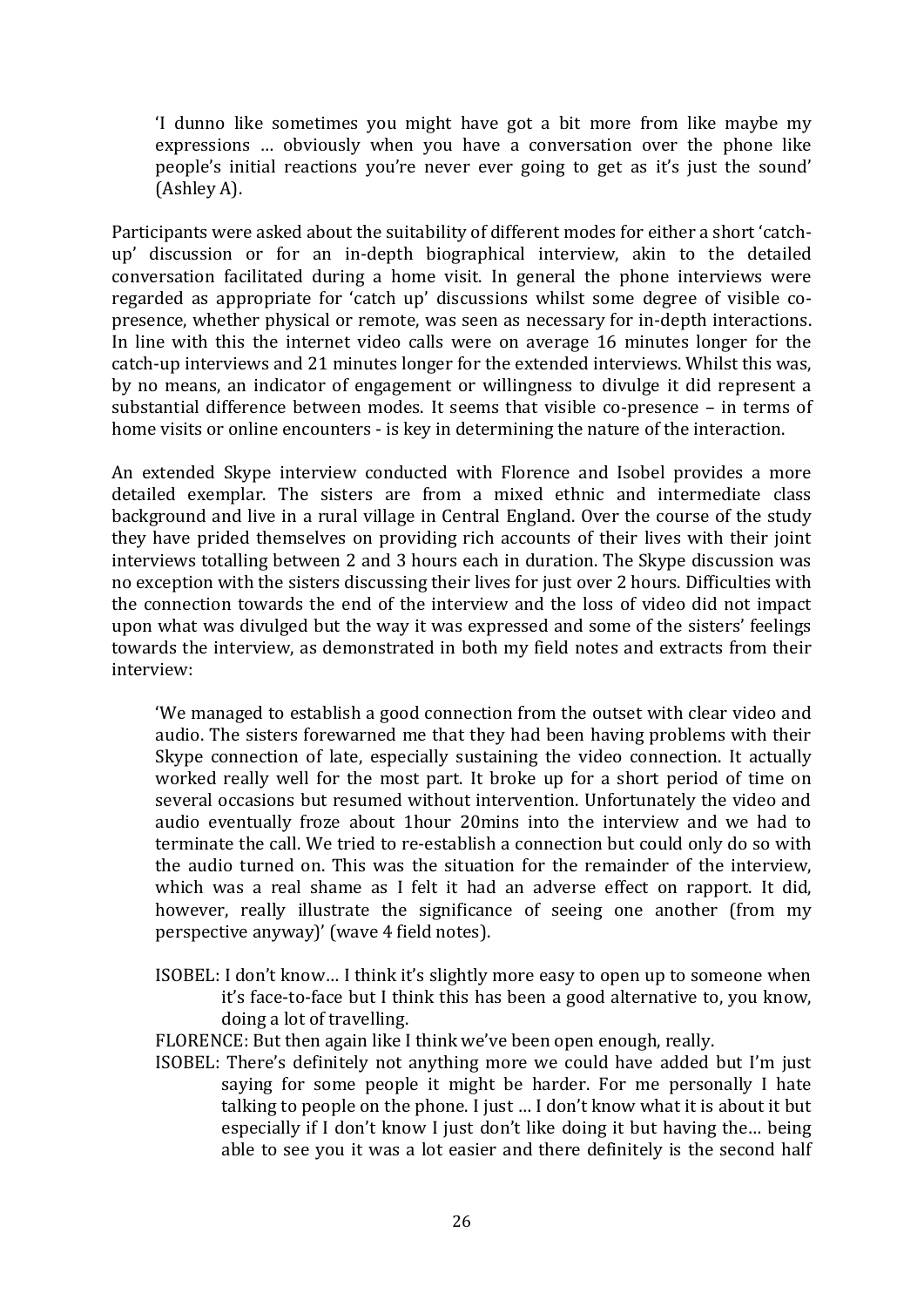'I dunno like sometimes you might have got a bit more from like maybe my expressions … obviously when you have a conversation over the phone like people's initial reactions you're never ever going to get as it's just the sound' (Ashley A).

Participants were asked about the suitability of different modes for either a short 'catchup' discussion or for an in-depth biographical interview, akin to the detailed conversation facilitated during a home visit. In general the phone interviews were regarded as appropriate for 'catch up' discussions whilst some degree of visible copresence, whether physical or remote, was seen as necessary for in-depth interactions. In line with this the internet video calls were on average 16 minutes longer for the catch-up interviews and 21 minutes longer for the extended interviews. Whilst this was, by no means, an indicator of engagement or willingness to divulge it did represent a substantial difference between modes. It seems that visible co-presence – in terms of home visits or online encounters - is key in determining the nature of the interaction.

An extended Skype interview conducted with Florence and Isobel provides a more detailed exemplar. The sisters are from a mixed ethnic and intermediate class background and live in a rural village in Central England. Over the course of the study they have prided themselves on providing rich accounts of their lives with their joint interviews totalling between 2 and 3 hours each in duration. The Skype discussion was no exception with the sisters discussing their lives for just over 2 hours. Difficulties with the connection towards the end of the interview and the loss of video did not impact upon what was divulged but the way it was expressed and some of the sisters' feelings towards the interview, as demonstrated in both my field notes and extracts from their interview:

'We managed to establish a good connection from the outset with clear video and audio. The sisters forewarned me that they had been having problems with their Skype connection of late, especially sustaining the video connection. It actually worked really well for the most part. It broke up for a short period of time on several occasions but resumed without intervention. Unfortunately the video and audio eventually froze about 1hour 20mins into the interview and we had to terminate the call. We tried to re-establish a connection but could only do so with the audio turned on. This was the situation for the remainder of the interview, which was a real shame as I felt it had an adverse effect on rapport. It did, however, really illustrate the significance of seeing one another (from my perspective anyway)' (wave 4 field notes).

- ISOBEL: I don't know… I think it's slightly more easy to open up to someone when it's face-to-face but I think this has been a good alternative to, you know, doing a lot of travelling.
- FLORENCE: But then again like I think we've been open enough, really.
- ISOBEL: There's definitely not anything more we could have added but I'm just saying for some people it might be harder. For me personally I hate talking to people on the phone. I just … I don't know what it is about it but especially if I don't know I just don't like doing it but having the… being able to see you it was a lot easier and there definitely is the second half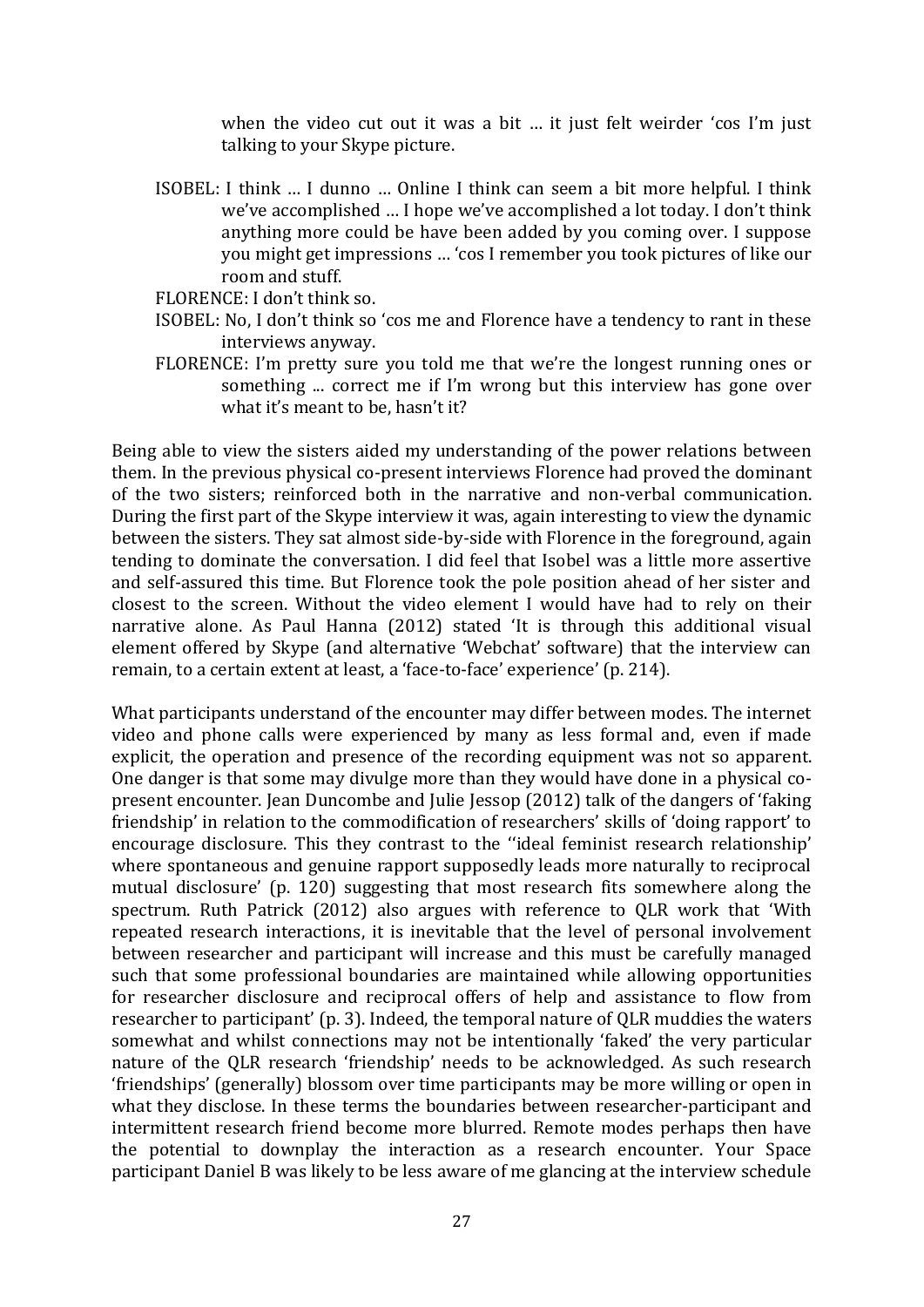when the video cut out it was a bit … it just felt weirder 'cos I'm just talking to your Skype picture.

- ISOBEL: I think … I dunno … Online I think can seem a bit more helpful. I think we've accomplished … I hope we've accomplished a lot today. I don't think anything more could be have been added by you coming over. I suppose you might get impressions … 'cos I remember you took pictures of like our room and stuff.
- FLORENCE: I don't think so.
- ISOBEL: No, I don't think so 'cos me and Florence have a tendency to rant in these interviews anyway.
- FLORENCE: I'm pretty sure you told me that we're the longest running ones or something ... correct me if I'm wrong but this interview has gone over what it's meant to be, hasn't it?

Being able to view the sisters aided my understanding of the power relations between them. In the previous physical co-present interviews Florence had proved the dominant of the two sisters; reinforced both in the narrative and non-verbal communication. During the first part of the Skype interview it was, again interesting to view the dynamic between the sisters. They sat almost side-by-side with Florence in the foreground, again tending to dominate the conversation. I did feel that Isobel was a little more assertive and self-assured this time. But Florence took the pole position ahead of her sister and closest to the screen. Without the video element I would have had to rely on their narrative alone. As Paul Hanna (2012) stated 'It is through this additional visual element offered by Skype (and alternative 'Webchat' software) that the interview can remain, to a certain extent at least, a 'face-to-face' experience' (p. 214).

What participants understand of the encounter may differ between modes. The internet video and phone calls were experienced by many as less formal and, even if made explicit, the operation and presence of the recording equipment was not so apparent. One danger is that some may divulge more than they would have done in a physical copresent encounter. Jean Duncombe and Julie Jessop (2012) talk of the dangers of 'faking friendship' in relation to the commodification of researchers' skills of 'doing rapport' to encourage disclosure. This they contrast to the ''ideal feminist research relationship' where spontaneous and genuine rapport supposedly leads more naturally to reciprocal mutual disclosure' (p. 120) suggesting that most research fits somewhere along the spectrum. Ruth Patrick (2012) also argues with reference to QLR work that 'With repeated research interactions, it is inevitable that the level of personal involvement between researcher and participant will increase and this must be carefully managed such that some professional boundaries are maintained while allowing opportunities for researcher disclosure and reciprocal offers of help and assistance to flow from researcher to participant' (p. 3). Indeed, the temporal nature of QLR muddies the waters somewhat and whilst connections may not be intentionally 'faked' the very particular nature of the QLR research 'friendship' needs to be acknowledged. As such research 'friendships' (generally) blossom over time participants may be more willing or open in what they disclose. In these terms the boundaries between researcher-participant and intermittent research friend become more blurred. Remote modes perhaps then have the potential to downplay the interaction as a research encounter. Your Space participant Daniel B was likely to be less aware of me glancing at the interview schedule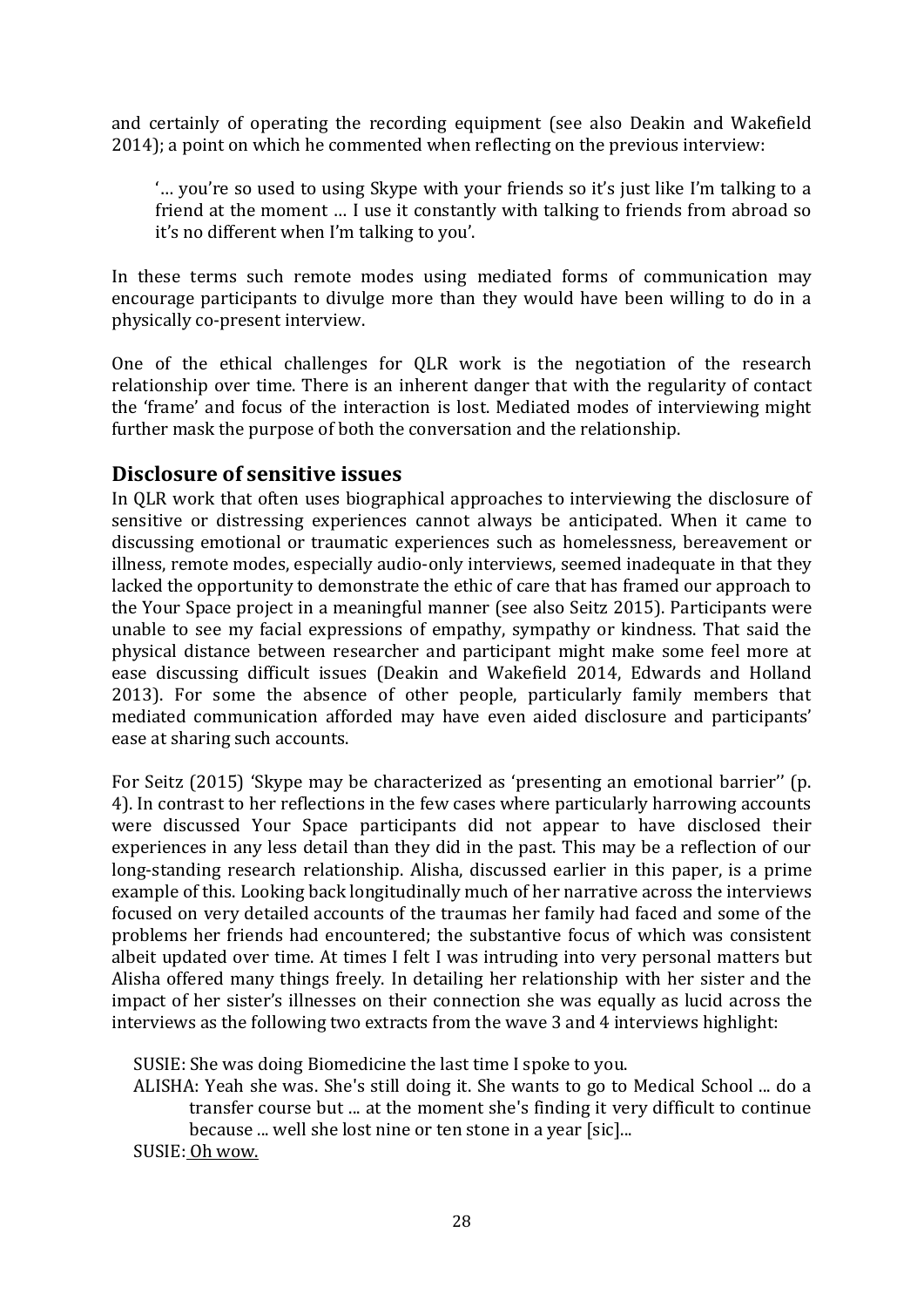and certainly of operating the recording equipment (see also Deakin and Wakefield 2014); a point on which he commented when reflecting on the previous interview:

'… you're so used to using Skype with your friends so it's just like I'm talking to a friend at the moment … I use it constantly with talking to friends from abroad so it's no different when I'm talking to you'.

In these terms such remote modes using mediated forms of communication may encourage participants to divulge more than they would have been willing to do in a physically co-present interview.

One of the ethical challenges for QLR work is the negotiation of the research relationship over time. There is an inherent danger that with the regularity of contact the 'frame' and focus of the interaction is lost. Mediated modes of interviewing might further mask the purpose of both the conversation and the relationship.

# **Disclosure of sensitive issues**

In QLR work that often uses biographical approaches to interviewing the disclosure of sensitive or distressing experiences cannot always be anticipated. When it came to discussing emotional or traumatic experiences such as homelessness, bereavement or illness, remote modes, especially audio-only interviews, seemed inadequate in that they lacked the opportunity to demonstrate the ethic of care that has framed our approach to the Your Space project in a meaningful manner (see also Seitz 2015). Participants were unable to see my facial expressions of empathy, sympathy or kindness. That said the physical distance between researcher and participant might make some feel more at ease discussing difficult issues (Deakin and Wakefield 2014, Edwards and Holland 2013). For some the absence of other people, particularly family members that mediated communication afforded may have even aided disclosure and participants' ease at sharing such accounts.

For Seitz (2015) 'Skype may be characterized as 'presenting an emotional barrier'' (p. 4). In contrast to her reflections in the few cases where particularly harrowing accounts were discussed Your Space participants did not appear to have disclosed their experiences in any less detail than they did in the past. This may be a reflection of our long-standing research relationship. Alisha, discussed earlier in this paper, is a prime example of this. Looking back longitudinally much of her narrative across the interviews focused on very detailed accounts of the traumas her family had faced and some of the problems her friends had encountered; the substantive focus of which was consistent albeit updated over time. At times I felt I was intruding into very personal matters but Alisha offered many things freely. In detailing her relationship with her sister and the impact of her sister's illnesses on their connection she was equally as lucid across the interviews as the following two extracts from the wave 3 and 4 interviews highlight:

SUSIE: She was doing Biomedicine the last time I spoke to you.

ALISHA: Yeah she was. She's still doing it. She wants to go to Medical School ... do a transfer course but ... at the moment she's finding it very difficult to continue because ... well she lost nine or ten stone in a year [sic]...

SUSIE: Oh wow.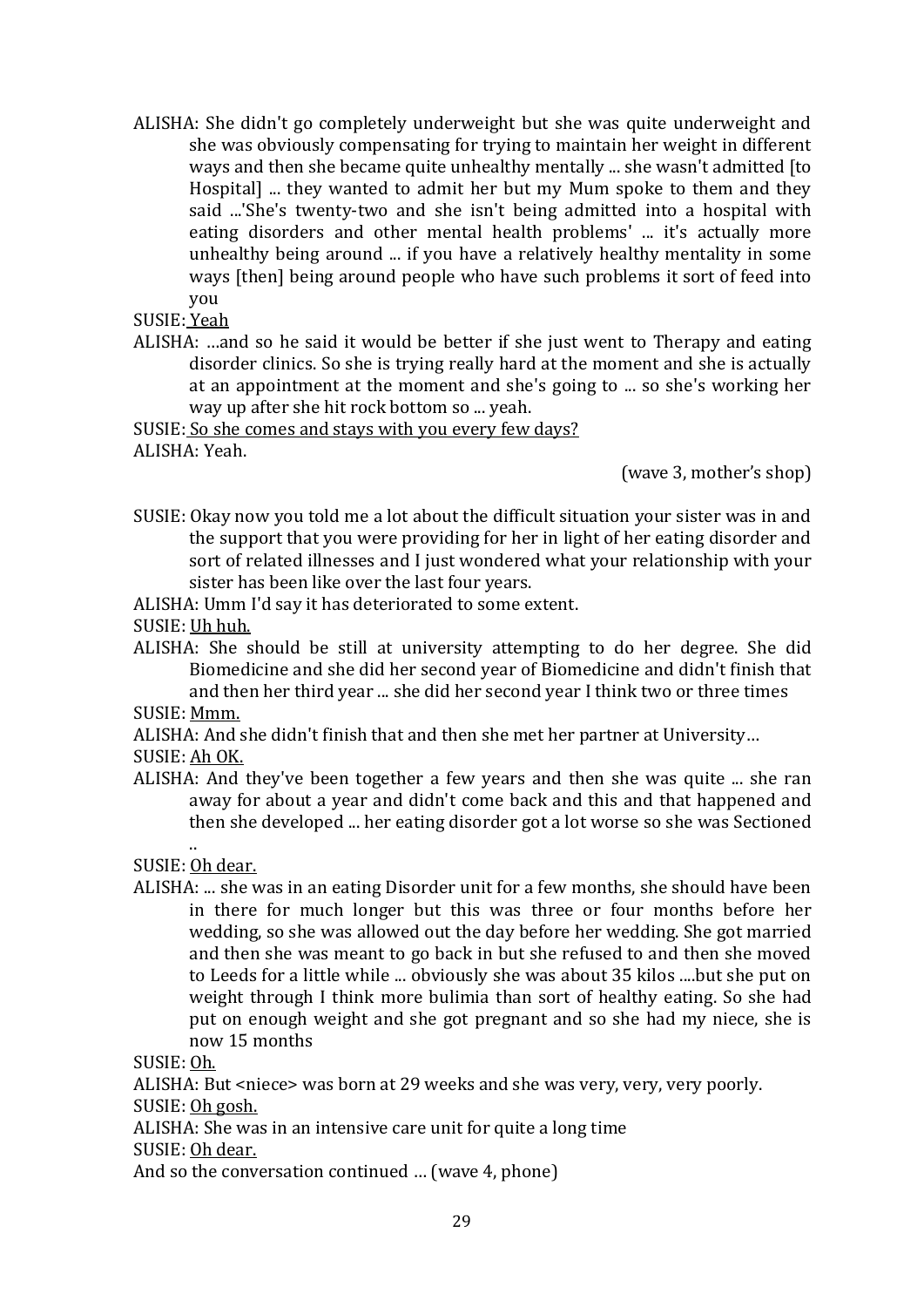ALISHA: She didn't go completely underweight but she was quite underweight and she was obviously compensating for trying to maintain her weight in different ways and then she became quite unhealthy mentally ... she wasn't admitted [to Hospital] ... they wanted to admit her but my Mum spoke to them and they said ...'She's twenty-two and she isn't being admitted into a hospital with eating disorders and other mental health problems' ... it's actually more unhealthy being around ... if you have a relatively healthy mentality in some ways [then] being around people who have such problems it sort of feed into you

SUSIE: Yeah

ALISHA: …and so he said it would be better if she just went to Therapy and eating disorder clinics. So she is trying really hard at the moment and she is actually at an appointment at the moment and she's going to ... so she's working her way up after she hit rock bottom so ... yeah.

SUSIE: So she comes and stays with you every few days? ALISHA: Yeah.

(wave 3, mother's shop)

SUSIE: Okay now you told me a lot about the difficult situation your sister was in and the support that you were providing for her in light of her eating disorder and sort of related illnesses and I just wondered what your relationship with your sister has been like over the last four years.

ALISHA: Umm I'd say it has deteriorated to some extent.

- SUSIE: Uh huh.
- ALISHA: She should be still at university attempting to do her degree. She did Biomedicine and she did her second year of Biomedicine and didn't finish that and then her third year ... she did her second year I think two or three times
- SUSIE: Mmm.

ALISHA: And she didn't finish that and then she met her partner at University…

SUSIE: Ah OK.

ALISHA: And they've been together a few years and then she was quite ... she ran away for about a year and didn't come back and this and that happened and then she developed ... her eating disorder got a lot worse so she was Sectioned

.. SUSIE: Oh dear.

ALISHA: ... she was in an eating Disorder unit for a few months, she should have been in there for much longer but this was three or four months before her wedding, so she was allowed out the day before her wedding. She got married and then she was meant to go back in but she refused to and then she moved to Leeds for a little while ... obviously she was about 35 kilos ....but she put on weight through I think more bulimia than sort of healthy eating. So she had put on enough weight and she got pregnant and so she had my niece, she is now 15 months

SUSIE: Oh.

ALISHA: But <niece> was born at 29 weeks and she was very, very, very poorly.

SUSIE: Oh gosh.

ALISHA: She was in an intensive care unit for quite a long time

SUSIE: Oh dear.

And so the conversation continued … (wave 4, phone)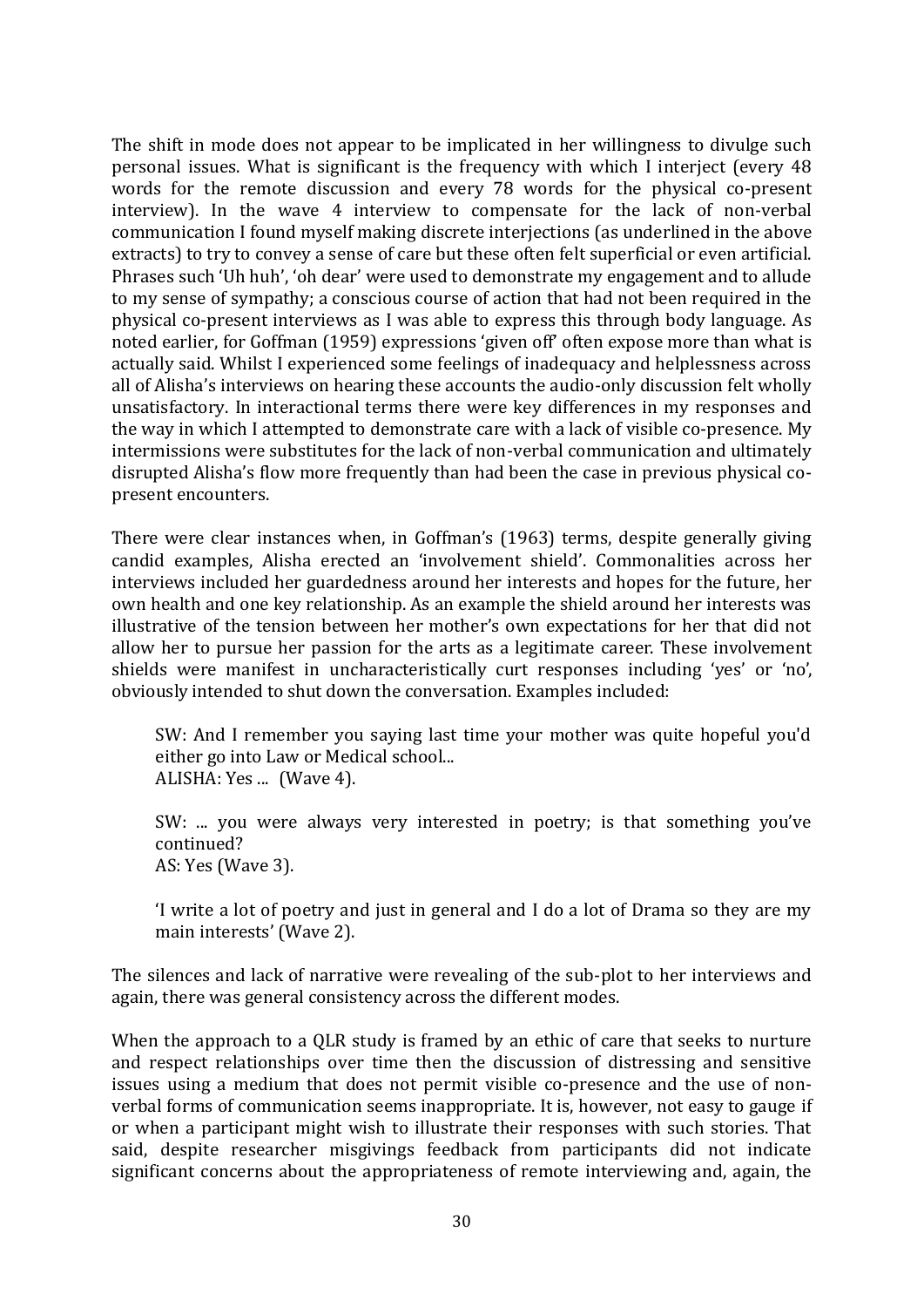The shift in mode does not appear to be implicated in her willingness to divulge such personal issues. What is significant is the frequency with which I interject (every 48 words for the remote discussion and every 78 words for the physical co-present interview). In the wave 4 interview to compensate for the lack of non-verbal communication I found myself making discrete interjections (as underlined in the above extracts) to try to convey a sense of care but these often felt superficial or even artificial. Phrases such 'Uh huh', 'oh dear' were used to demonstrate my engagement and to allude to my sense of sympathy; a conscious course of action that had not been required in the physical co-present interviews as I was able to express this through body language. As noted earlier, for Goffman (1959) expressions 'given off' often expose more than what is actually said. Whilst I experienced some feelings of inadequacy and helplessness across all of Alisha's interviews on hearing these accounts the audio-only discussion felt wholly unsatisfactory. In interactional terms there were key differences in my responses and the way in which I attempted to demonstrate care with a lack of visible co-presence. My intermissions were substitutes for the lack of non-verbal communication and ultimately disrupted Alisha's flow more frequently than had been the case in previous physical copresent encounters.

There were clear instances when, in Goffman's (1963) terms, despite generally giving candid examples, Alisha erected an 'involvement shield'. Commonalities across her interviews included her guardedness around her interests and hopes for the future, her own health and one key relationship. As an example the shield around her interests was illustrative of the tension between her mother's own expectations for her that did not allow her to pursue her passion for the arts as a legitimate career. These involvement shields were manifest in uncharacteristically curt responses including 'yes' or 'no', obviously intended to shut down the conversation. Examples included:

SW: And I remember you saying last time your mother was quite hopeful you'd either go into Law or Medical school... ALISHA: Yes ... (Wave 4).

SW: ... you were always very interested in poetry; is that something you've continued? AS: Yes (Wave 3).

'I write a lot of poetry and just in general and I do a lot of Drama so they are my main interests' (Wave 2).

The silences and lack of narrative were revealing of the sub-plot to her interviews and again, there was general consistency across the different modes.

When the approach to a QLR study is framed by an ethic of care that seeks to nurture and respect relationships over time then the discussion of distressing and sensitive issues using a medium that does not permit visible co-presence and the use of nonverbal forms of communication seems inappropriate. It is, however, not easy to gauge if or when a participant might wish to illustrate their responses with such stories. That said, despite researcher misgivings feedback from participants did not indicate significant concerns about the appropriateness of remote interviewing and, again, the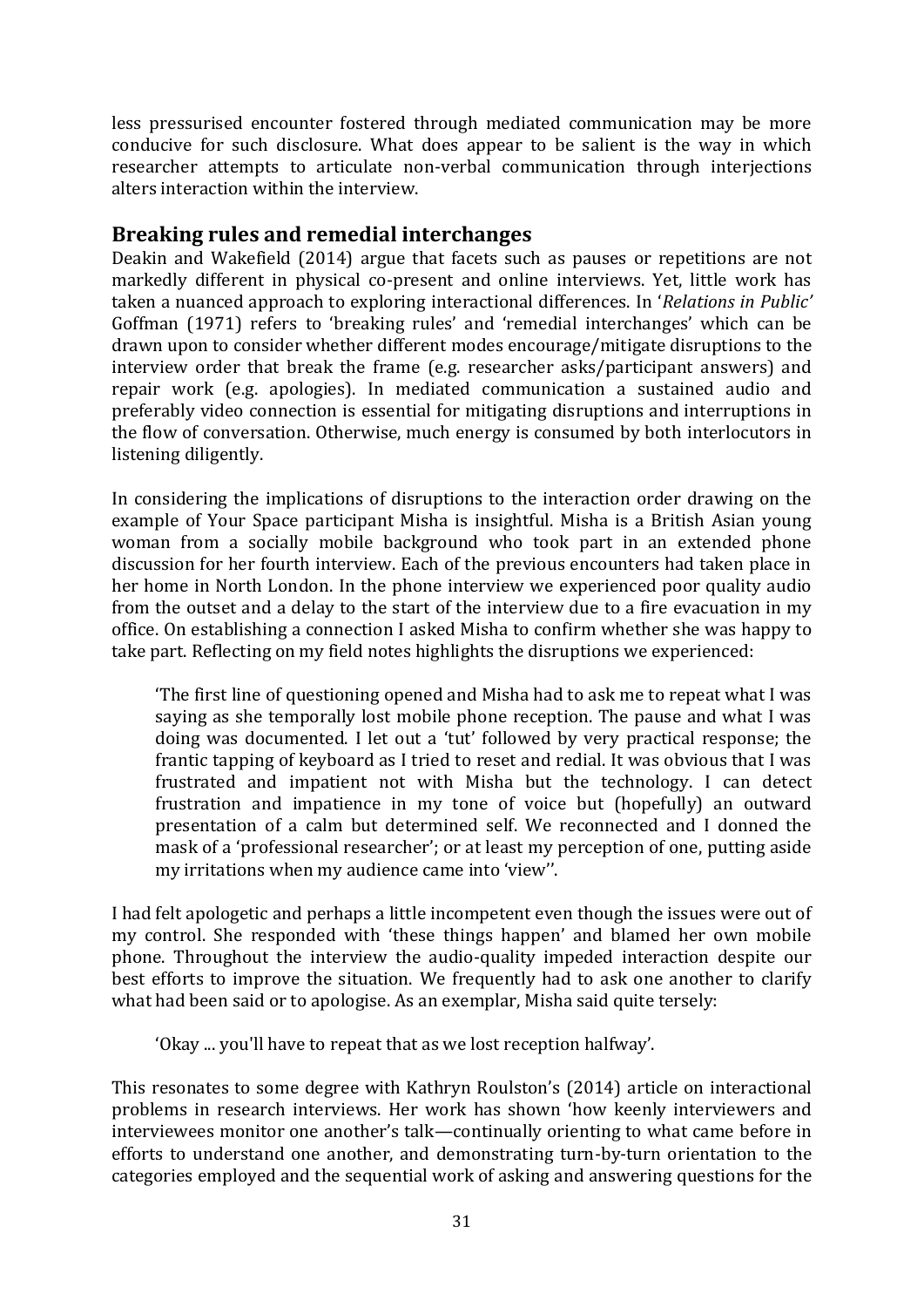less pressurised encounter fostered through mediated communication may be more conducive for such disclosure. What does appear to be salient is the way in which researcher attempts to articulate non-verbal communication through interjections alters interaction within the interview.

# **Breaking rules and remedial interchanges**

Deakin and Wakefield (2014) argue that facets such as pauses or repetitions are not markedly different in physical co-present and online interviews. Yet, little work has taken a nuanced approach to exploring interactional differences. In '*Relations in Public'* Goffman (1971) refers to 'breaking rules' and 'remedial interchanges' which can be drawn upon to consider whether different modes encourage/mitigate disruptions to the interview order that break the frame (e.g. researcher asks/participant answers) and repair work (e.g. apologies). In mediated communication a sustained audio and preferably video connection is essential for mitigating disruptions and interruptions in the flow of conversation. Otherwise, much energy is consumed by both interlocutors in listening diligently.

In considering the implications of disruptions to the interaction order drawing on the example of Your Space participant Misha is insightful. Misha is a British Asian young woman from a socially mobile background who took part in an extended phone discussion for her fourth interview. Each of the previous encounters had taken place in her home in North London. In the phone interview we experienced poor quality audio from the outset and a delay to the start of the interview due to a fire evacuation in my office. On establishing a connection I asked Misha to confirm whether she was happy to take part. Reflecting on my field notes highlights the disruptions we experienced:

'The first line of questioning opened and Misha had to ask me to repeat what I was saying as she temporally lost mobile phone reception. The pause and what I was doing was documented. I let out a 'tut' followed by very practical response; the frantic tapping of keyboard as I tried to reset and redial. It was obvious that I was frustrated and impatient not with Misha but the technology. I can detect frustration and impatience in my tone of voice but (hopefully) an outward presentation of a calm but determined self. We reconnected and I donned the mask of a 'professional researcher'; or at least my perception of one, putting aside my irritations when my audience came into 'view''.

I had felt apologetic and perhaps a little incompetent even though the issues were out of my control. She responded with 'these things happen' and blamed her own mobile phone. Throughout the interview the audio-quality impeded interaction despite our best efforts to improve the situation. We frequently had to ask one another to clarify what had been said or to apologise. As an exemplar, Misha said quite tersely:

'Okay ... you'll have to repeat that as we lost reception halfway'.

This resonates to some degree with Kathryn Roulston's (2014) article on interactional problems in research interviews. Her work has shown 'how keenly interviewers and interviewees monitor one another's talk—continually orienting to what came before in efforts to understand one another, and demonstrating turn-by-turn orientation to the categories employed and the sequential work of asking and answering questions for the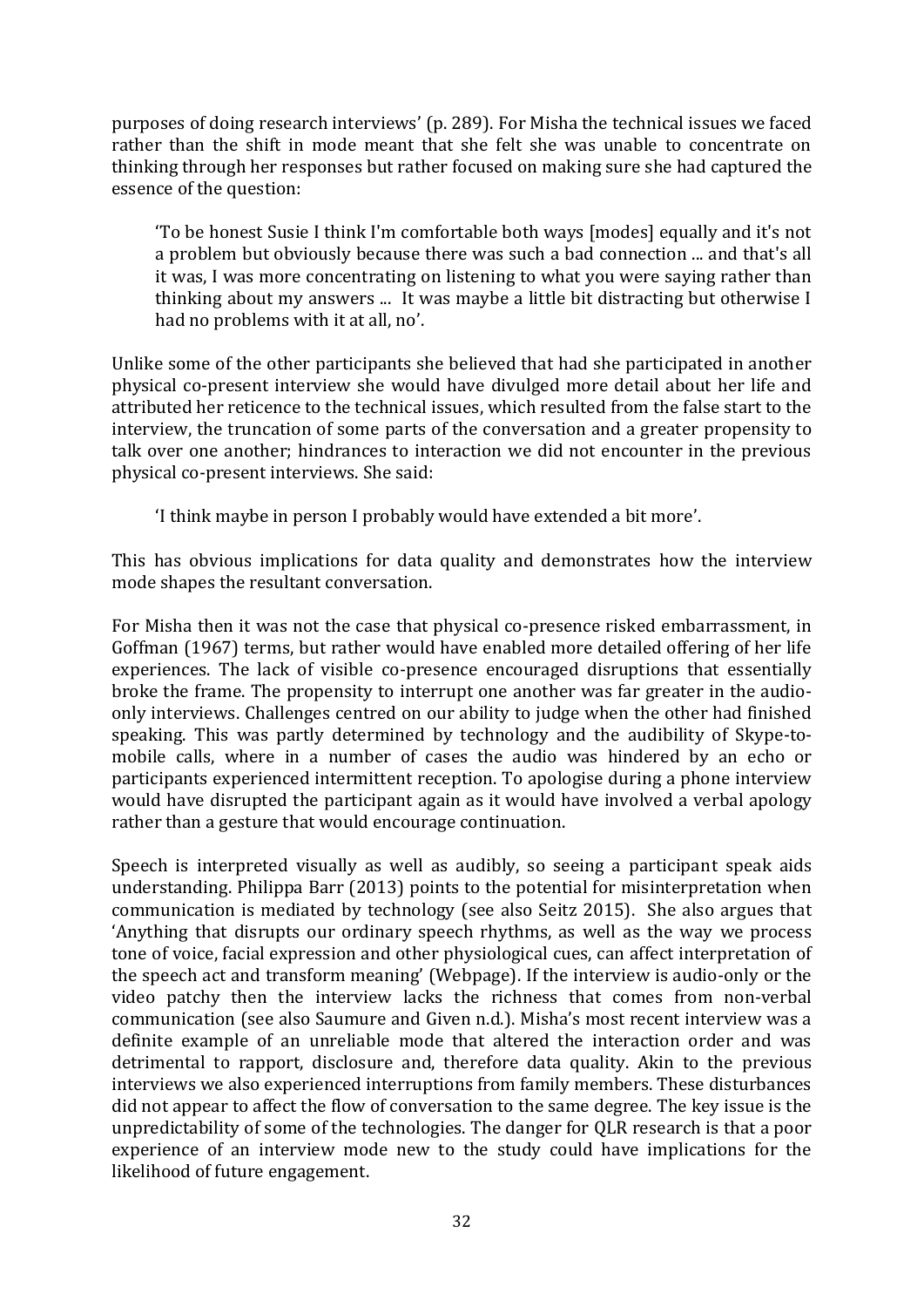purposes of doing research interviews' (p. 289). For Misha the technical issues we faced rather than the shift in mode meant that she felt she was unable to concentrate on thinking through her responses but rather focused on making sure she had captured the essence of the question:

'To be honest Susie I think I'm comfortable both ways [modes] equally and it's not a problem but obviously because there was such a bad connection ... and that's all it was, I was more concentrating on listening to what you were saying rather than thinking about my answers ... It was maybe a little bit distracting but otherwise I had no problems with it at all, no'.

Unlike some of the other participants she believed that had she participated in another physical co-present interview she would have divulged more detail about her life and attributed her reticence to the technical issues, which resulted from the false start to the interview, the truncation of some parts of the conversation and a greater propensity to talk over one another; hindrances to interaction we did not encounter in the previous physical co-present interviews. She said:

'I think maybe in person I probably would have extended a bit more'.

This has obvious implications for data quality and demonstrates how the interview mode shapes the resultant conversation.

For Misha then it was not the case that physical co-presence risked embarrassment, in Goffman (1967) terms, but rather would have enabled more detailed offering of her life experiences. The lack of visible co-presence encouraged disruptions that essentially broke the frame. The propensity to interrupt one another was far greater in the audioonly interviews. Challenges centred on our ability to judge when the other had finished speaking. This was partly determined by technology and the audibility of Skype-tomobile calls, where in a number of cases the audio was hindered by an echo or participants experienced intermittent reception. To apologise during a phone interview would have disrupted the participant again as it would have involved a verbal apology rather than a gesture that would encourage continuation.

Speech is interpreted visually as well as audibly, so seeing a participant speak aids understanding. Philippa Barr (2013) points to the potential for misinterpretation when communication is mediated by technology (see also Seitz 2015). She also argues that 'Anything that disrupts our ordinary speech rhythms, as well as the way we process tone of voice, facial expression and other physiological cues, can affect interpretation of the speech act and transform meaning' (Webpage). If the interview is audio-only or the video patchy then the interview lacks the richness that comes from non-verbal communication (see also Saumure and Given n.d.). Misha's most recent interview was a definite example of an unreliable mode that altered the interaction order and was detrimental to rapport, disclosure and, therefore data quality. Akin to the previous interviews we also experienced interruptions from family members. These disturbances did not appear to affect the flow of conversation to the same degree. The key issue is the unpredictability of some of the technologies. The danger for QLR research is that a poor experience of an interview mode new to the study could have implications for the likelihood of future engagement.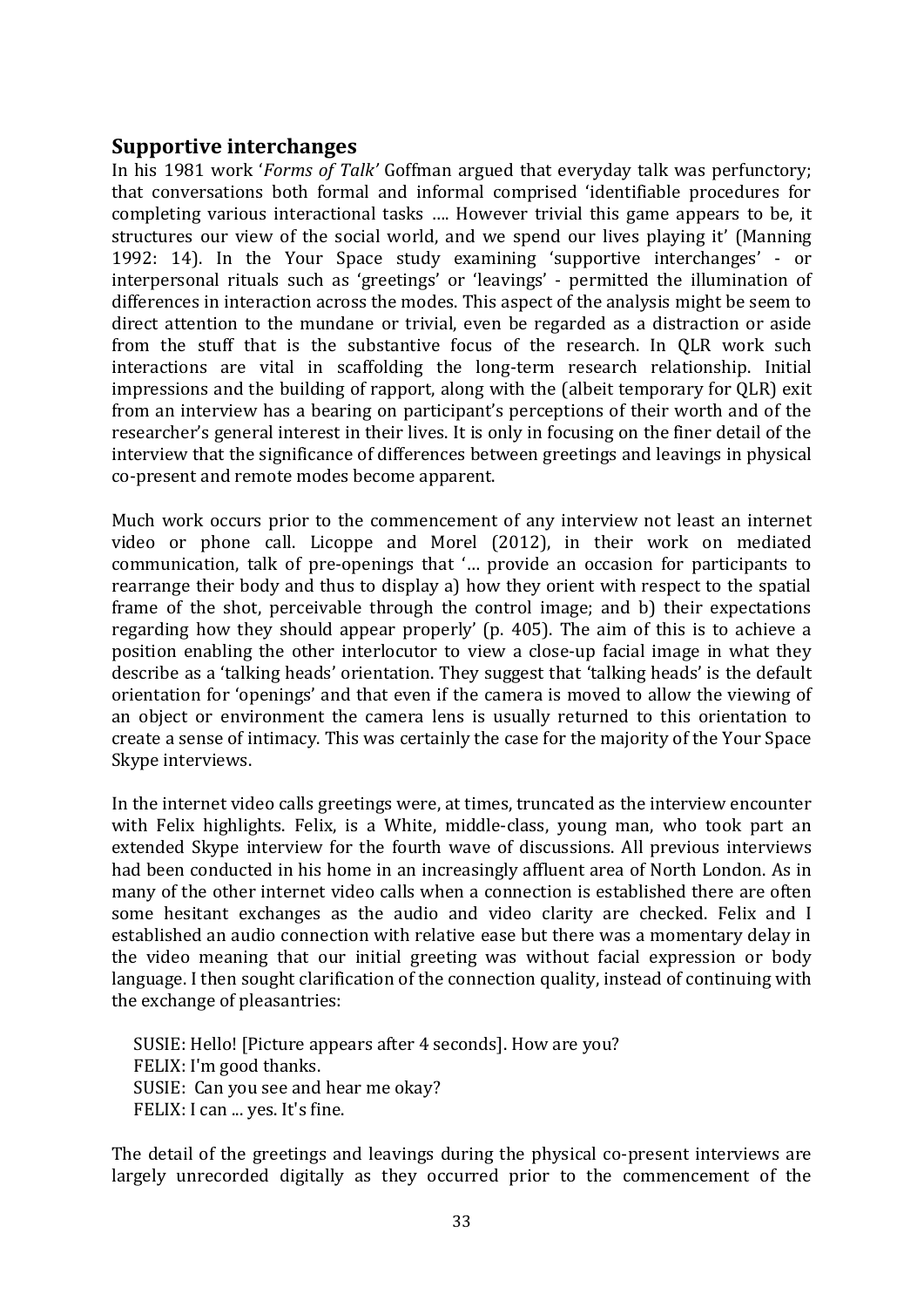# **Supportive interchanges**

In his 1981 work '*Forms of Talk'* Goffman argued that everyday talk was perfunctory; that conversations both formal and informal comprised 'identifiable procedures for completing various interactional tasks …. However trivial this game appears to be, it structures our view of the social world, and we spend our lives playing it' (Manning 1992: 14). In the Your Space study examining 'supportive interchanges' - or interpersonal rituals such as 'greetings' or 'leavings' - permitted the illumination of differences in interaction across the modes. This aspect of the analysis might be seem to direct attention to the mundane or trivial, even be regarded as a distraction or aside from the stuff that is the substantive focus of the research. In QLR work such interactions are vital in scaffolding the long-term research relationship. Initial impressions and the building of rapport, along with the (albeit temporary for QLR) exit from an interview has a bearing on participant's perceptions of their worth and of the researcher's general interest in their lives. It is only in focusing on the finer detail of the interview that the significance of differences between greetings and leavings in physical co-present and remote modes become apparent.

Much work occurs prior to the commencement of any interview not least an internet video or phone call. Licoppe and Morel (2012), in their work on mediated communication, talk of pre-openings that '… provide an occasion for participants to rearrange their body and thus to display a) how they orient with respect to the spatial frame of the shot, perceivable through the control image; and b) their expectations regarding how they should appear properly' (p. 405). The aim of this is to achieve a position enabling the other interlocutor to view a close-up facial image in what they describe as a 'talking heads' orientation. They suggest that 'talking heads' is the default orientation for 'openings' and that even if the camera is moved to allow the viewing of an object or environment the camera lens is usually returned to this orientation to create a sense of intimacy. This was certainly the case for the majority of the Your Space Skype interviews.

In the internet video calls greetings were, at times, truncated as the interview encounter with Felix highlights. Felix, is a White, middle-class, young man, who took part an extended Skype interview for the fourth wave of discussions. All previous interviews had been conducted in his home in an increasingly affluent area of North London. As in many of the other internet video calls when a connection is established there are often some hesitant exchanges as the audio and video clarity are checked. Felix and I established an audio connection with relative ease but there was a momentary delay in the video meaning that our initial greeting was without facial expression or body language. I then sought clarification of the connection quality, instead of continuing with the exchange of pleasantries:

SUSIE: Hello! [Picture appears after 4 seconds]. How are you? FELIX: I'm good thanks. SUSIE: Can you see and hear me okay? FELIX: I can ... yes. It's fine.

The detail of the greetings and leavings during the physical co-present interviews are largely unrecorded digitally as they occurred prior to the commencement of the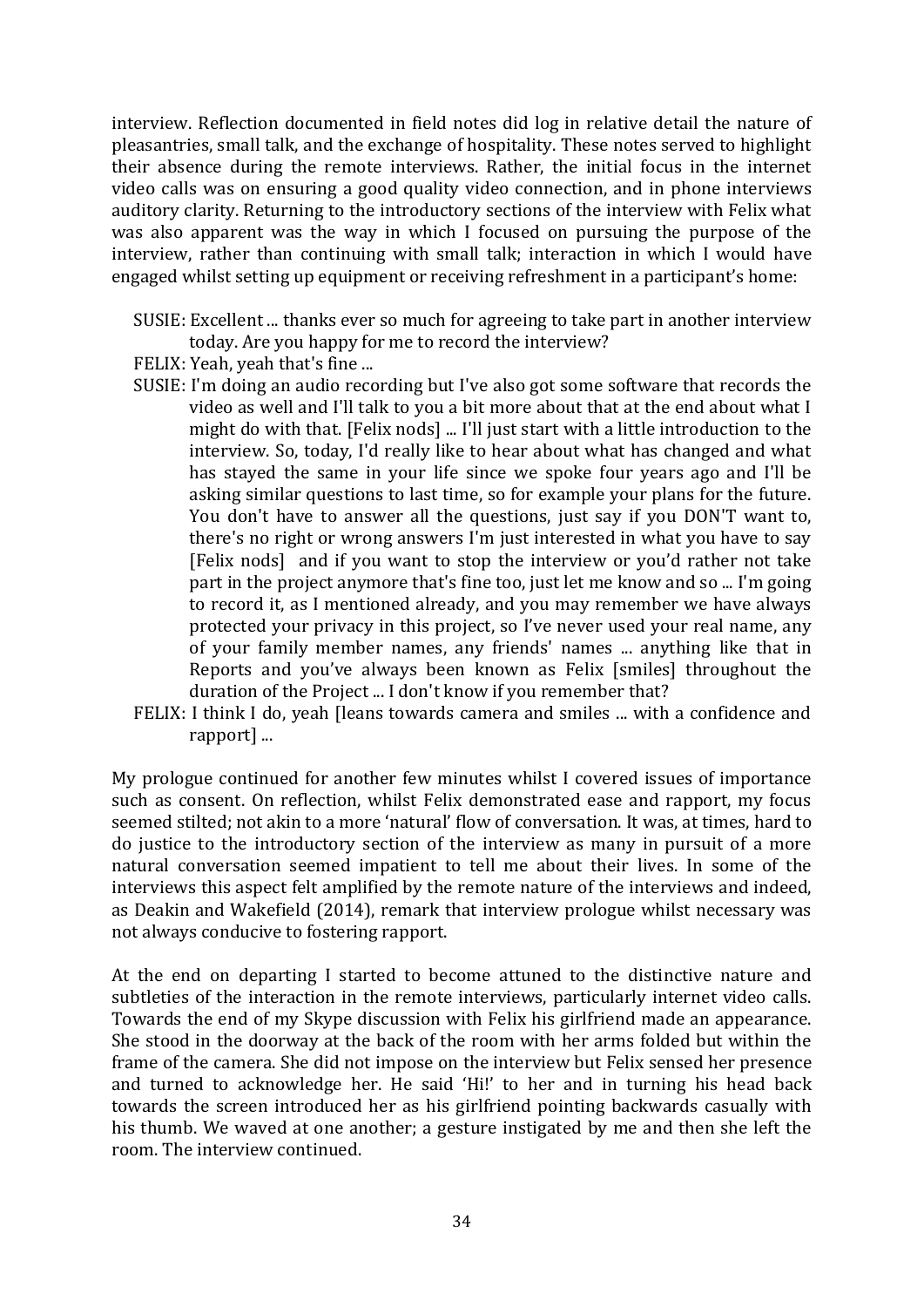interview. Reflection documented in field notes did log in relative detail the nature of pleasantries, small talk, and the exchange of hospitality. These notes served to highlight their absence during the remote interviews. Rather, the initial focus in the internet video calls was on ensuring a good quality video connection, and in phone interviews auditory clarity. Returning to the introductory sections of the interview with Felix what was also apparent was the way in which I focused on pursuing the purpose of the interview, rather than continuing with small talk; interaction in which I would have engaged whilst setting up equipment or receiving refreshment in a participant's home:

- SUSIE: Excellent ... thanks ever so much for agreeing to take part in another interview today. Are you happy for me to record the interview?
- FELIX: Yeah, yeah that's fine ...
- SUSIE: I'm doing an audio recording but I've also got some software that records the video as well and I'll talk to you a bit more about that at the end about what I might do with that. [Felix nods] ... I'll just start with a little introduction to the interview. So, today, I'd really like to hear about what has changed and what has stayed the same in your life since we spoke four years ago and I'll be asking similar questions to last time, so for example your plans for the future. You don't have to answer all the questions, just say if you DON'T want to, there's no right or wrong answers I'm just interested in what you have to say [Felix nods] and if you want to stop the interview or you'd rather not take part in the project anymore that's fine too, just let me know and so ... I'm going to record it, as I mentioned already, and you may remember we have always protected your privacy in this project, so I've never used your real name, any of your family member names, any friends' names ... anything like that in Reports and you've always been known as Felix [smiles] throughout the duration of the Project ... I don't know if you remember that?
- FELIX: I think I do, yeah [leans towards camera and smiles ... with a confidence and rapport] ...

My prologue continued for another few minutes whilst I covered issues of importance such as consent. On reflection, whilst Felix demonstrated ease and rapport, my focus seemed stilted; not akin to a more 'natural' flow of conversation. It was, at times, hard to do justice to the introductory section of the interview as many in pursuit of a more natural conversation seemed impatient to tell me about their lives. In some of the interviews this aspect felt amplified by the remote nature of the interviews and indeed, as Deakin and Wakefield (2014), remark that interview prologue whilst necessary was not always conducive to fostering rapport.

At the end on departing I started to become attuned to the distinctive nature and subtleties of the interaction in the remote interviews, particularly internet video calls. Towards the end of my Skype discussion with Felix his girlfriend made an appearance. She stood in the doorway at the back of the room with her arms folded but within the frame of the camera. She did not impose on the interview but Felix sensed her presence and turned to acknowledge her. He said 'Hi!' to her and in turning his head back towards the screen introduced her as his girlfriend pointing backwards casually with his thumb. We waved at one another; a gesture instigated by me and then she left the room. The interview continued.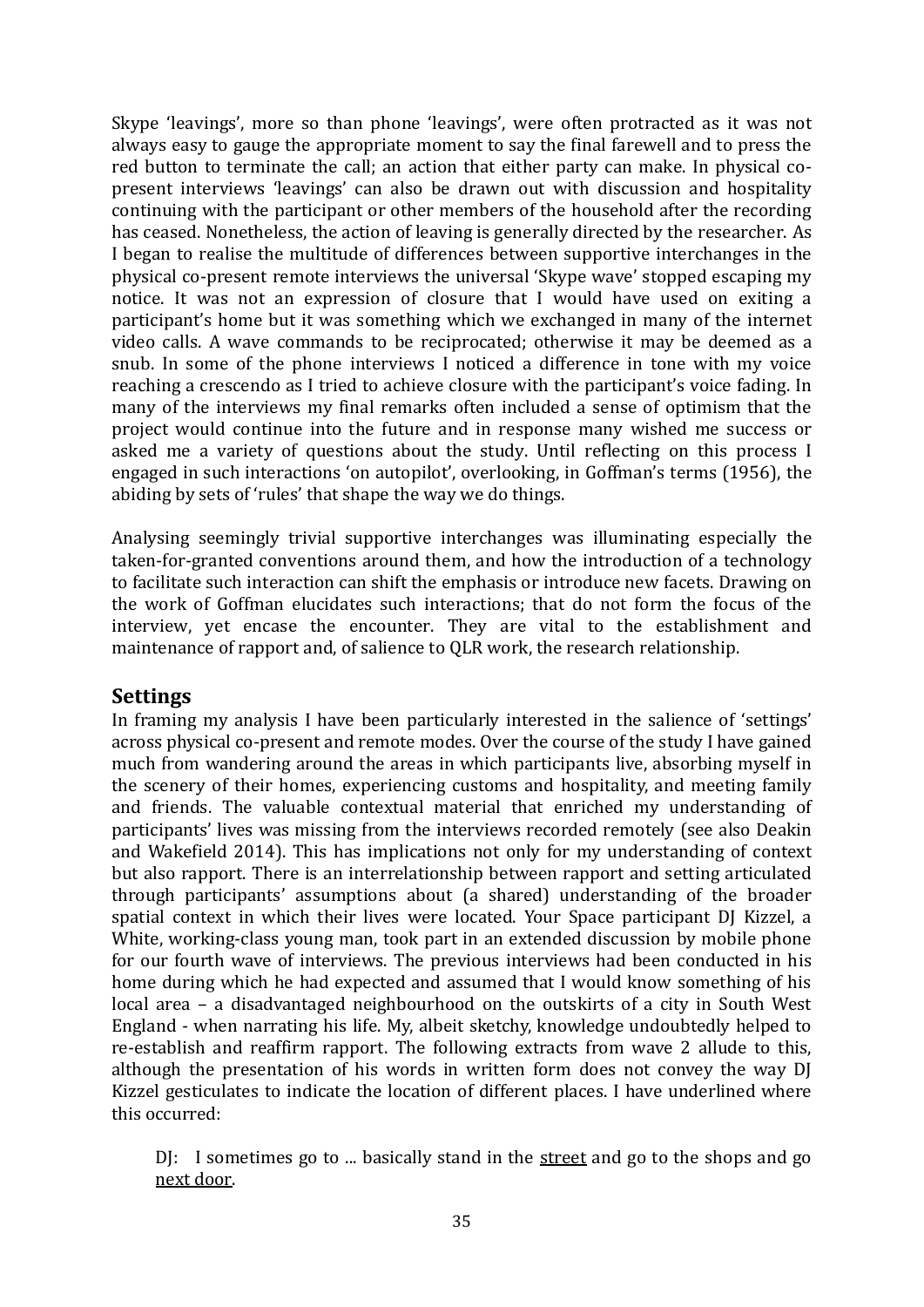Skype 'leavings', more so than phone 'leavings', were often protracted as it was not always easy to gauge the appropriate moment to say the final farewell and to press the red button to terminate the call; an action that either party can make. In physical copresent interviews 'leavings' can also be drawn out with discussion and hospitality continuing with the participant or other members of the household after the recording has ceased. Nonetheless, the action of leaving is generally directed by the researcher. As I began to realise the multitude of differences between supportive interchanges in the physical co-present remote interviews the universal 'Skype wave' stopped escaping my notice. It was not an expression of closure that I would have used on exiting a participant's home but it was something which we exchanged in many of the internet video calls. A wave commands to be reciprocated; otherwise it may be deemed as a snub. In some of the phone interviews I noticed a difference in tone with my voice reaching a crescendo as I tried to achieve closure with the participant's voice fading. In many of the interviews my final remarks often included a sense of optimism that the project would continue into the future and in response many wished me success or asked me a variety of questions about the study. Until reflecting on this process I engaged in such interactions 'on autopilot', overlooking, in Goffman's terms (1956), the abiding by sets of 'rules' that shape the way we do things.

Analysing seemingly trivial supportive interchanges was illuminating especially the taken-for-granted conventions around them, and how the introduction of a technology to facilitate such interaction can shift the emphasis or introduce new facets. Drawing on the work of Goffman elucidates such interactions; that do not form the focus of the interview, yet encase the encounter. They are vital to the establishment and maintenance of rapport and, of salience to QLR work, the research relationship.

## **Settings**

In framing my analysis I have been particularly interested in the salience of 'settings' across physical co-present and remote modes. Over the course of the study I have gained much from wandering around the areas in which participants live, absorbing myself in the scenery of their homes, experiencing customs and hospitality, and meeting family and friends. The valuable contextual material that enriched my understanding of participants' lives was missing from the interviews recorded remotely (see also Deakin and Wakefield 2014). This has implications not only for my understanding of context but also rapport. There is an interrelationship between rapport and setting articulated through participants' assumptions about (a shared) understanding of the broader spatial context in which their lives were located. Your Space participant DJ Kizzel, a White, working-class young man, took part in an extended discussion by mobile phone for our fourth wave of interviews. The previous interviews had been conducted in his home during which he had expected and assumed that I would know something of his local area – a disadvantaged neighbourhood on the outskirts of a city in South West England - when narrating his life. My, albeit sketchy, knowledge undoubtedly helped to re-establish and reaffirm rapport. The following extracts from wave 2 allude to this, although the presentation of his words in written form does not convey the way DJ Kizzel gesticulates to indicate the location of different places. I have underlined where this occurred:

DJ: I sometimes go to ... basically stand in the street and go to the shops and go next door.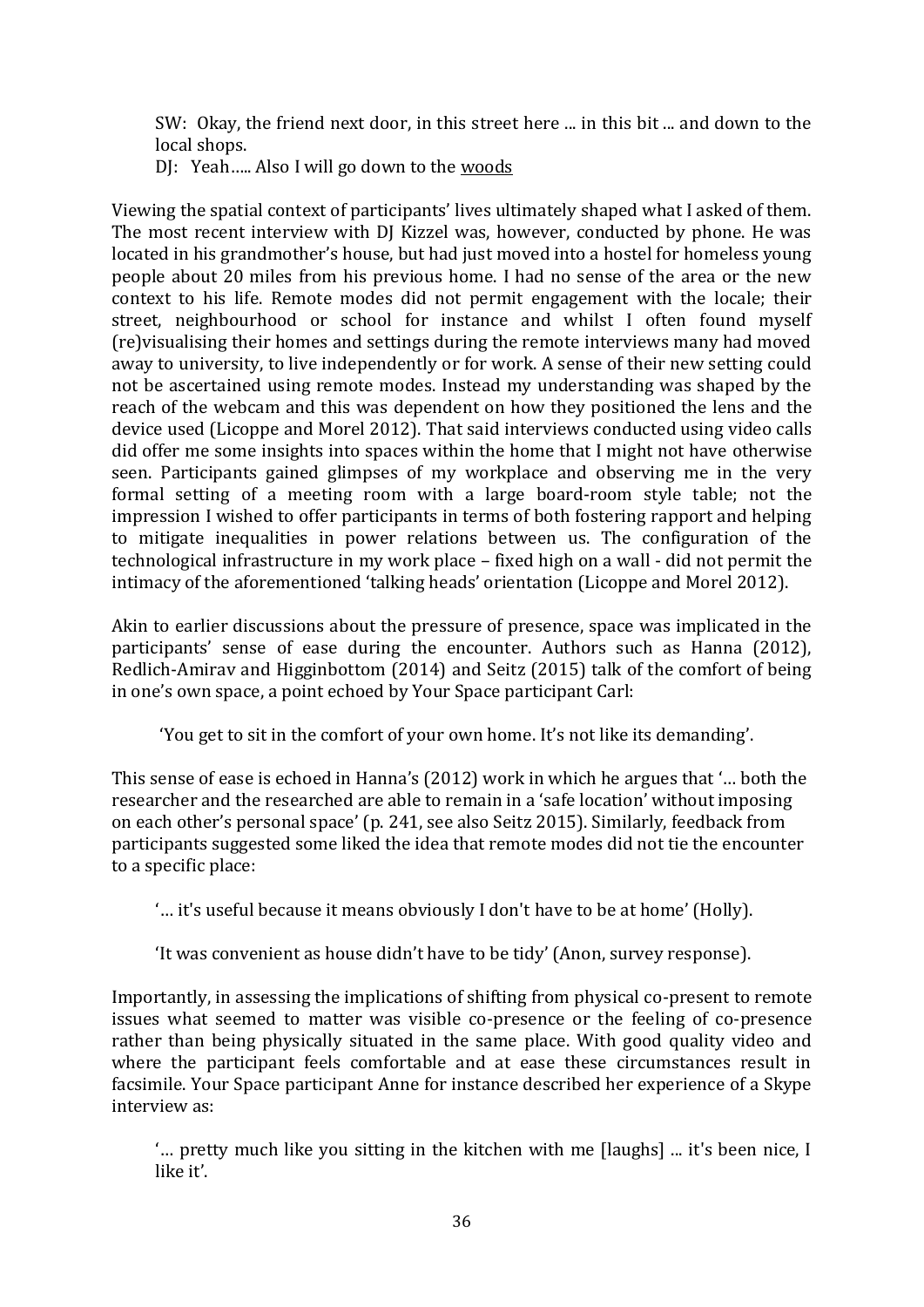SW: Okay, the friend next door, in this street here ... in this bit ... and down to the local shops.

DJ: Yeah….. Also I will go down to the woods

Viewing the spatial context of participants' lives ultimately shaped what I asked of them. The most recent interview with DJ Kizzel was, however, conducted by phone. He was located in his grandmother's house, but had just moved into a hostel for homeless young people about 20 miles from his previous home. I had no sense of the area or the new context to his life. Remote modes did not permit engagement with the locale; their street, neighbourhood or school for instance and whilst I often found myself (re)visualising their homes and settings during the remote interviews many had moved away to university, to live independently or for work. A sense of their new setting could not be ascertained using remote modes. Instead my understanding was shaped by the reach of the webcam and this was dependent on how they positioned the lens and the device used (Licoppe and Morel 2012). That said interviews conducted using video calls did offer me some insights into spaces within the home that I might not have otherwise seen. Participants gained glimpses of my workplace and observing me in the very formal setting of a meeting room with a large board-room style table; not the impression I wished to offer participants in terms of both fostering rapport and helping to mitigate inequalities in power relations between us. The configuration of the technological infrastructure in my work place – fixed high on a wall - did not permit the intimacy of the aforementioned 'talking heads' orientation (Licoppe and Morel 2012).

Akin to earlier discussions about the pressure of presence, space was implicated in the participants' sense of ease during the encounter. Authors such as Hanna (2012), Redlich-Amirav and Higginbottom (2014) and Seitz (2015) talk of the comfort of being in one's own space, a point echoed by Your Space participant Carl:

'You get to sit in the comfort of your own home. It's not like its demanding'.

This sense of ease is echoed in Hanna's (2012) work in which he argues that '… both the researcher and the researched are able to remain in a 'safe location' without imposing on each other's personal space' (p. 241, see also Seitz 2015). Similarly, feedback from participants suggested some liked the idea that remote modes did not tie the encounter to a specific place:

'… it's useful because it means obviously I don't have to be at home' (Holly).

'It was convenient as house didn't have to be tidy' (Anon, survey response).

Importantly, in assessing the implications of shifting from physical co-present to remote issues what seemed to matter was visible co-presence or the feeling of co-presence rather than being physically situated in the same place. With good quality video and where the participant feels comfortable and at ease these circumstances result in facsimile. Your Space participant Anne for instance described her experience of a Skype interview as:

'… pretty much like you sitting in the kitchen with me [laughs] ... it's been nice, I like it'.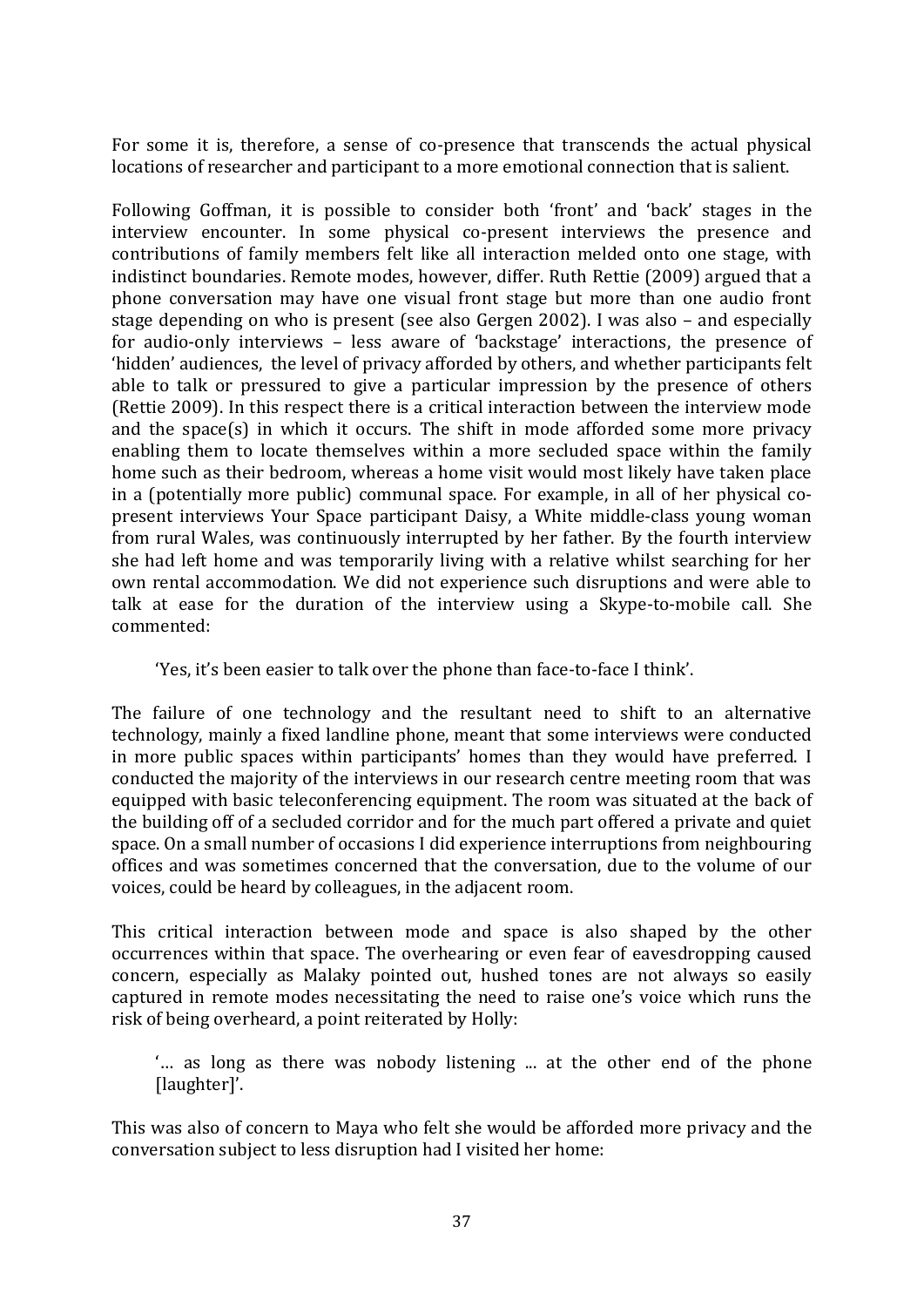For some it is, therefore, a sense of co-presence that transcends the actual physical locations of researcher and participant to a more emotional connection that is salient.

Following Goffman, it is possible to consider both 'front' and 'back' stages in the interview encounter. In some physical co-present interviews the presence and contributions of family members felt like all interaction melded onto one stage, with indistinct boundaries. Remote modes, however, differ. Ruth Rettie (2009) argued that a phone conversation may have one visual front stage but more than one audio front stage depending on who is present (see also Gergen 2002). I was also – and especially for audio-only interviews – less aware of 'backstage' interactions, the presence of 'hidden' audiences, the level of privacy afforded by others, and whether participants felt able to talk or pressured to give a particular impression by the presence of others (Rettie 2009). In this respect there is a critical interaction between the interview mode and the space(s) in which it occurs. The shift in mode afforded some more privacy enabling them to locate themselves within a more secluded space within the family home such as their bedroom, whereas a home visit would most likely have taken place in a (potentially more public) communal space. For example, in all of her physical copresent interviews Your Space participant Daisy, a White middle-class young woman from rural Wales, was continuously interrupted by her father. By the fourth interview she had left home and was temporarily living with a relative whilst searching for her own rental accommodation. We did not experience such disruptions and were able to talk at ease for the duration of the interview using a Skype-to-mobile call. She commented:

'Yes, it's been easier to talk over the phone than face-to-face I think'.

The failure of one technology and the resultant need to shift to an alternative technology, mainly a fixed landline phone, meant that some interviews were conducted in more public spaces within participants' homes than they would have preferred. I conducted the majority of the interviews in our research centre meeting room that was equipped with basic teleconferencing equipment. The room was situated at the back of the building off of a secluded corridor and for the much part offered a private and quiet space. On a small number of occasions I did experience interruptions from neighbouring offices and was sometimes concerned that the conversation, due to the volume of our voices, could be heard by colleagues, in the adjacent room.

This critical interaction between mode and space is also shaped by the other occurrences within that space. The overhearing or even fear of eavesdropping caused concern, especially as Malaky pointed out, hushed tones are not always so easily captured in remote modes necessitating the need to raise one's voice which runs the risk of being overheard, a point reiterated by Holly:

'… as long as there was nobody listening ... at the other end of the phone [laughter]'.

This was also of concern to Maya who felt she would be afforded more privacy and the conversation subject to less disruption had I visited her home: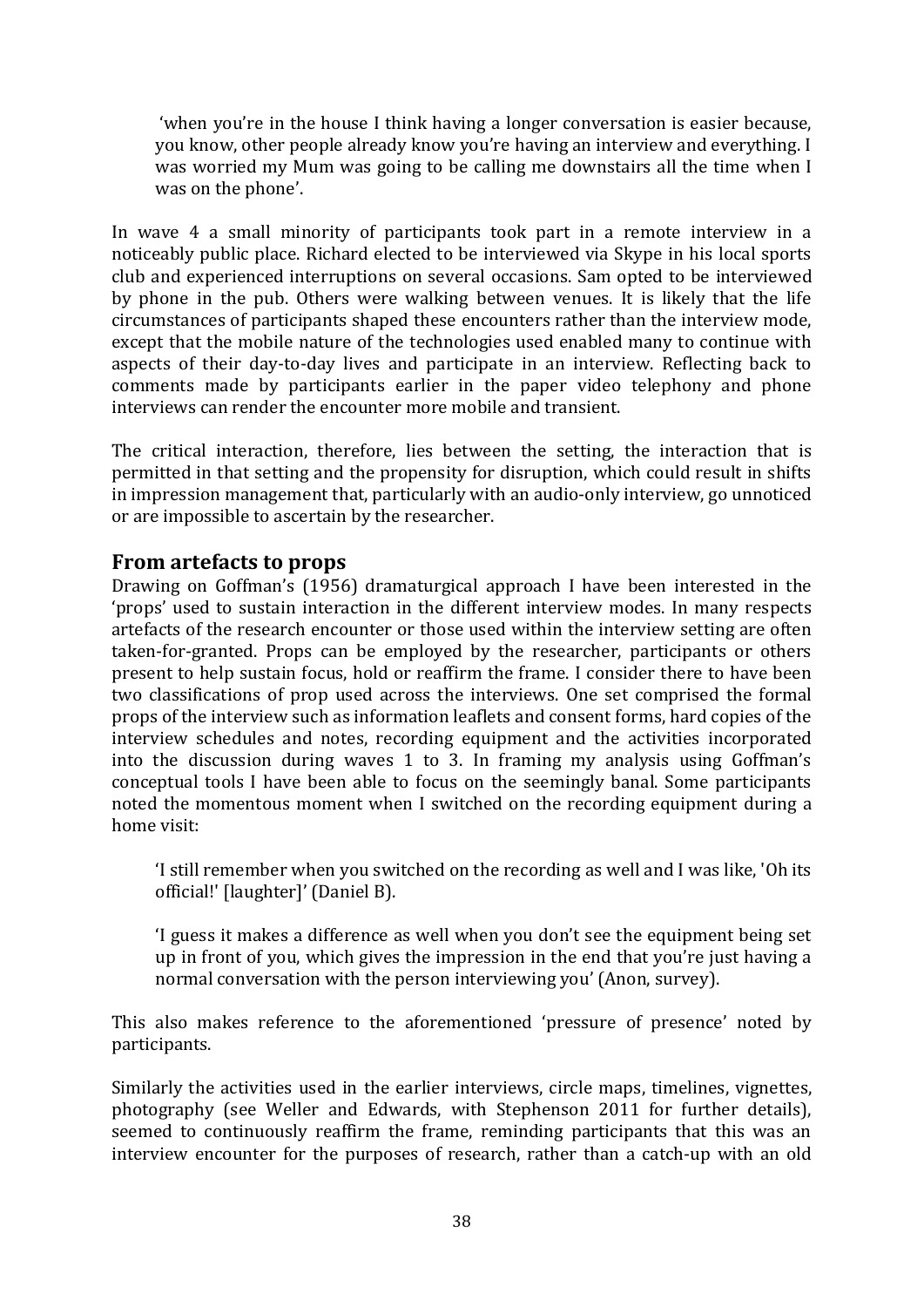'when you're in the house I think having a longer conversation is easier because, you know, other people already know you're having an interview and everything. I was worried my Mum was going to be calling me downstairs all the time when I was on the phone'.

In wave 4 a small minority of participants took part in a remote interview in a noticeably public place. Richard elected to be interviewed via Skype in his local sports club and experienced interruptions on several occasions. Sam opted to be interviewed by phone in the pub. Others were walking between venues. It is likely that the life circumstances of participants shaped these encounters rather than the interview mode, except that the mobile nature of the technologies used enabled many to continue with aspects of their day-to-day lives and participate in an interview. Reflecting back to comments made by participants earlier in the paper video telephony and phone interviews can render the encounter more mobile and transient.

The critical interaction, therefore, lies between the setting, the interaction that is permitted in that setting and the propensity for disruption, which could result in shifts in impression management that, particularly with an audio-only interview, go unnoticed or are impossible to ascertain by the researcher.

# **From artefacts to props**

Drawing on Goffman's (1956) dramaturgical approach I have been interested in the 'props' used to sustain interaction in the different interview modes. In many respects artefacts of the research encounter or those used within the interview setting are often taken-for-granted. Props can be employed by the researcher, participants or others present to help sustain focus, hold or reaffirm the frame. I consider there to have been two classifications of prop used across the interviews. One set comprised the formal props of the interview such as information leaflets and consent forms, hard copies of the interview schedules and notes, recording equipment and the activities incorporated into the discussion during waves 1 to 3. In framing my analysis using Goffman's conceptual tools I have been able to focus on the seemingly banal. Some participants noted the momentous moment when I switched on the recording equipment during a home visit:

'I still remember when you switched on the recording as well and I was like, 'Oh its official!' [laughter]' (Daniel B).

'I guess it makes a difference as well when you don't see the equipment being set up in front of you, which gives the impression in the end that you're just having a normal conversation with the person interviewing you' (Anon, survey).

This also makes reference to the aforementioned 'pressure of presence' noted by participants.

Similarly the activities used in the earlier interviews, circle maps, timelines, vignettes, photography (see Weller and Edwards, with Stephenson 2011 for further details), seemed to continuously reaffirm the frame, reminding participants that this was an interview encounter for the purposes of research, rather than a catch-up with an old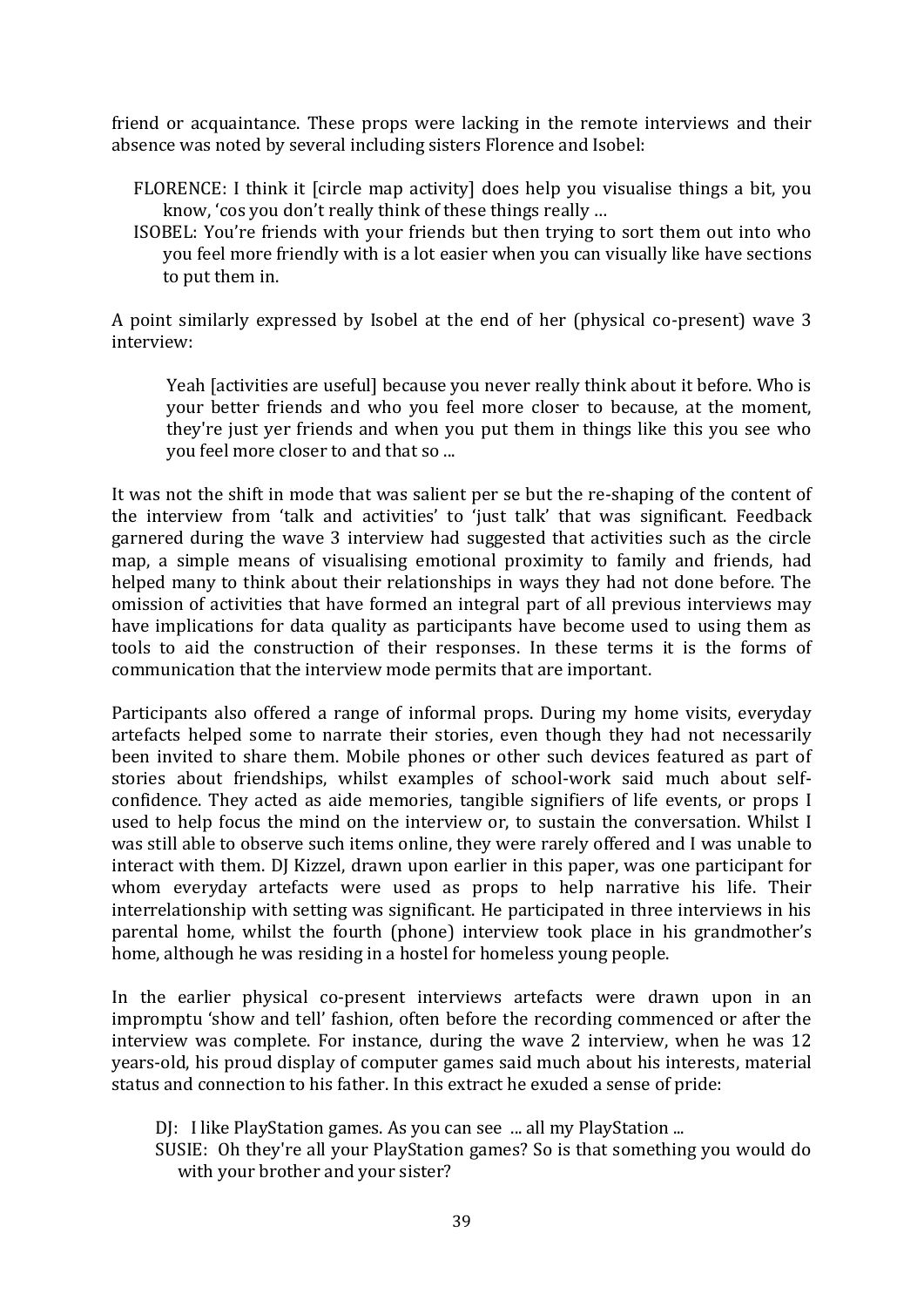friend or acquaintance. These props were lacking in the remote interviews and their absence was noted by several including sisters Florence and Isobel:

- FLORENCE: I think it [circle map activity] does help you visualise things a bit, you know, 'cos you don't really think of these things really …
- ISOBEL: You're friends with your friends but then trying to sort them out into who you feel more friendly with is a lot easier when you can visually like have sections to put them in.

A point similarly expressed by Isobel at the end of her (physical co-present) wave 3 interview:

Yeah [activities are useful] because you never really think about it before. Who is your better friends and who you feel more closer to because, at the moment, they're just yer friends and when you put them in things like this you see who you feel more closer to and that so ...

It was not the shift in mode that was salient per se but the re-shaping of the content of the interview from 'talk and activities' to 'just talk' that was significant. Feedback garnered during the wave 3 interview had suggested that activities such as the circle map, a simple means of visualising emotional proximity to family and friends, had helped many to think about their relationships in ways they had not done before. The omission of activities that have formed an integral part of all previous interviews may have implications for data quality as participants have become used to using them as tools to aid the construction of their responses. In these terms it is the forms of communication that the interview mode permits that are important.

Participants also offered a range of informal props. During my home visits, everyday artefacts helped some to narrate their stories, even though they had not necessarily been invited to share them. Mobile phones or other such devices featured as part of stories about friendships, whilst examples of school-work said much about selfconfidence. They acted as aide memories, tangible signifiers of life events, or props I used to help focus the mind on the interview or, to sustain the conversation. Whilst I was still able to observe such items online, they were rarely offered and I was unable to interact with them. DJ Kizzel, drawn upon earlier in this paper, was one participant for whom everyday artefacts were used as props to help narrative his life. Their interrelationship with setting was significant. He participated in three interviews in his parental home, whilst the fourth (phone) interview took place in his grandmother's home, although he was residing in a hostel for homeless young people.

In the earlier physical co-present interviews artefacts were drawn upon in an impromptu 'show and tell' fashion, often before the recording commenced or after the interview was complete. For instance, during the wave 2 interview, when he was 12 years-old, his proud display of computer games said much about his interests, material status and connection to his father. In this extract he exuded a sense of pride:

DJ: I like PlayStation games. As you can see ... all my PlayStation ...

SUSIE: Oh they're all your PlayStation games? So is that something you would do with your brother and your sister?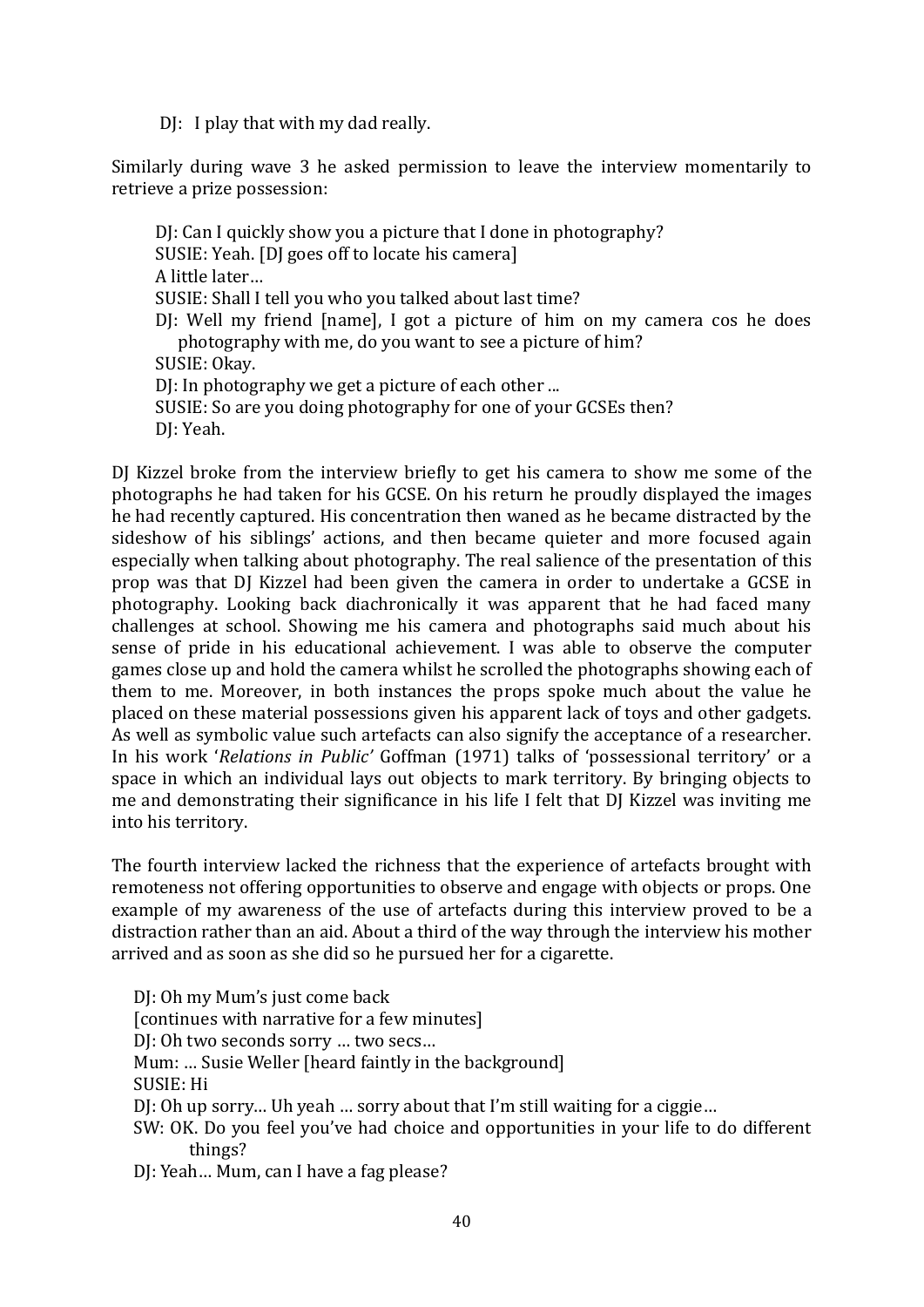DJ: I play that with my dad really.

Similarly during wave 3 he asked permission to leave the interview momentarily to retrieve a prize possession:

DJ: Can I quickly show you a picture that I done in photography? SUSIE: Yeah. [DJ goes off to locate his camera] A little later… SUSIE: Shall I tell you who you talked about last time? DJ: Well my friend [name], I got a picture of him on my camera cos he does photography with me, do you want to see a picture of him? SUSIE: Okay. DI: In photography we get a picture of each other ... SUSIE: So are you doing photography for one of your GCSEs then? DJ: Yeah.

DJ Kizzel broke from the interview briefly to get his camera to show me some of the photographs he had taken for his GCSE. On his return he proudly displayed the images he had recently captured. His concentration then waned as he became distracted by the sideshow of his siblings' actions, and then became quieter and more focused again especially when talking about photography. The real salience of the presentation of this prop was that DJ Kizzel had been given the camera in order to undertake a GCSE in photography. Looking back diachronically it was apparent that he had faced many challenges at school. Showing me his camera and photographs said much about his sense of pride in his educational achievement. I was able to observe the computer games close up and hold the camera whilst he scrolled the photographs showing each of them to me. Moreover, in both instances the props spoke much about the value he placed on these material possessions given his apparent lack of toys and other gadgets. As well as symbolic value such artefacts can also signify the acceptance of a researcher. In his work '*Relations in Public'* Goffman (1971) talks of 'possessional territory' or a space in which an individual lays out objects to mark territory. By bringing objects to me and demonstrating their significance in his life I felt that DJ Kizzel was inviting me into his territory.

The fourth interview lacked the richness that the experience of artefacts brought with remoteness not offering opportunities to observe and engage with objects or props. One example of my awareness of the use of artefacts during this interview proved to be a distraction rather than an aid. About a third of the way through the interview his mother arrived and as soon as she did so he pursued her for a cigarette.

DJ: Oh my Mum's just come back [continues with narrative for a few minutes] DJ: Oh two seconds sorry … two secs… Mum: ... Susie Weller [heard faintly in the background] SUSIE: Hi DJ: Oh up sorry… Uh yeah … sorry about that I'm still waiting for a ciggie… SW: OK. Do you feel you've had choice and opportunities in your life to do different things? DJ: Yeah… Mum, can I have a fag please?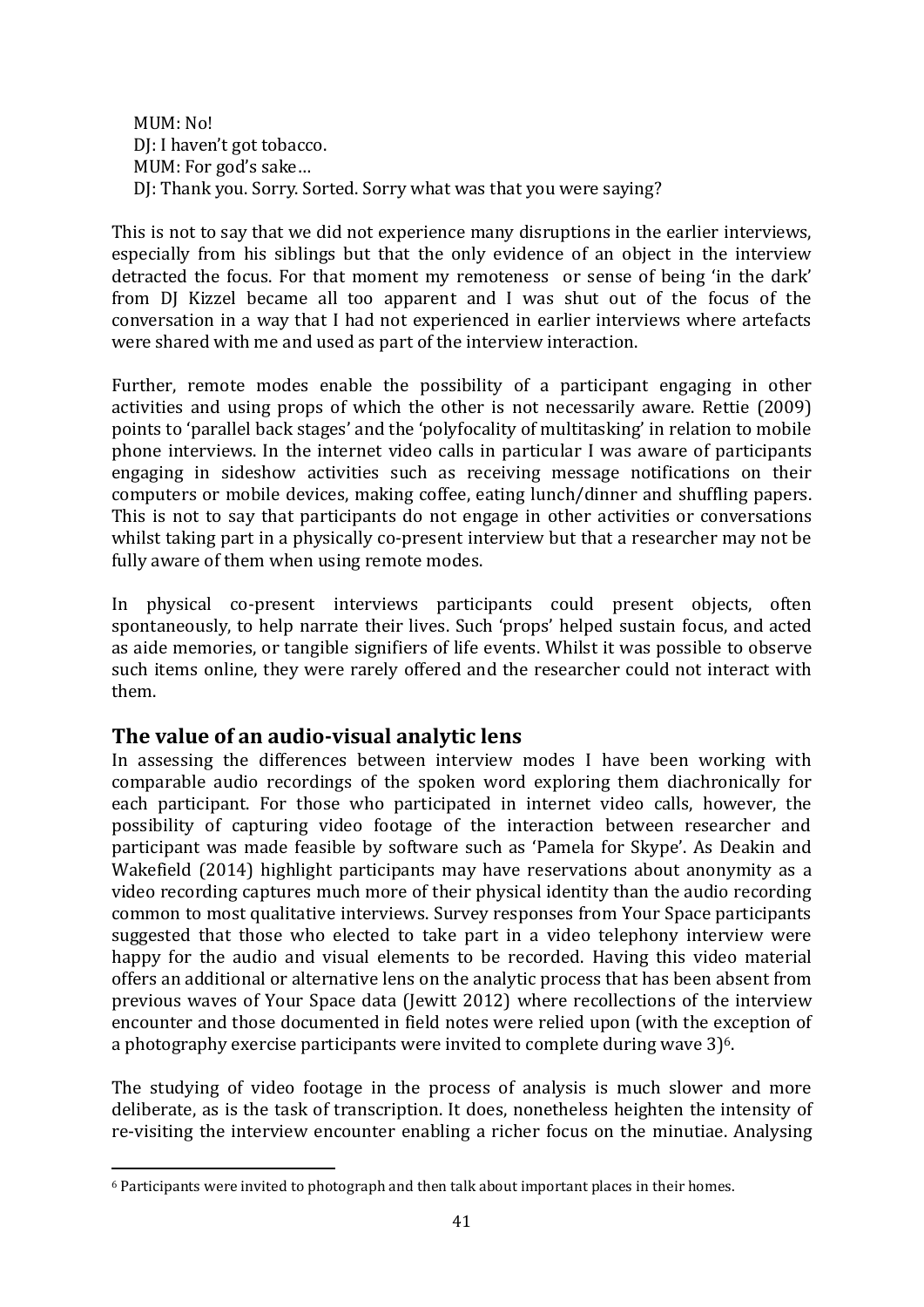MUM: No! DJ: I haven't got tobacco. MUM: For god's sake… DJ: Thank you. Sorry. Sorted. Sorry what was that you were saying?

This is not to say that we did not experience many disruptions in the earlier interviews, especially from his siblings but that the only evidence of an object in the interview detracted the focus. For that moment my remoteness or sense of being 'in the dark' from DJ Kizzel became all too apparent and I was shut out of the focus of the conversation in a way that I had not experienced in earlier interviews where artefacts were shared with me and used as part of the interview interaction.

Further, remote modes enable the possibility of a participant engaging in other activities and using props of which the other is not necessarily aware. Rettie (2009) points to 'parallel back stages' and the 'polyfocality of multitasking' in relation to mobile phone interviews. In the internet video calls in particular I was aware of participants engaging in sideshow activities such as receiving message notifications on their computers or mobile devices, making coffee, eating lunch/dinner and shuffling papers. This is not to say that participants do not engage in other activities or conversations whilst taking part in a physically co-present interview but that a researcher may not be fully aware of them when using remote modes.

In physical co-present interviews participants could present objects, often spontaneously, to help narrate their lives. Such 'props' helped sustain focus, and acted as aide memories, or tangible signifiers of life events. Whilst it was possible to observe such items online, they were rarely offered and the researcher could not interact with them.

## **The value of an audio-visual analytic lens**

**.** 

In assessing the differences between interview modes I have been working with comparable audio recordings of the spoken word exploring them diachronically for each participant. For those who participated in internet video calls, however, the possibility of capturing video footage of the interaction between researcher and participant was made feasible by software such as 'Pamela for Skype'. As Deakin and Wakefield (2014) highlight participants may have reservations about anonymity as a video recording captures much more of their physical identity than the audio recording common to most qualitative interviews. Survey responses from Your Space participants suggested that those who elected to take part in a video telephony interview were happy for the audio and visual elements to be recorded. Having this video material offers an additional or alternative lens on the analytic process that has been absent from previous waves of Your Space data (Jewitt 2012) where recollections of the interview encounter and those documented in field notes were relied upon (with the exception of a photography exercise participants were invited to complete during wave  $3$ <sup>6</sup>.

The studying of video footage in the process of analysis is much slower and more deliberate, as is the task of transcription. It does, nonetheless heighten the intensity of re-visiting the interview encounter enabling a richer focus on the minutiae. Analysing

 $6$  Participants were invited to photograph and then talk about important places in their homes.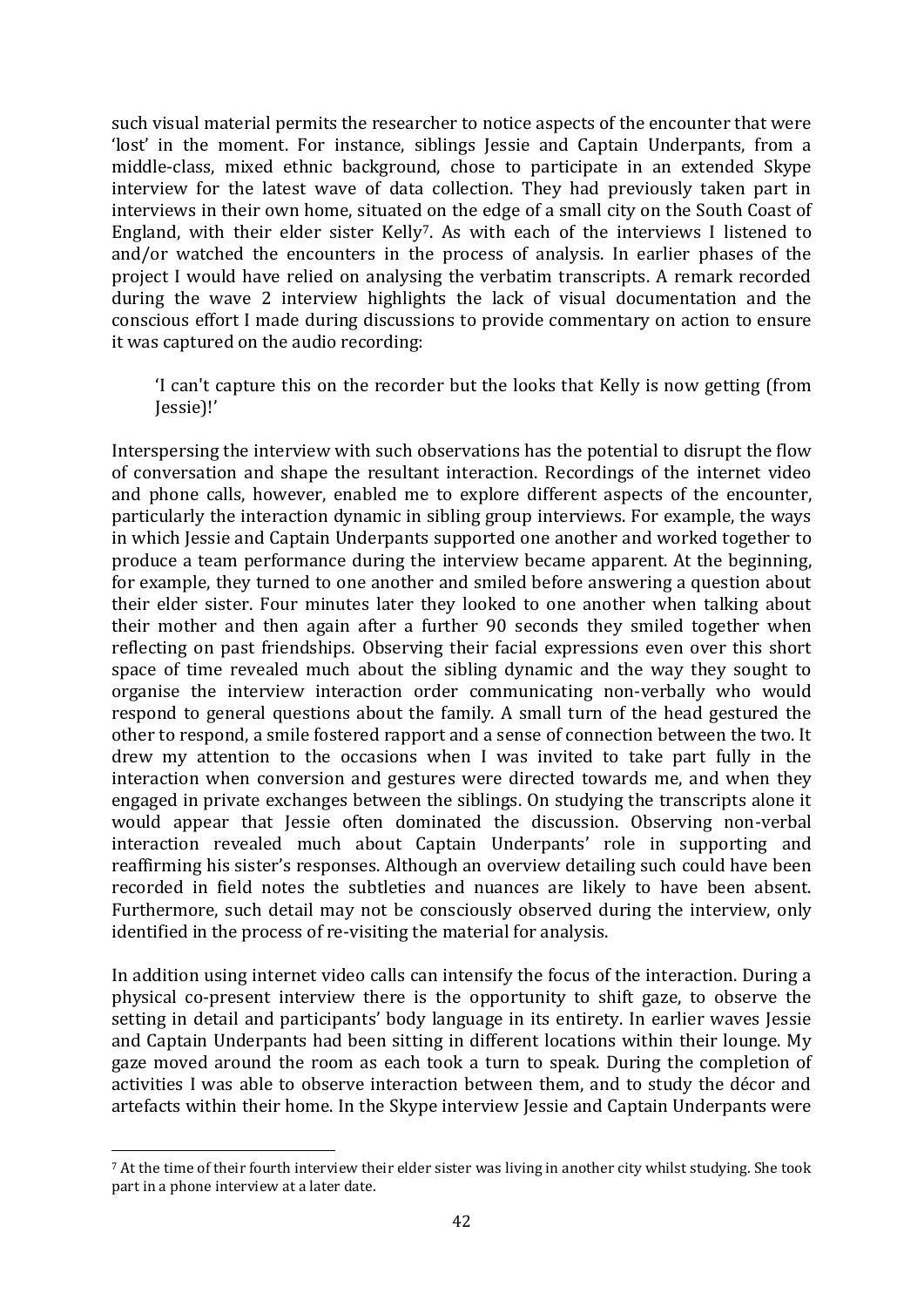such visual material permits the researcher to notice aspects of the encounter that were 'lost' in the moment. For instance, siblings Jessie and Captain Underpants, from a middle-class, mixed ethnic background, chose to participate in an extended Skype interview for the latest wave of data collection. They had previously taken part in interviews in their own home, situated on the edge of a small city on the South Coast of England, with their elder sister Kelly7. As with each of the interviews I listened to and/or watched the encounters in the process of analysis. In earlier phases of the project I would have relied on analysing the verbatim transcripts. A remark recorded during the wave 2 interview highlights the lack of visual documentation and the conscious effort I made during discussions to provide commentary on action to ensure it was captured on the audio recording:

'I can't capture this on the recorder but the looks that Kelly is now getting (from Jessie)!'

Interspersing the interview with such observations has the potential to disrupt the flow of conversation and shape the resultant interaction. Recordings of the internet video and phone calls, however, enabled me to explore different aspects of the encounter, particularly the interaction dynamic in sibling group interviews. For example, the ways in which Jessie and Captain Underpants supported one another and worked together to produce a team performance during the interview became apparent. At the beginning, for example, they turned to one another and smiled before answering a question about their elder sister. Four minutes later they looked to one another when talking about their mother and then again after a further 90 seconds they smiled together when reflecting on past friendships. Observing their facial expressions even over this short space of time revealed much about the sibling dynamic and the way they sought to organise the interview interaction order communicating non-verbally who would respond to general questions about the family. A small turn of the head gestured the other to respond, a smile fostered rapport and a sense of connection between the two. It drew my attention to the occasions when I was invited to take part fully in the interaction when conversion and gestures were directed towards me, and when they engaged in private exchanges between the siblings. On studying the transcripts alone it would appear that Jessie often dominated the discussion. Observing non-verbal interaction revealed much about Captain Underpants' role in supporting and reaffirming his sister's responses. Although an overview detailing such could have been recorded in field notes the subtleties and nuances are likely to have been absent. Furthermore, such detail may not be consciously observed during the interview, only identified in the process of re-visiting the material for analysis.

In addition using internet video calls can intensify the focus of the interaction. During a physical co-present interview there is the opportunity to shift gaze, to observe the setting in detail and participants' body language in its entirety. In earlier waves Jessie and Captain Underpants had been sitting in different locations within their lounge. My gaze moved around the room as each took a turn to speak. During the completion of activities I was able to observe interaction between them, and to study the décor and artefacts within their home. In the Skype interview Jessie and Captain Underpants were

**<sup>.</sup>** <sup>7</sup> At the time of their fourth interview their elder sister was living in another city whilst studying. She took part in a phone interview at a later date.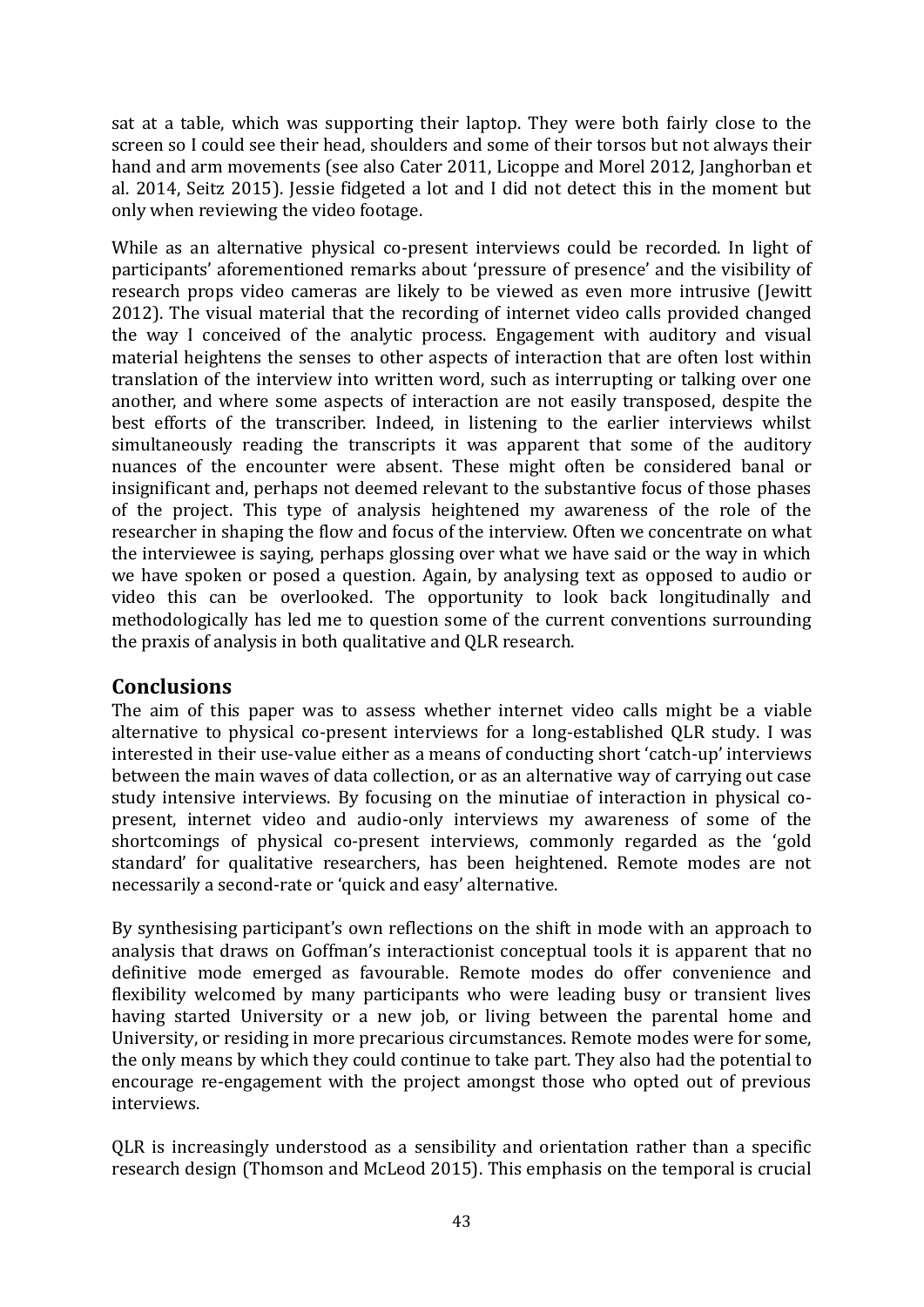sat at a table, which was supporting their laptop. They were both fairly close to the screen so I could see their head, shoulders and some of their torsos but not always their hand and arm movements (see also Cater 2011, Licoppe and Morel 2012, Janghorban et al. 2014, Seitz 2015). Jessie fidgeted a lot and I did not detect this in the moment but only when reviewing the video footage.

While as an alternative physical co-present interviews could be recorded. In light of participants' aforementioned remarks about 'pressure of presence' and the visibility of research props video cameras are likely to be viewed as even more intrusive (Jewitt 2012). The visual material that the recording of internet video calls provided changed the way I conceived of the analytic process. Engagement with auditory and visual material heightens the senses to other aspects of interaction that are often lost within translation of the interview into written word, such as interrupting or talking over one another, and where some aspects of interaction are not easily transposed, despite the best efforts of the transcriber. Indeed, in listening to the earlier interviews whilst simultaneously reading the transcripts it was apparent that some of the auditory nuances of the encounter were absent. These might often be considered banal or insignificant and, perhaps not deemed relevant to the substantive focus of those phases of the project. This type of analysis heightened my awareness of the role of the researcher in shaping the flow and focus of the interview. Often we concentrate on what the interviewee is saying, perhaps glossing over what we have said or the way in which we have spoken or posed a question. Again, by analysing text as opposed to audio or video this can be overlooked. The opportunity to look back longitudinally and methodologically has led me to question some of the current conventions surrounding the praxis of analysis in both qualitative and QLR research.

## **Conclusions**

The aim of this paper was to assess whether internet video calls might be a viable alternative to physical co-present interviews for a long-established QLR study. I was interested in their use-value either as a means of conducting short 'catch-up' interviews between the main waves of data collection, or as an alternative way of carrying out case study intensive interviews. By focusing on the minutiae of interaction in physical copresent, internet video and audio-only interviews my awareness of some of the shortcomings of physical co-present interviews, commonly regarded as the 'gold standard' for qualitative researchers, has been heightened. Remote modes are not necessarily a second-rate or 'quick and easy' alternative.

By synthesising participant's own reflections on the shift in mode with an approach to analysis that draws on Goffman's interactionist conceptual tools it is apparent that no definitive mode emerged as favourable. Remote modes do offer convenience and flexibility welcomed by many participants who were leading busy or transient lives having started University or a new job, or living between the parental home and University, or residing in more precarious circumstances. Remote modes were for some, the only means by which they could continue to take part. They also had the potential to encourage re-engagement with the project amongst those who opted out of previous interviews.

QLR is increasingly understood as a sensibility and orientation rather than a specific research design (Thomson and McLeod 2015). This emphasis on the temporal is crucial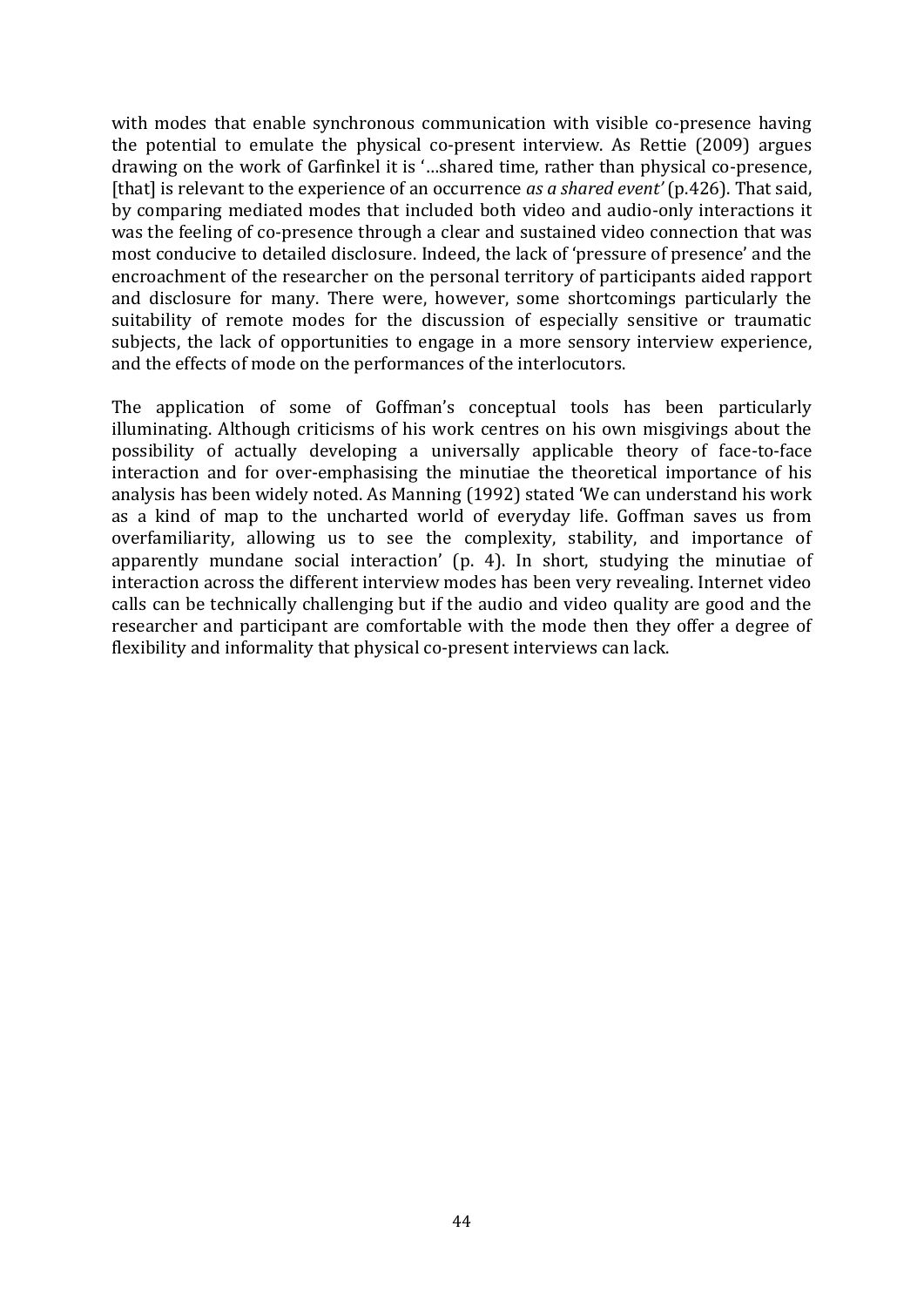with modes that enable synchronous communication with visible co-presence having the potential to emulate the physical co-present interview. As Rettie (2009) argues drawing on the work of Garfinkel it is '…shared time, rather than physical co-presence, [that] is relevant to the experience of an occurrence *as a shared event'* (p.426). That said, by comparing mediated modes that included both video and audio-only interactions it was the feeling of co-presence through a clear and sustained video connection that was most conducive to detailed disclosure. Indeed, the lack of 'pressure of presence' and the encroachment of the researcher on the personal territory of participants aided rapport and disclosure for many. There were, however, some shortcomings particularly the suitability of remote modes for the discussion of especially sensitive or traumatic subjects, the lack of opportunities to engage in a more sensory interview experience, and the effects of mode on the performances of the interlocutors.

The application of some of Goffman's conceptual tools has been particularly illuminating. Although criticisms of his work centres on his own misgivings about the possibility of actually developing a universally applicable theory of face-to-face interaction and for over-emphasising the minutiae the theoretical importance of his analysis has been widely noted. As Manning (1992) stated 'We can understand his work as a kind of map to the uncharted world of everyday life. Goffman saves us from overfamiliarity, allowing us to see the complexity, stability, and importance of apparently mundane social interaction' (p. 4). In short, studying the minutiae of interaction across the different interview modes has been very revealing. Internet video calls can be technically challenging but if the audio and video quality are good and the researcher and participant are comfortable with the mode then they offer a degree of flexibility and informality that physical co-present interviews can lack.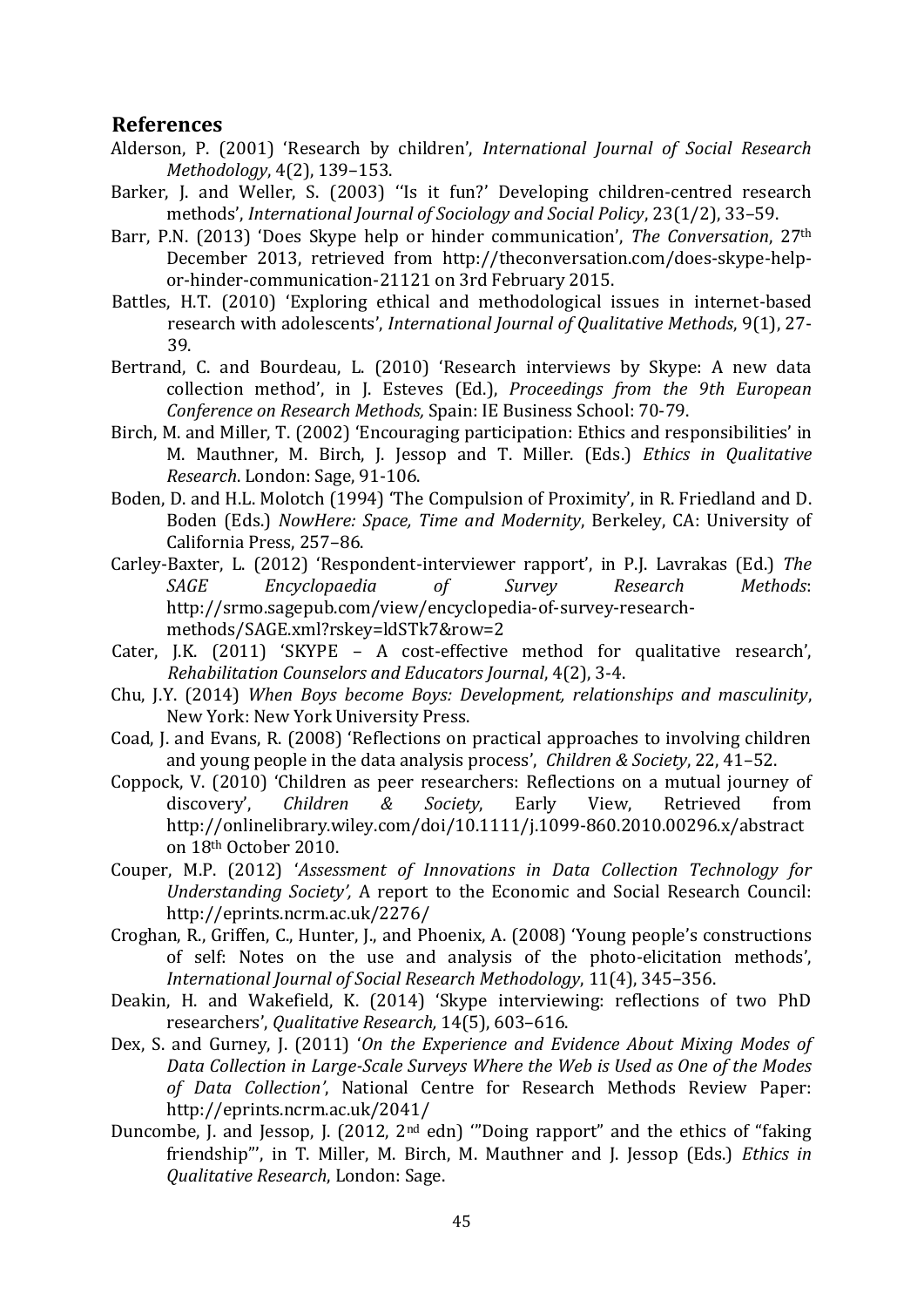#### **References**

- Alderson, P. (2001) 'Research by children', *International Journal of Social Research Methodology*, 4(2), 139–153.
- Barker, J. and Weller, S. (2003) ''Is it fun?' Developing children-centred research methods', *International Journal of Sociology and Social Policy*, 23(1/2), 33–59.
- Barr, P.N. (2013) 'Does Skype help or hinder communication', *The Conversation*, 27th December 2013, retrieved from [http://theconversation.com/does-skype-help](http://theconversation.com/does-skype-help-or-hinder-communication-21121%20on%203rd%20February%202015)[or-hinder-communication-21121 on 3rd February 2015.](http://theconversation.com/does-skype-help-or-hinder-communication-21121%20on%203rd%20February%202015)
- Battles, H.T. (2010) 'Exploring ethical and methodological issues in internet-based research with adolescents', *International Journal of Qualitative Methods*, 9(1), 27- 39.
- Bertrand, C. and Bourdeau, L. (2010) 'Research interviews by Skype: A new data collection method', in J. Esteves (Ed.), *Proceedings from the 9th European Conference on Research Methods,* Spain: IE Business School: 70-79.
- Birch, M. and Miller, T. (2002) 'Encouraging participation: Ethics and responsibilities' in M. Mauthner, M. Birch, J. Jessop and T. Miller. (Eds.) *Ethics in Qualitative Research*. London: Sage, 91-106.
- Boden, D. and H.L. Molotch (1994) 'The Compulsion of Proximity', in R. Friedland and D. Boden (Eds.) *NowHere: Space, Time and Modernity*, Berkeley, CA: University of California Press, 257–86.
- Carley-Baxter, L. (2012) 'Respondent-interviewer rapport', in P.J. Lavrakas (Ed.) *The SAGE Encyclopaedia of Survey Research Methods*: [http://srmo.sagepub.com/view/encyclopedia-of-survey-research](http://srmo.sagepub.com/view/encyclopedia-of-survey-research-methods/SAGE.xml?rskey=ldSTk7&row=2)[methods/SAGE.xml?rskey=ldSTk7&row=2](http://srmo.sagepub.com/view/encyclopedia-of-survey-research-methods/SAGE.xml?rskey=ldSTk7&row=2)
- Cater, J.K. (2011) 'SKYPE A cost-effective method for qualitative research', *Rehabilitation Counselors and Educators Journal*, 4(2), 3-4.
- Chu, J.Y. (2014) *When Boys become Boys: Development, relationships and masculinity*, New York: New York University Press.
- Coad, J. and Evans, R. (2008) 'Reflections on practical approaches to involving children and young people in the data analysis process', *Children & Society*, 22, 41–52.
- Coppock, V. (2010) 'Children as peer researchers: Reflections on a mutual journey of discovery', *Children & Society*, Early View, Retrieved from <http://onlinelibrary.wiley.com/doi/10.1111/j.1099-860.2010.00296.x/abstract> on 18th October 2010.
- Couper, M.P. (2012) '*Assessment of Innovations in Data Collection Technology for Understanding Society',* A report to the Economic and Social Research Council: <http://eprints.ncrm.ac.uk/2276/>
- Croghan, R., Griffen, C., Hunter, J., and Phoenix, A. (2008) 'Young people's constructions of self: Notes on the use and analysis of the photo-elicitation methods', *International Journal of Social Research Methodology*, 11(4), 345–356.
- Deakin, H. and Wakefield, K. (2014) 'Skype interviewing: reflections of two PhD researchers', *Qualitative Research,* 14(5), 603–616.
- Dex, S. and Gurney, J. (2011) '*On the Experience and Evidence About Mixing Modes of Data Collection in Large-Scale Surveys Where the Web is Used as One of the Modes of Data Collection'*, National Centre for Research Methods Review Paper: <http://eprints.ncrm.ac.uk/2041/>
- Duncombe, J. and Jessop, J. (2012,  $2<sup>nd</sup>$  edn) "Doing rapport" and the ethics of "faking friendship"', in T. Miller, M. Birch, M. Mauthner and J. Jessop (Eds.) *Ethics in Qualitative Research*, London: Sage.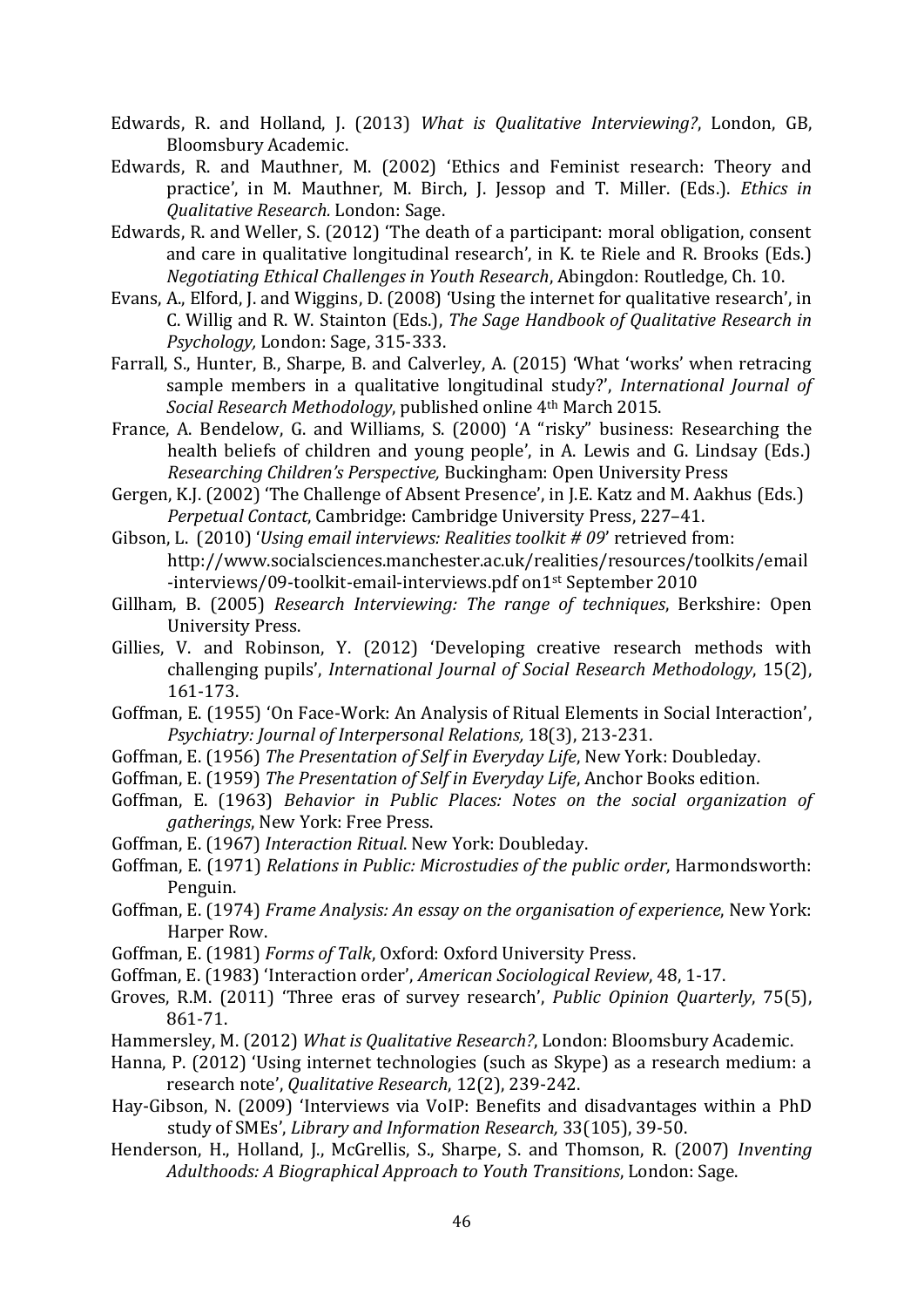- Edwards, R. and Holland, J. (2013) *[What is Qualitative Interviewing?](http://eprints.soton.ac.uk/359806/)*, London, GB, Bloomsbury Academic.
- Edwards, R. and Mauthner, M. (2002) 'Ethics and Feminist research: Theory and practice', in M. Mauthner, M. Birch, J. Jessop and T. Miller. (Eds.). *Ethics in Qualitative Research.* London: Sage.
- Edwards, R. and Weller, S. (2012) 'The death of a participant: moral obligation, consent and care in qualitative longitudinal research', in K. te Riele and R. Brooks (Eds.) *Negotiating Ethical Challenges in Youth Research*, Abingdon: Routledge, Ch. 10.
- Evans, A., Elford, J. and Wiggins, D. (2008) 'Using the internet for qualitative research', in C. Willig and R. W. Stainton (Eds.), *The Sage Handbook of Qualitative Research in Psychology,* London: Sage, 315-333.
- Farrall, S., Hunter, B., Sharpe, B. and Calverley, A. (2015) 'What 'works' when retracing sample members in a qualitative longitudinal study?', *International Journal of Social Research Methodology*, published online 4th March 2015.
- France, A. Bendelow, G. and Williams, S. (2000) 'A "risky" business: Researching the health beliefs of children and young people', in A. Lewis and G. Lindsay (Eds.) *Researching Children's Perspective,* Buckingham: Open University Press
- Gergen, K.J. (2002) 'The Challenge of Absent Presence', in J.E. Katz and M. Aakhus (Eds.) *Perpetual Contact*, Cambridge: Cambridge University Press, 227–41.
- Gibson, L. (2010) '*Using email interviews: Realities toolkit # 09*' retrieved from: [http://www.socialsciences.manchester.ac.uk/realities/resources/toolkits/email](http://www.socialsciences.manchester.ac.uk/realities/resources/toolkits/email-interviews/09-toolkit-email-interviews.pdf%20on1st%20September%202010) [-interviews/09-toolkit-email-interviews.pdf on1](http://www.socialsciences.manchester.ac.uk/realities/resources/toolkits/email-interviews/09-toolkit-email-interviews.pdf%20on1st%20September%202010)st September 2010
- Gillham, B. (2005) *Research Interviewing: The range of techniques*, Berkshire: Open University Press.
- Gillies, V. and Robinson, Y. (2012) 'Developing creative research methods with challenging pupils', *International Journal of Social Research Methodology*, 15(2), 161-173.
- Goffman, E. (1955) 'On Face-Work: An Analysis of Ritual Elements in Social Interaction', *Psychiatry: Journal of Interpersonal Relations,* 18(3), 213-231.
- Goffman, E. (1956) *The Presentation of Self in Everyday Life*, New York: Doubleday.
- Goffman, E. (1959) *The Presentation of Self in Everyday Life*, Anchor Books edition.
- Goffman, E. (1963) *Behavior in Public Places: Notes on the social organization of gatherings*, New York: Free Press.
- Goffman, E. (1967) *Interaction Ritual*. New York: Doubleday.
- Goffman, E. (1971) *Relations in Public: Microstudies of the public order*, Harmondsworth: Penguin.
- Goffman, E. (1974) *Frame Analysis: An essay on the organisation of experience*, New York: Harper Row.
- Goffman, E. (1981) *Forms of Talk*, Oxford: Oxford University Press.
- Goffman, E. (1983) 'Interaction order', *American Sociological Review*, 48, 1-17.
- Groves, R.M. (2011) 'Three eras of survey research', *Public Opinion Quarterly*, 75(5), 861-71.
- Hammersley, M. (2012) *What is Qualitative Research?*, London: Bloomsbury Academic.
- Hanna, P. (2012) 'Using internet technologies (such as Skype) as a research medium: a research note', *Qualitative Research*, 12(2), 239-242.
- Hay-Gibson, N. (2009) 'Interviews via VoIP: Benefits and disadvantages within a PhD study of SMEs', *Library and Information Research,* 33(105), 39-50.
- Henderson, H., Holland, J., McGrellis, S., Sharpe, S. and Thomson, R. (2007) *Inventing Adulthoods: A Biographical Approach to Youth Transitions*, London: Sage.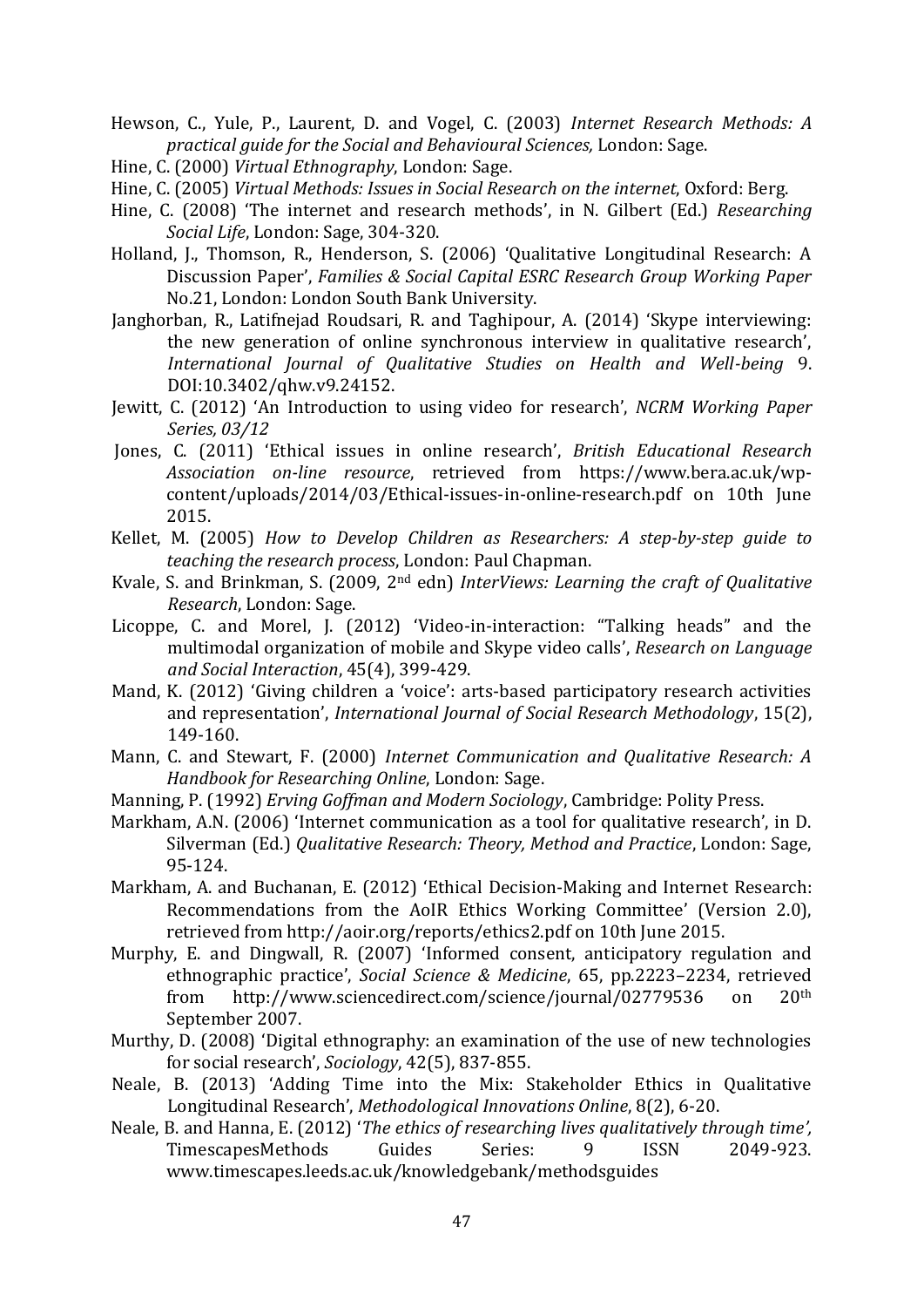Hewson, C., Yule, P., Laurent, D. and Vogel, C. (2003) *Internet Research Methods: A practical guide for the Social and Behavioural Sciences,* London: Sage.

- Hine, C. (2000) *Virtual Ethnography*, London: Sage.
- Hine, C. (2005) *Virtual Methods: Issues in Social Research on the internet*, Oxford: Berg.
- Hine, C. (2008) 'The internet and research methods', in N. Gilbert (Ed.) *Researching Social Life*, London: Sage, 304-320.
- Holland, J., Thomson, R., Henderson, S. (2006) 'Qualitative Longitudinal Research: A Discussion Paper', *Families & Social Capital ESRC Research Group Working Paper* No.21, London: London South Bank University.
- Janghorban, R., Latifnejad Roudsari, R. and Taghipour, A. (2014) 'Skype interviewing: the new generation of online synchronous interview in qualitative research', *International Journal of Qualitative Studies on Health and Well-being* 9. DOI:10.3402/qhw.v9.24152.
- Jewitt, C. (2012) '[An Introduction to using video for research](http://eprints.ncrm.ac.uk/2259/)', *NCRM Working Paper Series, 03/12*
- Jones, C. (2011) 'Ethical issues in online research', *British Educational Research Association on-line resource*, retrieved from [https://www.bera.ac.uk/wp](https://www.bera.ac.uk/wp-content/uploads/2014/03/Ethical-issues-in-online-research.pdf)[content/uploads/2014/03/Ethical-issues-in-online-research.pdf](https://www.bera.ac.uk/wp-content/uploads/2014/03/Ethical-issues-in-online-research.pdf) on 10th June 2015.
- Kellet, M. (2005) *How to Develop Children as Researchers: A step-by-step guide to teaching the research process*, London: Paul Chapman.
- Kvale, S. and Brinkman, S. (2009, 2nd edn) *InterViews: Learning the craft of Qualitative Research*, London: Sage.
- Licoppe, C. and Morel, J. (2012) 'Video-in-[interaction: "Talking heads" and the](http://www.tandfonline.com/doi/abs/10.1080/08351813.2012.724996)  [multimodal organization of mobile and Skype video calls](http://www.tandfonline.com/doi/abs/10.1080/08351813.2012.724996)', *[Research on Language](http://www.tandfonline.com/toc/hrls20/45/4)  [and Social Interaction](http://www.tandfonline.com/toc/hrls20/45/4)*, 45(4), 399-429.
- Mand, K. (2012) 'Giving children a 'voice': arts-based participatory research activities and representation', *International Journal of Social Research Methodology*, 15(2), 149-160.
- Mann, C. and Stewart, F. (2000) *Internet Communication and Qualitative Research: A Handbook for Researching Online*, London: Sage.
- Manning, P. (1992) *Erving Goffman and Modern Sociology*, Cambridge: Polity Press.
- Markham, A.N. (2006) 'Internet communication as a tool for qualitative research', in D. Silverman (Ed.) *Qualitative Research: Theory, Method and Practice*, London: Sage, 95-124.
- Markham, A. and Buchanan, E. (2012) 'Ethical Decision-Making and Internet Research: Recommendations from the AoIR Ethics Working Committee' (Version 2.0), retrieved from<http://aoir.org/reports/ethics2.pdf> on 10th June 2015.
- Murphy, E. and Dingwall, R. (2007) 'Informed consent, anticipatory regulation and ethnographic practice', *Social Science & Medicine*, 65, pp.2223–2234, retrieved from http://www.sciencedirect.com/science/journal/02779536 on 20th September 2007.
- Murthy, D. (2008) 'Digital ethnography: an examination of the use of new technologies for social research', *Sociology*, 42(5), 837-855.
- Neale, B. (2013) 'Adding Time into the Mix: Stakeholder Ethics in Qualitative Longitudinal Research', *Methodological Innovations Online*, 8(2), 6-20.
- Neale, B. and Hanna, E. (2012) '*The ethics of researching lives qualitatively through time',* TimescapesMethods Guides Series: 9 ISSN 2049-923. [www.timescapes.leeds.ac.uk/knowledgebank/methodsguides](http://www.timescapes.leeds.ac.uk/knowledgebank/methodsguides)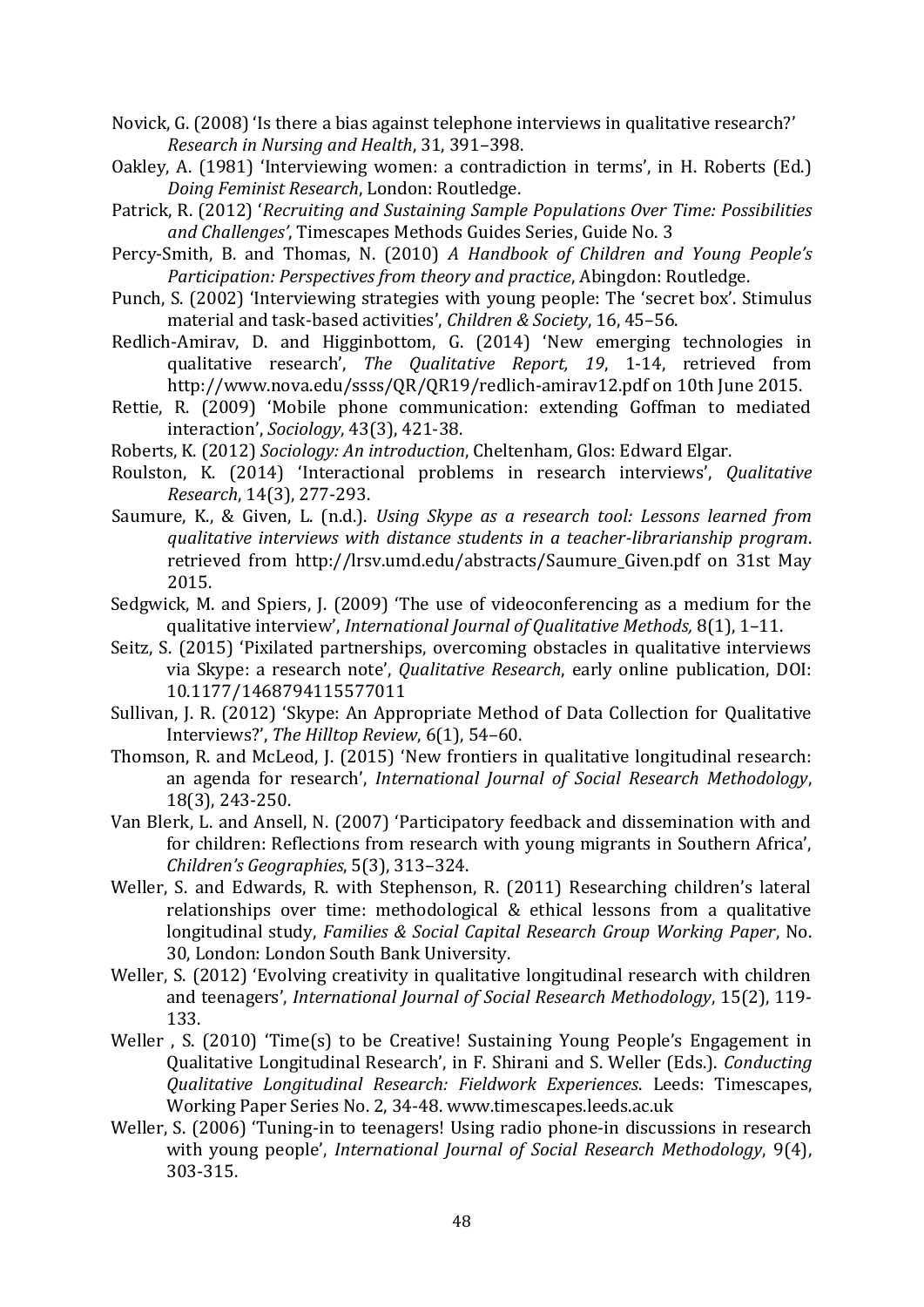- Novick, G. (2008) 'Is there a bias against telephone interviews in qualitative research?' *Research in Nursing and Health*, 31, 391–398.
- Oakley, A. (1981) 'Interviewing women: a contradiction in terms', in H. Roberts (Ed.) *Doing Feminist Research*, London: Routledge.
- Patrick, R. (2012) '*[Recruiting and Sustaining Sample Populations Over](http://www.timescapes.leeds.ac.uk/assets/files/methods-guides/timescapes-ruth-patrick.pdf) Time: Possibilities [and Challenges](http://www.timescapes.leeds.ac.uk/assets/files/methods-guides/timescapes-ruth-patrick.pdf)'*, Timescapes Methods Guides Series, Guide No. 3
- Percy-Smith, B. and Thomas, N. (2010) *A Handbook of Children and Young People's Participation: Perspectives from theory and practice*, Abingdon: Routledge.
- Punch, S. (2002) 'Interviewing strategies with young people: The 'secret box'. Stimulus material and task-based activities', *Children & Society*, 16, 45–56.
- Redlich-Amirav, D. and Higginbottom, G. (2014) 'New emerging technologies in qualitative research', *The Qualitative Report, 19*, 1-14, retrieved from <http://www.nova.edu/ssss/QR/QR19/redlich-amirav12.pdf> on 10th June 2015.
- Rettie, R. (2009) 'Mobile phone communication: extending Goffman to mediated interaction', *Sociology*, 43(3), 421-38.
- Roberts, K. (2012) *Sociology: An introduction*, Cheltenham, Glos: Edward Elgar.
- Roulston, K. (2014) 'Interactional problems in research interviews', *Qualitative Research*, 14(3), 277-293.
- Saumure, K., & Given, L. (n.d.). *Using Skype as a research tool: Lessons learned from qualitative interviews with distance students in a teacher-librarianship program*. retrieved from [http://lrsv.umd.edu/abstracts/Saumure\\_Given.pdf](http://lrsv.umd.edu/abstracts/Saumure_Given.pdf) on 31st May 2015.
- Sedgwick, M. and Spiers, J. (2009) 'The use of videoconferencing as a medium for the qualitative interview', *International Journal of Qualitative Methods,* 8(1), 1–11.
- Seitz, S. (2015) 'Pixilated partnerships, overcoming obstacles in qualitative interviews via Skype: a research note', *Qualitative Research*, early online publication, DOI: 10.1177/1468794115577011
- Sullivan, J. R. (2012) 'Skype: An Appropriate Method of Data Collection for Qualitative Interviews?', *The Hilltop Review*, 6(1), 54–60.
- Thomson, R. and McLeod, J. (2015) 'New frontiers in qualitative longitudinal research: an agenda for research', *International Journal of Social Research Methodology*, 18(3), 243-250.
- Van Blerk, L. and Ansell, N. (2007) 'Participatory feedback and dissemination with and for children: Reflections from research with young migrants in Southern Africa', *Children's Geographies*, 5(3), 313–324.
- Weller, S. and Edwards, R. with Stephenson, R. (2011) Researching children's lateral relationships over time: methodological & ethical lessons from a qualitative longitudinal study, *Families & Social Capital Research Group Working Paper*, No. 30, London: London South Bank University.
- Weller, S. (2012) 'Evolving creativity in qualitative longitudinal research with children and teenagers', *International Journal of Social Research Methodology*, 15(2), 119- 133.
- Weller , S. (2010) 'Time(s) to be Creative! Sustaining Young People's Engagement in Qualitative Longitudinal Research', in F. Shirani and S. Weller (Eds.). *Conducting Qualitative Longitudinal Research: Fieldwork Experiences*. Leeds: Timescapes, Working Paper Series No. 2, 34-48. www.timescapes.leeds.ac.uk
- Weller, S. (2006) 'Tuning-in to teenagers! Using radio phone-in discussions in research with young people', *International Journal of Social Research Methodology*, 9(4), 303-315.